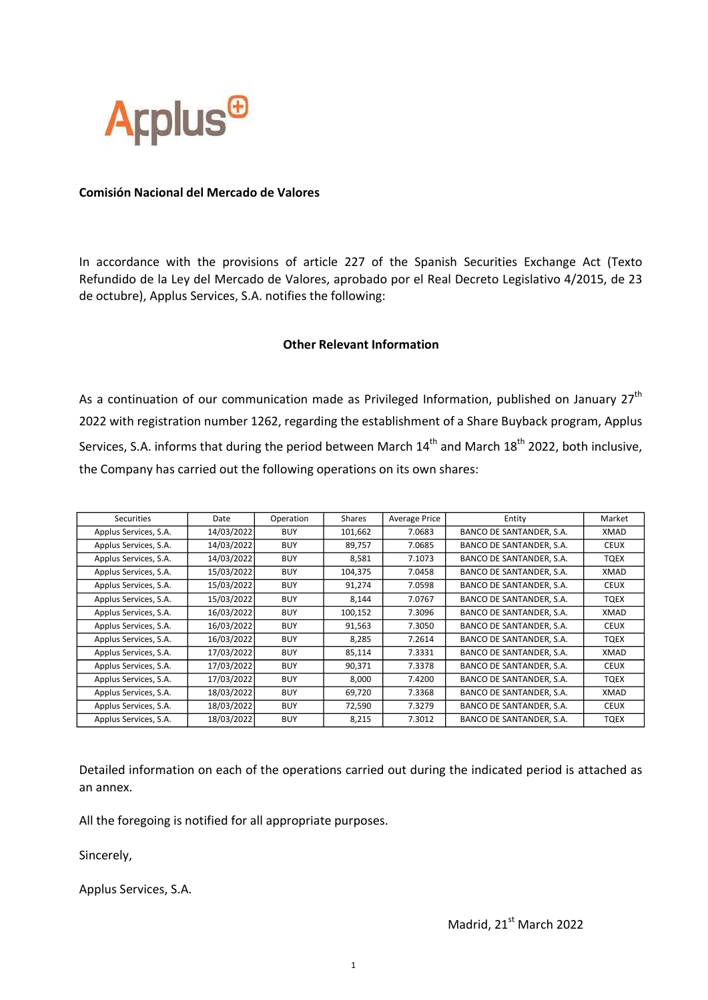

## Comisión Nacional del Mercado de Valores

In accordance with the provisions of article 227 of the Spanish Securities Exchange Act (Texto Refundido de la Ley del Mercado de Valores, aprobado por el Real Decreto Legislativo 4/2015, de 23 de octubre), Applus Services, S.A. notifies the following:

## Other Relevant Information

As a continuation of our communication made as Privileged Information, published on January  $27<sup>th</sup>$ 2022 with registration number 1262, regarding the establishment of a Share Buyback program, Applus Services, S.A. informs that during the period between March  $14<sup>th</sup>$  and March  $18<sup>th</sup>$  2022, both inclusive, the Company has carried out the following operations on its own shares:

| Securities            | Date       | Operation  | Shares  | Average Price | Entity                   | Market      |
|-----------------------|------------|------------|---------|---------------|--------------------------|-------------|
| Applus Services, S.A. | 14/03/2022 | <b>BUY</b> | 101,662 | 7.0683        | BANCO DE SANTANDER, S.A. | XMAD        |
| Applus Services, S.A. | 14/03/2022 | <b>BUY</b> | 89,757  | 7.0685        | BANCO DE SANTANDER, S.A. | <b>CEUX</b> |
| Applus Services, S.A. | 14/03/2022 | <b>BUY</b> | 8,581   | 7.1073        | BANCO DE SANTANDER, S.A. | TQEX        |
| Applus Services, S.A. | 15/03/2022 | <b>BUY</b> | 104,375 | 7.0458        | BANCO DE SANTANDER, S.A. | XMAD        |
| Applus Services, S.A. | 15/03/2022 | <b>BUY</b> | 91,274  | 7.0598        | BANCO DE SANTANDER, S.A. | <b>CEUX</b> |
| Applus Services, S.A. | 15/03/2022 | <b>BUY</b> | 8,144   | 7.0767        | BANCO DE SANTANDER, S.A. | TQEX        |
| Applus Services, S.A. | 16/03/2022 | <b>BUY</b> | 100,152 | 7.3096        | BANCO DE SANTANDER, S.A. | XMAD        |
| Applus Services, S.A. | 16/03/2022 | <b>BUY</b> | 91,563  | 7.3050        | BANCO DE SANTANDER, S.A. | <b>CEUX</b> |
| Applus Services, S.A. | 16/03/2022 | <b>BUY</b> | 8,285   | 7.2614        | BANCO DE SANTANDER, S.A. | TQEX        |
| Applus Services, S.A. | 17/03/2022 | <b>BUY</b> | 85,114  | 7.3331        | BANCO DE SANTANDER, S.A. | XMAD        |
| Applus Services, S.A. | 17/03/2022 | <b>BUY</b> | 90,371  | 7.3378        | BANCO DE SANTANDER, S.A. | <b>CEUX</b> |
| Applus Services, S.A. | 17/03/2022 | <b>BUY</b> | 8,000   | 7.4200        | BANCO DE SANTANDER, S.A. | TQEX        |
| Applus Services, S.A. | 18/03/2022 | <b>BUY</b> | 69,720  | 7.3368        | BANCO DE SANTANDER, S.A. | XMAD        |
| Applus Services, S.A. | 18/03/2022 | <b>BUY</b> | 72,590  | 7.3279        | BANCO DE SANTANDER, S.A. | <b>CEUX</b> |
| Applus Services, S.A. | 18/03/2022 | <b>BUY</b> | 8,215   | 7.3012        | BANCO DE SANTANDER, S.A. | <b>TQEX</b> |

Detailed information on each of the operations carried out during the indicated period is attached as an annex.

All the foregoing is notified for all appropriate purposes.

Sincerely,

Applus Services, S.A.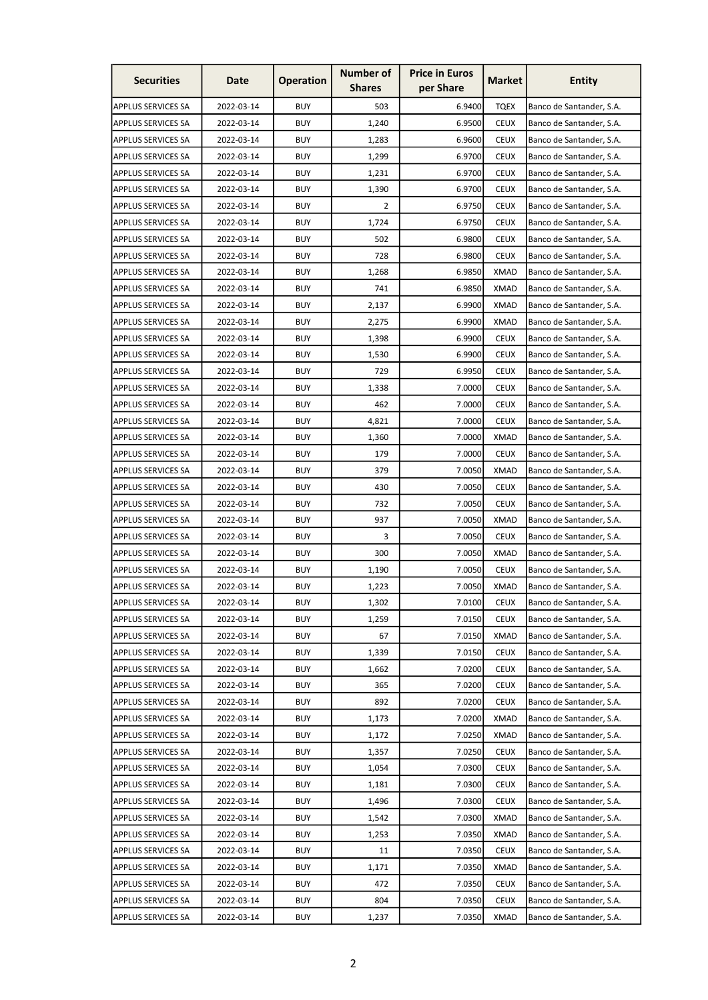| <b>Securities</b><br><b>Operation</b><br><b>Market</b><br>Date<br>per Share<br><b>Shares</b> | <b>Entity</b>            |
|----------------------------------------------------------------------------------------------|--------------------------|
| <b>BUY</b><br>503<br>6.9400<br><b>TQEX</b><br><b>APPLUS SERVICES SA</b><br>2022-03-14        | Banco de Santander, S.A. |
| <b>APPLUS SERVICES SA</b><br>2022-03-14<br><b>BUY</b><br>1,240<br>6.9500<br><b>CEUX</b>      | Banco de Santander, S.A. |
| <b>BUY</b><br>6.9600<br><b>CEUX</b><br><b>APPLUS SERVICES SA</b><br>2022-03-14<br>1,283      | Banco de Santander, S.A. |
| <b>BUY</b><br>6.9700<br><b>CEUX</b><br><b>APPLUS SERVICES SA</b><br>2022-03-14<br>1,299      | Banco de Santander, S.A. |
| <b>BUY</b><br>1,231<br>6.9700<br><b>CEUX</b><br><b>APPLUS SERVICES SA</b><br>2022-03-14      | Banco de Santander, S.A. |
| <b>BUY</b><br>1,390<br>6.9700<br><b>CEUX</b><br><b>APPLUS SERVICES SA</b><br>2022-03-14      | Banco de Santander, S.A. |
| <b>BUY</b><br><b>CEUX</b><br><b>APPLUS SERVICES SA</b><br>2022-03-14<br>2<br>6.9750          | Banco de Santander, S.A. |
| <b>BUY</b><br>1,724<br>6.9750<br><b>CEUX</b><br><b>APPLUS SERVICES SA</b><br>2022-03-14      | Banco de Santander, S.A. |
| 2022-03-14<br><b>BUY</b><br>502<br>6.9800<br><b>CEUX</b><br><b>APPLUS SERVICES SA</b>        | Banco de Santander, S.A. |
| 2022-03-14<br><b>BUY</b><br>728<br>6.9800<br><b>CEUX</b><br><b>APPLUS SERVICES SA</b>        | Banco de Santander, S.A. |
| <b>BUY</b><br>6.9850<br><b>XMAD</b><br><b>APPLUS SERVICES SA</b><br>2022-03-14<br>1,268      | Banco de Santander, S.A. |
| <b>BUY</b><br>741<br>6.9850<br><b>XMAD</b><br><b>APPLUS SERVICES SA</b><br>2022-03-14        | Banco de Santander, S.A. |
| 2022-03-14<br><b>BUY</b><br>6.9900<br><b>XMAD</b><br><b>APPLUS SERVICES SA</b><br>2,137      | Banco de Santander, S.A. |
| <b>BUY</b><br>6.9900<br><b>APPLUS SERVICES SA</b><br>2022-03-14<br>2,275<br>XMAD             | Banco de Santander, S.A. |
| <b>BUY</b><br>2022-03-14<br>6.9900<br><b>CEUX</b><br><b>APPLUS SERVICES SA</b><br>1,398      | Banco de Santander, S.A. |
| 2022-03-14<br><b>BUY</b><br>6.9900<br><b>CEUX</b><br><b>APPLUS SERVICES SA</b><br>1,530      | Banco de Santander, S.A. |
| <b>BUY</b><br>729<br>6.9950<br><b>CEUX</b><br><b>APPLUS SERVICES SA</b><br>2022-03-14        | Banco de Santander, S.A. |
| <b>BUY</b><br>1,338<br>7.0000<br><b>CEUX</b><br><b>APPLUS SERVICES SA</b><br>2022-03-14      | Banco de Santander, S.A. |
| <b>BUY</b><br>462<br>7.0000<br><b>CEUX</b><br><b>APPLUS SERVICES SA</b><br>2022-03-14        | Banco de Santander, S.A. |
| <b>BUY</b><br>7.0000<br><b>APPLUS SERVICES SA</b><br>2022-03-14<br>4,821<br><b>CEUX</b>      | Banco de Santander, S.A. |
| <b>BUY</b><br><b>APPLUS SERVICES SA</b><br>2022-03-14<br>1,360<br>7.0000<br><b>XMAD</b>      | Banco de Santander, S.A. |
| <b>BUY</b><br>179<br><b>CEUX</b><br><b>APPLUS SERVICES SA</b><br>2022-03-14<br>7.0000        | Banco de Santander, S.A. |
| <b>BUY</b><br>379<br>7.0050<br><b>XMAD</b><br><b>APPLUS SERVICES SA</b><br>2022-03-14        | Banco de Santander, S.A. |
| <b>BUY</b><br><b>APPLUS SERVICES SA</b><br>2022-03-14<br>430<br>7.0050<br><b>CEUX</b>        | Banco de Santander, S.A. |
| <b>BUY</b><br>732<br>7.0050<br><b>CEUX</b><br><b>APPLUS SERVICES SA</b><br>2022-03-14        | Banco de Santander, S.A. |
| <b>BUY</b><br><b>APPLUS SERVICES SA</b><br>2022-03-14<br>937<br>7.0050<br>XMAD               | Banco de Santander, S.A. |
| <b>APPLUS SERVICES SA</b><br>2022-03-14<br><b>BUY</b><br>3<br>7.0050<br><b>CEUX</b>          | Banco de Santander, S.A. |
| <b>BUY</b><br>300<br>7.0050<br><b>XMAD</b><br><b>APPLUS SERVICES SA</b><br>2022-03-14        | Banco de Santander, S.A. |
| <b>BUY</b><br>7.0050<br><b>CEUX</b><br>APPLUS SERVICES SA<br>2022-03-14<br>1,190             | Banco de Santander, S.A. |
| <b>APPLUS SERVICES SA</b><br>2022-03-14<br><b>BUY</b><br>1,223<br>7.0050<br><b>XMAD</b>      | Banco de Santander, S.A. |
| <b>BUY</b><br>7.0100<br><b>APPLUS SERVICES SA</b><br>2022-03-14<br>1,302<br><b>CEUX</b>      | Banco de Santander, S.A. |
| <b>CEUX</b><br><b>APPLUS SERVICES SA</b><br>2022-03-14<br><b>BUY</b><br>1,259<br>7.0150      | Banco de Santander, S.A. |
| 2022-03-14<br><b>BUY</b><br>67<br>7.0150<br>XMAD<br><b>APPLUS SERVICES SA</b>                | Banco de Santander, S.A. |
| 2022-03-14<br><b>BUY</b><br>1,339<br>7.0150<br><b>CEUX</b><br><b>APPLUS SERVICES SA</b>      | Banco de Santander, S.A. |
| <b>APPLUS SERVICES SA</b><br>2022-03-14<br><b>BUY</b><br>1,662<br>7.0200<br><b>CEUX</b>      | Banco de Santander, S.A. |
| <b>APPLUS SERVICES SA</b><br>2022-03-14<br><b>BUY</b><br>365<br>7.0200<br><b>CEUX</b>        | Banco de Santander, S.A. |
| <b>BUY</b><br><b>APPLUS SERVICES SA</b><br>2022-03-14<br>892<br>7.0200<br><b>CEUX</b>        | Banco de Santander, S.A. |
| <b>BUY</b><br>XMAD<br><b>APPLUS SERVICES SA</b><br>2022-03-14<br>1,173<br>7.0200             | Banco de Santander, S.A. |
| 2022-03-14<br><b>BUY</b><br>7.0250<br><b>XMAD</b><br><b>APPLUS SERVICES SA</b><br>1,172      | Banco de Santander, S.A. |
| <b>APPLUS SERVICES SA</b><br>2022-03-14<br><b>BUY</b><br>1,357<br>7.0250<br><b>CEUX</b>      | Banco de Santander, S.A. |
| <b>APPLUS SERVICES SA</b><br>2022-03-14<br><b>BUY</b><br>1,054<br>7.0300<br><b>CEUX</b>      | Banco de Santander, S.A. |
| <b>APPLUS SERVICES SA</b><br>2022-03-14<br><b>BUY</b><br>7.0300<br><b>CEUX</b><br>1,181      | Banco de Santander, S.A. |
| <b>BUY</b><br><b>APPLUS SERVICES SA</b><br>2022-03-14<br>1,496<br>7.0300<br><b>CEUX</b>      | Banco de Santander, S.A. |
| <b>APPLUS SERVICES SA</b><br>2022-03-14<br><b>BUY</b><br>1,542<br>7.0300<br><b>XMAD</b>      | Banco de Santander, S.A. |
| <b>APPLUS SERVICES SA</b><br>2022-03-14<br><b>BUY</b><br>7.0350<br><b>XMAD</b><br>1,253      | Banco de Santander, S.A. |
| <b>APPLUS SERVICES SA</b><br>2022-03-14<br><b>BUY</b><br>7.0350<br><b>CEUX</b><br>11         | Banco de Santander, S.A. |
| <b>BUY</b><br>2022-03-14<br>1,171<br>7.0350<br><b>XMAD</b><br><b>APPLUS SERVICES SA</b>      | Banco de Santander, S.A. |
| APPLUS SERVICES SA<br><b>BUY</b><br>7.0350<br><b>CEUX</b><br>2022-03-14<br>472               | Banco de Santander, S.A. |
| <b>BUY</b><br>APPLUS SERVICES SA<br>2022-03-14<br>804<br>7.0350<br><b>CEUX</b>               | Banco de Santander, S.A. |
| <b>BUY</b><br>2022-03-14<br><b>XMAD</b><br><b>APPLUS SERVICES SA</b><br>1,237<br>7.0350      | Banco de Santander, S.A. |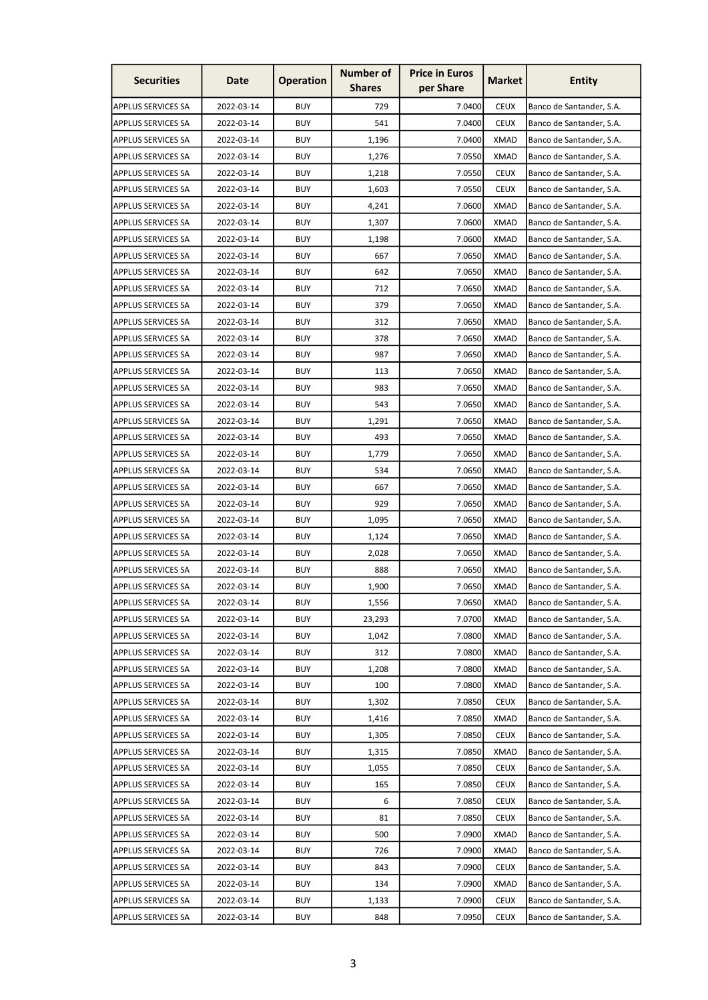| <b>Securities</b>         | Date       | <b>Operation</b> | <b>Number of</b><br><b>Shares</b> | <b>Price in Euros</b><br>per Share | <b>Market</b> | <b>Entity</b>            |
|---------------------------|------------|------------------|-----------------------------------|------------------------------------|---------------|--------------------------|
| <b>APPLUS SERVICES SA</b> | 2022-03-14 | <b>BUY</b>       | 729                               | 7.0400                             | <b>CEUX</b>   | Banco de Santander, S.A. |
| <b>APPLUS SERVICES SA</b> | 2022-03-14 | <b>BUY</b>       | 541                               | 7.0400                             | <b>CEUX</b>   | Banco de Santander, S.A. |
| <b>APPLUS SERVICES SA</b> | 2022-03-14 | <b>BUY</b>       | 1,196                             | 7.0400                             | <b>XMAD</b>   | Banco de Santander, S.A. |
| <b>APPLUS SERVICES SA</b> | 2022-03-14 | <b>BUY</b>       | 1,276                             | 7.0550                             | <b>XMAD</b>   | Banco de Santander, S.A. |
| <b>APPLUS SERVICES SA</b> | 2022-03-14 | <b>BUY</b>       | 1,218                             | 7.0550                             | <b>CEUX</b>   | Banco de Santander, S.A. |
| <b>APPLUS SERVICES SA</b> | 2022-03-14 | <b>BUY</b>       | 1,603                             | 7.0550                             | <b>CEUX</b>   | Banco de Santander, S.A. |
| <b>APPLUS SERVICES SA</b> | 2022-03-14 | BUY              | 4,241                             | 7.0600                             | <b>XMAD</b>   | Banco de Santander, S.A. |
| <b>APPLUS SERVICES SA</b> | 2022-03-14 | <b>BUY</b>       | 1,307                             | 7.0600                             | <b>XMAD</b>   | Banco de Santander, S.A. |
| <b>APPLUS SERVICES SA</b> | 2022-03-14 | <b>BUY</b>       | 1,198                             | 7.0600                             | <b>XMAD</b>   | Banco de Santander, S.A. |
| <b>APPLUS SERVICES SA</b> | 2022-03-14 | <b>BUY</b>       | 667                               | 7.0650                             | <b>XMAD</b>   | Banco de Santander, S.A. |
| <b>APPLUS SERVICES SA</b> | 2022-03-14 | <b>BUY</b>       | 642                               | 7.0650                             | <b>XMAD</b>   | Banco de Santander, S.A. |
| <b>APPLUS SERVICES SA</b> | 2022-03-14 | <b>BUY</b>       | 712                               | 7.0650                             | <b>XMAD</b>   | Banco de Santander, S.A. |
| <b>APPLUS SERVICES SA</b> | 2022-03-14 | <b>BUY</b>       | 379                               | 7.0650                             | <b>XMAD</b>   | Banco de Santander, S.A. |
| <b>APPLUS SERVICES SA</b> | 2022-03-14 | <b>BUY</b>       | 312                               | 7.0650                             | <b>XMAD</b>   | Banco de Santander, S.A. |
| <b>APPLUS SERVICES SA</b> | 2022-03-14 | <b>BUY</b>       | 378                               | 7.0650                             | <b>XMAD</b>   | Banco de Santander, S.A. |
| <b>APPLUS SERVICES SA</b> | 2022-03-14 | <b>BUY</b>       | 987                               | 7.0650                             | <b>XMAD</b>   | Banco de Santander, S.A. |
| <b>APPLUS SERVICES SA</b> | 2022-03-14 | <b>BUY</b>       | 113                               | 7.0650                             | <b>XMAD</b>   | Banco de Santander, S.A. |
| <b>APPLUS SERVICES SA</b> | 2022-03-14 | <b>BUY</b>       | 983                               | 7.0650                             | <b>XMAD</b>   | Banco de Santander, S.A. |
| <b>APPLUS SERVICES SA</b> | 2022-03-14 | <b>BUY</b>       | 543                               | 7.0650                             | <b>XMAD</b>   | Banco de Santander, S.A. |
| <b>APPLUS SERVICES SA</b> | 2022-03-14 | <b>BUY</b>       | 1,291                             | 7.0650                             | <b>XMAD</b>   | Banco de Santander, S.A. |
| <b>APPLUS SERVICES SA</b> | 2022-03-14 | <b>BUY</b>       | 493                               | 7.0650                             | <b>XMAD</b>   | Banco de Santander, S.A. |
| <b>APPLUS SERVICES SA</b> | 2022-03-14 | <b>BUY</b>       | 1,779                             | 7.0650                             | <b>XMAD</b>   | Banco de Santander, S.A. |
| <b>APPLUS SERVICES SA</b> | 2022-03-14 | <b>BUY</b>       | 534                               | 7.0650                             | <b>XMAD</b>   | Banco de Santander, S.A. |
| <b>APPLUS SERVICES SA</b> | 2022-03-14 | <b>BUY</b>       | 667                               | 7.0650                             | <b>XMAD</b>   | Banco de Santander, S.A. |
| <b>APPLUS SERVICES SA</b> | 2022-03-14 | <b>BUY</b>       | 929                               | 7.0650                             | <b>XMAD</b>   | Banco de Santander, S.A. |
| <b>APPLUS SERVICES SA</b> | 2022-03-14 | <b>BUY</b>       | 1,095                             | 7.0650                             | XMAD          | Banco de Santander, S.A. |
| <b>APPLUS SERVICES SA</b> | 2022-03-14 | <b>BUY</b>       | 1,124                             | 7.0650                             | <b>XMAD</b>   | Banco de Santander, S.A. |
| <b>APPLUS SERVICES SA</b> | 2022-03-14 | <b>BUY</b>       | 2,028                             | 7.0650                             | <b>XMAD</b>   | Banco de Santander, S.A. |
| <b>APPLUS SERVICES SA</b> | 2022-03-14 | <b>BUY</b>       | 888                               | 7.0650                             | <b>XMAD</b>   | Banco de Santander, S.A. |
| <b>APPLUS SERVICES SA</b> | 2022-03-14 | <b>BUY</b>       | 1,900                             | 7.0650                             | <b>XMAD</b>   | Banco de Santander, S.A. |
| <b>APPLUS SERVICES SA</b> | 2022-03-14 | <b>BUY</b>       | 1,556                             | 7.0650                             | <b>XMAD</b>   | Banco de Santander, S.A. |
| <b>APPLUS SERVICES SA</b> | 2022-03-14 | <b>BUY</b>       | 23,293                            | 7.0700                             | <b>XMAD</b>   | Banco de Santander, S.A. |
| <b>APPLUS SERVICES SA</b> | 2022-03-14 | <b>BUY</b>       | 1,042                             | 7.0800                             | <b>XMAD</b>   | Banco de Santander, S.A. |
| <b>APPLUS SERVICES SA</b> | 2022-03-14 | <b>BUY</b>       | 312                               | 7.0800                             | <b>XMAD</b>   | Banco de Santander, S.A. |
| <b>APPLUS SERVICES SA</b> | 2022-03-14 | <b>BUY</b>       | 1,208                             | 7.0800                             | <b>XMAD</b>   | Banco de Santander, S.A. |
| <b>APPLUS SERVICES SA</b> | 2022-03-14 | <b>BUY</b>       | 100                               | 7.0800                             | <b>XMAD</b>   | Banco de Santander, S.A. |
| <b>APPLUS SERVICES SA</b> | 2022-03-14 | <b>BUY</b>       | 1,302                             | 7.0850                             | <b>CEUX</b>   | Banco de Santander, S.A. |
| <b>APPLUS SERVICES SA</b> | 2022-03-14 | <b>BUY</b>       | 1,416                             | 7.0850                             | <b>XMAD</b>   | Banco de Santander, S.A. |
| <b>APPLUS SERVICES SA</b> | 2022-03-14 | <b>BUY</b>       | 1,305                             | 7.0850                             | <b>CEUX</b>   | Banco de Santander, S.A. |
| <b>APPLUS SERVICES SA</b> | 2022-03-14 | <b>BUY</b>       | 1,315                             | 7.0850                             | <b>XMAD</b>   | Banco de Santander, S.A. |
| <b>APPLUS SERVICES SA</b> | 2022-03-14 | <b>BUY</b>       | 1,055                             | 7.0850                             | <b>CEUX</b>   | Banco de Santander, S.A. |
| APPLUS SERVICES SA        | 2022-03-14 | <b>BUY</b>       | 165                               | 7.0850                             | <b>CEUX</b>   | Banco de Santander, S.A. |
| <b>APPLUS SERVICES SA</b> | 2022-03-14 | <b>BUY</b>       | 6                                 | 7.0850                             | <b>CEUX</b>   | Banco de Santander, S.A. |
| <b>APPLUS SERVICES SA</b> | 2022-03-14 | <b>BUY</b>       | 81                                | 7.0850                             | <b>CEUX</b>   | Banco de Santander, S.A. |
| <b>APPLUS SERVICES SA</b> | 2022-03-14 | <b>BUY</b>       | 500                               | 7.0900                             | <b>XMAD</b>   | Banco de Santander, S.A. |
| <b>APPLUS SERVICES SA</b> | 2022-03-14 | <b>BUY</b>       | 726                               | 7.0900                             | <b>XMAD</b>   | Banco de Santander, S.A. |
| <b>APPLUS SERVICES SA</b> | 2022-03-14 | <b>BUY</b>       | 843                               | 7.0900                             | <b>CEUX</b>   | Banco de Santander, S.A. |
| <b>APPLUS SERVICES SA</b> | 2022-03-14 | <b>BUY</b>       | 134                               | 7.0900                             | <b>XMAD</b>   | Banco de Santander, S.A. |
| <b>APPLUS SERVICES SA</b> | 2022-03-14 | <b>BUY</b>       | 1,133                             | 7.0900                             | <b>CEUX</b>   | Banco de Santander, S.A. |
| <b>APPLUS SERVICES SA</b> | 2022-03-14 | <b>BUY</b>       | 848                               | 7.0950                             | <b>CEUX</b>   | Banco de Santander, S.A. |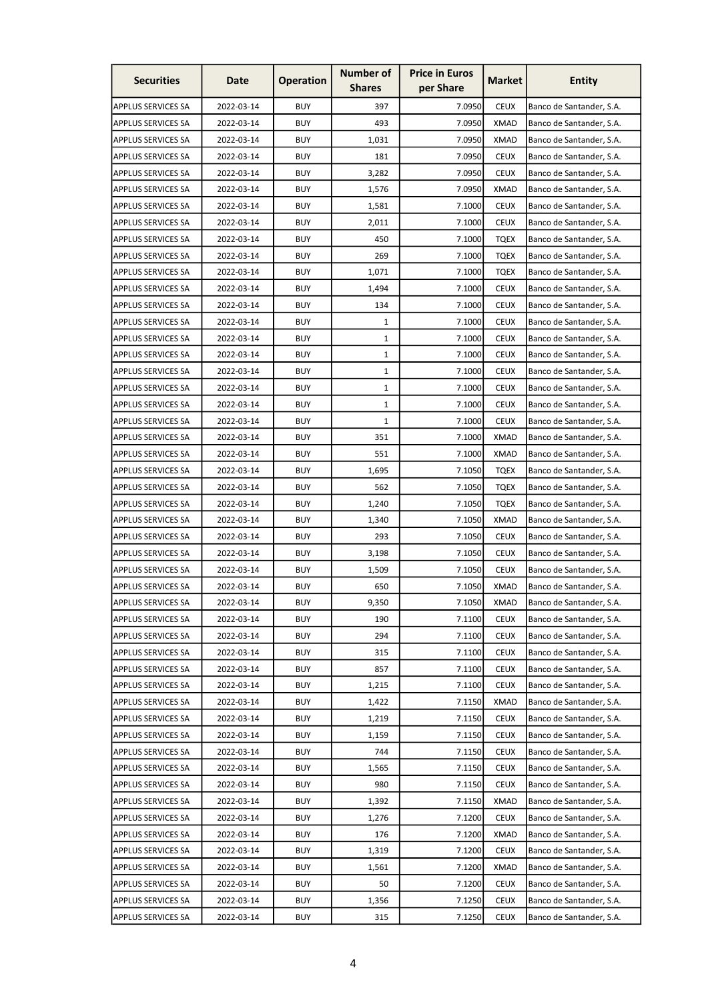| <b>Securities</b>         | Date       | <b>Operation</b> | <b>Number of</b><br><b>Shares</b> | <b>Price in Euros</b><br>per Share | <b>Market</b> | <b>Entity</b>            |
|---------------------------|------------|------------------|-----------------------------------|------------------------------------|---------------|--------------------------|
| <b>APPLUS SERVICES SA</b> | 2022-03-14 | <b>BUY</b>       | 397                               | 7.0950                             | <b>CEUX</b>   | Banco de Santander, S.A. |
| <b>APPLUS SERVICES SA</b> | 2022-03-14 | <b>BUY</b>       | 493                               | 7.0950                             | <b>XMAD</b>   | Banco de Santander, S.A. |
| <b>APPLUS SERVICES SA</b> | 2022-03-14 | <b>BUY</b>       | 1,031                             | 7.0950                             | <b>XMAD</b>   | Banco de Santander, S.A. |
| <b>APPLUS SERVICES SA</b> | 2022-03-14 | <b>BUY</b>       | 181                               | 7.0950                             | <b>CEUX</b>   | Banco de Santander, S.A. |
| <b>APPLUS SERVICES SA</b> | 2022-03-14 | <b>BUY</b>       | 3,282                             | 7.0950                             | <b>CEUX</b>   | Banco de Santander, S.A. |
| <b>APPLUS SERVICES SA</b> | 2022-03-14 | <b>BUY</b>       | 1,576                             | 7.0950                             | <b>XMAD</b>   | Banco de Santander, S.A. |
| <b>APPLUS SERVICES SA</b> | 2022-03-14 | <b>BUY</b>       | 1,581                             | 7.1000                             | <b>CEUX</b>   | Banco de Santander, S.A. |
| <b>APPLUS SERVICES SA</b> | 2022-03-14 | <b>BUY</b>       | 2,011                             | 7.1000                             | <b>CEUX</b>   | Banco de Santander, S.A. |
| <b>APPLUS SERVICES SA</b> | 2022-03-14 | <b>BUY</b>       | 450                               | 7.1000                             | <b>TQEX</b>   | Banco de Santander, S.A. |
| <b>APPLUS SERVICES SA</b> | 2022-03-14 | <b>BUY</b>       | 269                               | 7.1000                             | TQEX          | Banco de Santander, S.A. |
| <b>APPLUS SERVICES SA</b> | 2022-03-14 | <b>BUY</b>       | 1,071                             | 7.1000                             | <b>TQEX</b>   | Banco de Santander, S.A. |
| <b>APPLUS SERVICES SA</b> | 2022-03-14 | <b>BUY</b>       | 1,494                             | 7.1000                             | <b>CEUX</b>   | Banco de Santander, S.A. |
| <b>APPLUS SERVICES SA</b> | 2022-03-14 | <b>BUY</b>       | 134                               | 7.1000                             | <b>CEUX</b>   | Banco de Santander, S.A. |
| <b>APPLUS SERVICES SA</b> | 2022-03-14 | <b>BUY</b>       | 1                                 | 7.1000                             | <b>CEUX</b>   | Banco de Santander, S.A. |
| <b>APPLUS SERVICES SA</b> | 2022-03-14 | <b>BUY</b>       | $\mathbf{1}$                      | 7.1000                             | <b>CEUX</b>   | Banco de Santander, S.A. |
| <b>APPLUS SERVICES SA</b> | 2022-03-14 | <b>BUY</b>       | $\mathbf{1}$                      | 7.1000                             | <b>CEUX</b>   | Banco de Santander, S.A. |
| <b>APPLUS SERVICES SA</b> | 2022-03-14 | <b>BUY</b>       | $\mathbf{1}$                      | 7.1000                             | <b>CEUX</b>   | Banco de Santander, S.A. |
| <b>APPLUS SERVICES SA</b> | 2022-03-14 | <b>BUY</b>       | $\mathbf{1}$                      | 7.1000                             | <b>CEUX</b>   | Banco de Santander, S.A. |
| <b>APPLUS SERVICES SA</b> | 2022-03-14 | <b>BUY</b>       | $\mathbf{1}$                      | 7.1000                             | <b>CEUX</b>   | Banco de Santander, S.A. |
| <b>APPLUS SERVICES SA</b> | 2022-03-14 | <b>BUY</b>       | 1                                 | 7.1000                             | <b>CEUX</b>   | Banco de Santander, S.A. |
| <b>APPLUS SERVICES SA</b> | 2022-03-14 | <b>BUY</b>       | 351                               | 7.1000                             | <b>XMAD</b>   | Banco de Santander, S.A. |
| <b>APPLUS SERVICES SA</b> | 2022-03-14 | <b>BUY</b>       | 551                               | 7.1000                             | <b>XMAD</b>   | Banco de Santander, S.A. |
| <b>APPLUS SERVICES SA</b> | 2022-03-14 | <b>BUY</b>       | 1,695                             | 7.1050                             | <b>TQEX</b>   | Banco de Santander, S.A. |
| <b>APPLUS SERVICES SA</b> | 2022-03-14 | <b>BUY</b>       | 562                               | 7.1050                             | <b>TQEX</b>   | Banco de Santander, S.A. |
| <b>APPLUS SERVICES SA</b> | 2022-03-14 | <b>BUY</b>       | 1,240                             | 7.1050                             | <b>TQEX</b>   | Banco de Santander, S.A. |
| <b>APPLUS SERVICES SA</b> | 2022-03-14 | <b>BUY</b>       | 1,340                             | 7.1050                             | <b>XMAD</b>   | Banco de Santander, S.A. |
| <b>APPLUS SERVICES SA</b> | 2022-03-14 | <b>BUY</b>       | 293                               | 7.1050                             | <b>CEUX</b>   | Banco de Santander, S.A. |
| <b>APPLUS SERVICES SA</b> | 2022-03-14 | <b>BUY</b>       | 3,198                             | 7.1050                             | <b>CEUX</b>   | Banco de Santander, S.A. |
| <b>APPLUS SERVICES SA</b> | 2022-03-14 | <b>BUY</b>       | 1,509                             | 7.1050                             | <b>CEUX</b>   | Banco de Santander, S.A. |
| <b>APPLUS SERVICES SA</b> | 2022-03-14 | <b>BUY</b>       | 650                               | 7.1050                             | <b>XMAD</b>   | Banco de Santander, S.A. |
| APPLUS SERVICES SA        | 2022-03-14 | <b>BUY</b>       | 9,350                             | 7.1050                             | XMAD          | Banco de Santander, S.A. |
| <b>APPLUS SERVICES SA</b> | 2022-03-14 | <b>BUY</b>       | 190                               | 7.1100                             | <b>CEUX</b>   | Banco de Santander, S.A. |
| <b>APPLUS SERVICES SA</b> | 2022-03-14 | <b>BUY</b>       | 294                               | 7.1100                             | <b>CEUX</b>   | Banco de Santander, S.A. |
| <b>APPLUS SERVICES SA</b> | 2022-03-14 | <b>BUY</b>       | 315                               | 7.1100                             | <b>CEUX</b>   | Banco de Santander, S.A. |
| <b>APPLUS SERVICES SA</b> | 2022-03-14 | <b>BUY</b>       | 857                               | 7.1100                             | <b>CEUX</b>   | Banco de Santander, S.A. |
| <b>APPLUS SERVICES SA</b> | 2022-03-14 | <b>BUY</b>       | 1,215                             | 7.1100                             | <b>CEUX</b>   | Banco de Santander, S.A. |
| <b>APPLUS SERVICES SA</b> | 2022-03-14 | <b>BUY</b>       | 1,422                             | 7.1150                             | <b>XMAD</b>   | Banco de Santander, S.A. |
| <b>APPLUS SERVICES SA</b> | 2022-03-14 | <b>BUY</b>       | 1,219                             | 7.1150                             | <b>CEUX</b>   | Banco de Santander, S.A. |
| <b>APPLUS SERVICES SA</b> | 2022-03-14 | <b>BUY</b>       | 1,159                             | 7.1150                             | <b>CEUX</b>   | Banco de Santander, S.A. |
| <b>APPLUS SERVICES SA</b> | 2022-03-14 | <b>BUY</b>       | 744                               | 7.1150                             | <b>CEUX</b>   | Banco de Santander, S.A. |
| <b>APPLUS SERVICES SA</b> | 2022-03-14 | <b>BUY</b>       | 1,565                             | 7.1150                             | <b>CEUX</b>   | Banco de Santander, S.A. |
| APPLUS SERVICES SA        | 2022-03-14 | <b>BUY</b>       | 980                               | 7.1150                             | <b>CEUX</b>   | Banco de Santander, S.A. |
| <b>APPLUS SERVICES SA</b> | 2022-03-14 | <b>BUY</b>       | 1,392                             | 7.1150                             | <b>XMAD</b>   | Banco de Santander, S.A. |
| <b>APPLUS SERVICES SA</b> | 2022-03-14 | <b>BUY</b>       | 1,276                             | 7.1200                             | <b>CEUX</b>   | Banco de Santander, S.A. |
| <b>APPLUS SERVICES SA</b> | 2022-03-14 | <b>BUY</b>       | 176                               | 7.1200                             | <b>XMAD</b>   | Banco de Santander, S.A. |
| <b>APPLUS SERVICES SA</b> | 2022-03-14 | <b>BUY</b>       | 1,319                             | 7.1200                             | <b>CEUX</b>   | Banco de Santander, S.A. |
| <b>APPLUS SERVICES SA</b> | 2022-03-14 | <b>BUY</b>       | 1,561                             | 7.1200                             | <b>XMAD</b>   | Banco de Santander, S.A. |
| <b>APPLUS SERVICES SA</b> | 2022-03-14 | <b>BUY</b>       | 50                                | 7.1200                             | <b>CEUX</b>   | Banco de Santander, S.A. |
| <b>APPLUS SERVICES SA</b> | 2022-03-14 | <b>BUY</b>       | 1,356                             | 7.1250                             | <b>CEUX</b>   | Banco de Santander, S.A. |
| <b>APPLUS SERVICES SA</b> | 2022-03-14 | <b>BUY</b>       | 315                               | 7.1250                             | <b>CEUX</b>   | Banco de Santander, S.A. |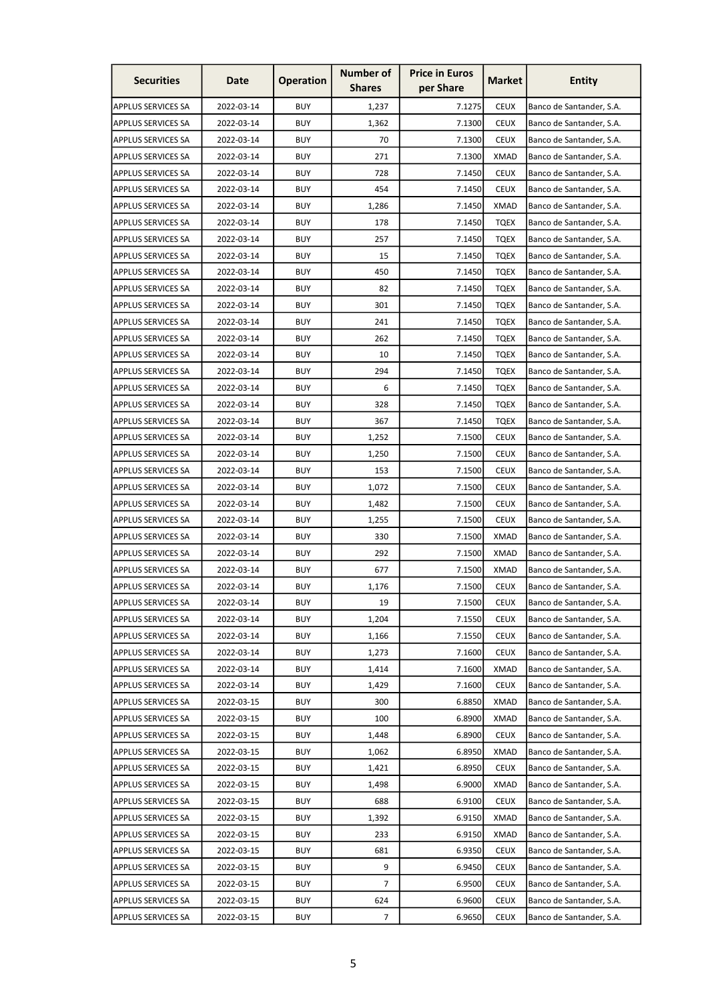| <b>Securities</b>         | Date       | <b>Operation</b> | <b>Number of</b><br><b>Shares</b> | <b>Price in Euros</b><br>per Share | <b>Market</b> | <b>Entity</b>            |
|---------------------------|------------|------------------|-----------------------------------|------------------------------------|---------------|--------------------------|
| <b>APPLUS SERVICES SA</b> | 2022-03-14 | <b>BUY</b>       | 1,237                             | 7.1275                             | <b>CEUX</b>   | Banco de Santander, S.A. |
| <b>APPLUS SERVICES SA</b> | 2022-03-14 | <b>BUY</b>       | 1,362                             | 7.1300                             | <b>CEUX</b>   | Banco de Santander, S.A. |
| <b>APPLUS SERVICES SA</b> | 2022-03-14 | <b>BUY</b>       | 70                                | 7.1300                             | <b>CEUX</b>   | Banco de Santander, S.A. |
| <b>APPLUS SERVICES SA</b> | 2022-03-14 | <b>BUY</b>       | 271                               | 7.1300                             | <b>XMAD</b>   | Banco de Santander, S.A. |
| <b>APPLUS SERVICES SA</b> | 2022-03-14 | <b>BUY</b>       | 728                               | 7.1450                             | <b>CEUX</b>   | Banco de Santander, S.A. |
| <b>APPLUS SERVICES SA</b> | 2022-03-14 | <b>BUY</b>       | 454                               | 7.1450                             | <b>CEUX</b>   | Banco de Santander, S.A. |
| <b>APPLUS SERVICES SA</b> | 2022-03-14 | <b>BUY</b>       | 1,286                             | 7.1450                             | XMAD          | Banco de Santander, S.A. |
| <b>APPLUS SERVICES SA</b> | 2022-03-14 | <b>BUY</b>       | 178                               | 7.1450                             | <b>TQEX</b>   | Banco de Santander, S.A. |
| <b>APPLUS SERVICES SA</b> | 2022-03-14 | <b>BUY</b>       | 257                               | 7.1450                             | <b>TQEX</b>   | Banco de Santander, S.A. |
| <b>APPLUS SERVICES SA</b> | 2022-03-14 | <b>BUY</b>       | 15                                | 7.1450                             | <b>TQEX</b>   | Banco de Santander, S.A. |
| <b>APPLUS SERVICES SA</b> | 2022-03-14 | <b>BUY</b>       | 450                               | 7.1450                             | <b>TQEX</b>   | Banco de Santander, S.A. |
| <b>APPLUS SERVICES SA</b> | 2022-03-14 | <b>BUY</b>       | 82                                | 7.1450                             | <b>TQEX</b>   | Banco de Santander, S.A. |
| <b>APPLUS SERVICES SA</b> | 2022-03-14 | <b>BUY</b>       | 301                               | 7.1450                             | <b>TQEX</b>   | Banco de Santander, S.A. |
| <b>APPLUS SERVICES SA</b> | 2022-03-14 | <b>BUY</b>       | 241                               | 7.1450                             | <b>TQEX</b>   | Banco de Santander, S.A. |
| <b>APPLUS SERVICES SA</b> | 2022-03-14 | <b>BUY</b>       | 262                               | 7.1450                             | <b>TQEX</b>   | Banco de Santander, S.A. |
| <b>APPLUS SERVICES SA</b> | 2022-03-14 | <b>BUY</b>       | 10                                | 7.1450                             | <b>TQEX</b>   | Banco de Santander, S.A. |
| <b>APPLUS SERVICES SA</b> | 2022-03-14 | <b>BUY</b>       | 294                               | 7.1450                             | <b>TQEX</b>   | Banco de Santander, S.A. |
| <b>APPLUS SERVICES SA</b> | 2022-03-14 | <b>BUY</b>       | 6                                 | 7.1450                             | <b>TOEX</b>   | Banco de Santander, S.A. |
| <b>APPLUS SERVICES SA</b> | 2022-03-14 | <b>BUY</b>       | 328                               | 7.1450                             | <b>TQEX</b>   | Banco de Santander, S.A. |
| <b>APPLUS SERVICES SA</b> | 2022-03-14 | <b>BUY</b>       | 367                               | 7.1450                             | <b>TQEX</b>   | Banco de Santander, S.A. |
| <b>APPLUS SERVICES SA</b> | 2022-03-14 | <b>BUY</b>       | 1,252                             | 7.1500                             | <b>CEUX</b>   | Banco de Santander, S.A. |
| <b>APPLUS SERVICES SA</b> | 2022-03-14 | <b>BUY</b>       | 1,250                             | 7.1500                             | <b>CEUX</b>   | Banco de Santander, S.A. |
| <b>APPLUS SERVICES SA</b> | 2022-03-14 | <b>BUY</b>       | 153                               | 7.1500                             | <b>CEUX</b>   | Banco de Santander, S.A. |
| <b>APPLUS SERVICES SA</b> | 2022-03-14 | <b>BUY</b>       | 1,072                             | 7.1500                             | <b>CEUX</b>   | Banco de Santander, S.A. |
| <b>APPLUS SERVICES SA</b> | 2022-03-14 | <b>BUY</b>       | 1,482                             | 7.1500                             | <b>CEUX</b>   | Banco de Santander, S.A. |
| <b>APPLUS SERVICES SA</b> | 2022-03-14 | <b>BUY</b>       | 1,255                             | 7.1500                             | <b>CEUX</b>   | Banco de Santander, S.A. |
| <b>APPLUS SERVICES SA</b> | 2022-03-14 | <b>BUY</b>       | 330                               | 7.1500                             | <b>XMAD</b>   | Banco de Santander, S.A. |
| <b>APPLUS SERVICES SA</b> | 2022-03-14 | <b>BUY</b>       | 292                               | 7.1500                             | <b>XMAD</b>   | Banco de Santander, S.A. |
| APPLUS SERVICES SA        | 2022-03-14 | <b>BUY</b>       | 677                               | 7.1500                             | <b>XMAD</b>   | Banco de Santander, S.A. |
| <b>APPLUS SERVICES SA</b> | 2022-03-14 | <b>BUY</b>       | 1,176                             | 7.1500                             | <b>CEUX</b>   | Banco de Santander, S.A. |
| <b>APPLUS SERVICES SA</b> | 2022-03-14 | <b>BUY</b>       | 19                                | 7.1500                             | <b>CEUX</b>   | Banco de Santander, S.A. |
| <b>APPLUS SERVICES SA</b> | 2022-03-14 | <b>BUY</b>       | 1,204                             | 7.1550                             | <b>CEUX</b>   | Banco de Santander, S.A. |
| <b>APPLUS SERVICES SA</b> | 2022-03-14 | <b>BUY</b>       | 1,166                             | 7.1550                             | <b>CEUX</b>   | Banco de Santander, S.A. |
| <b>APPLUS SERVICES SA</b> | 2022-03-14 | <b>BUY</b>       | 1,273                             | 7.1600                             | <b>CEUX</b>   | Banco de Santander, S.A. |
| <b>APPLUS SERVICES SA</b> | 2022-03-14 | <b>BUY</b>       | 1,414                             | 7.1600                             | <b>XMAD</b>   | Banco de Santander, S.A. |
| <b>APPLUS SERVICES SA</b> | 2022-03-14 | <b>BUY</b>       | 1,429                             | 7.1600                             | <b>CEUX</b>   | Banco de Santander, S.A. |
| <b>APPLUS SERVICES SA</b> | 2022-03-15 | <b>BUY</b>       | 300                               | 6.8850                             | <b>XMAD</b>   | Banco de Santander, S.A. |
| <b>APPLUS SERVICES SA</b> | 2022-03-15 | <b>BUY</b>       | 100                               | 6.8900                             | <b>XMAD</b>   | Banco de Santander, S.A. |
| <b>APPLUS SERVICES SA</b> | 2022-03-15 | <b>BUY</b>       | 1,448                             | 6.8900                             | <b>CEUX</b>   | Banco de Santander, S.A. |
| <b>APPLUS SERVICES SA</b> | 2022-03-15 | <b>BUY</b>       | 1,062                             | 6.8950                             | <b>XMAD</b>   | Banco de Santander, S.A. |
| <b>APPLUS SERVICES SA</b> | 2022-03-15 | <b>BUY</b>       | 1,421                             | 6.8950                             | <b>CEUX</b>   | Banco de Santander, S.A. |
| <b>APPLUS SERVICES SA</b> | 2022-03-15 | <b>BUY</b>       | 1,498                             | 6.9000                             | <b>XMAD</b>   | Banco de Santander, S.A. |
| <b>APPLUS SERVICES SA</b> | 2022-03-15 | <b>BUY</b>       | 688                               | 6.9100                             | <b>CEUX</b>   | Banco de Santander, S.A. |
| <b>APPLUS SERVICES SA</b> | 2022-03-15 | <b>BUY</b>       | 1,392                             | 6.9150                             | <b>XMAD</b>   | Banco de Santander, S.A. |
| <b>APPLUS SERVICES SA</b> | 2022-03-15 | <b>BUY</b>       | 233                               | 6.9150                             | <b>XMAD</b>   | Banco de Santander, S.A. |
| <b>APPLUS SERVICES SA</b> | 2022-03-15 | <b>BUY</b>       | 681                               | 6.9350                             | <b>CEUX</b>   | Banco de Santander, S.A. |
| <b>APPLUS SERVICES SA</b> | 2022-03-15 | <b>BUY</b>       | 9                                 | 6.9450                             | <b>CEUX</b>   | Banco de Santander, S.A. |
| APPLUS SERVICES SA        | 2022-03-15 | <b>BUY</b>       | 7                                 | 6.9500                             | <b>CEUX</b>   | Banco de Santander, S.A. |
| APPLUS SERVICES SA        | 2022-03-15 | <b>BUY</b>       | 624                               | 6.9600                             | <b>CEUX</b>   | Banco de Santander, S.A. |
| <b>APPLUS SERVICES SA</b> | 2022-03-15 | <b>BUY</b>       | 7                                 | 6.9650                             | <b>CEUX</b>   | Banco de Santander, S.A. |
|                           |            |                  |                                   |                                    |               |                          |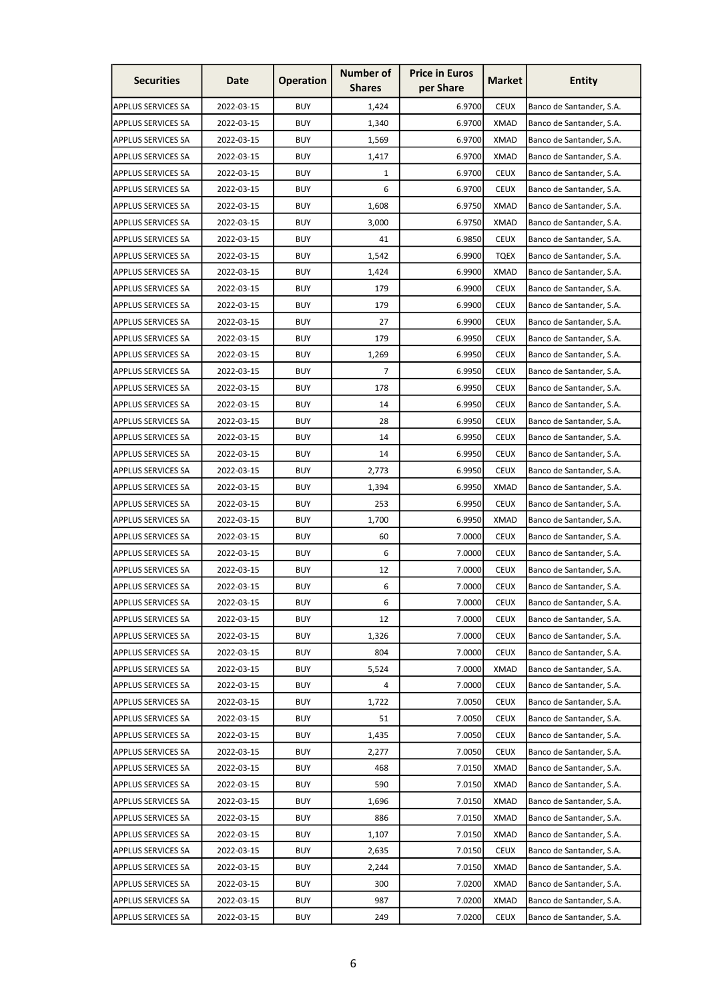| <b>Securities</b>         | Date       | <b>Operation</b> | <b>Number of</b><br><b>Shares</b> | <b>Price in Euros</b><br>per Share | <b>Market</b> | <b>Entity</b>            |
|---------------------------|------------|------------------|-----------------------------------|------------------------------------|---------------|--------------------------|
| <b>APPLUS SERVICES SA</b> | 2022-03-15 | <b>BUY</b>       | 1,424                             | 6.9700                             | <b>CEUX</b>   | Banco de Santander, S.A. |
| <b>APPLUS SERVICES SA</b> | 2022-03-15 | <b>BUY</b>       | 1,340                             | 6.9700                             | <b>XMAD</b>   | Banco de Santander, S.A. |
| <b>APPLUS SERVICES SA</b> | 2022-03-15 | <b>BUY</b>       | 1,569                             | 6.9700                             | <b>XMAD</b>   | Banco de Santander, S.A. |
| <b>APPLUS SERVICES SA</b> | 2022-03-15 | <b>BUY</b>       | 1,417                             | 6.9700                             | <b>XMAD</b>   | Banco de Santander, S.A. |
| <b>APPLUS SERVICES SA</b> | 2022-03-15 | <b>BUY</b>       | $\mathbf{1}$                      | 6.9700                             | <b>CEUX</b>   | Banco de Santander, S.A. |
| <b>APPLUS SERVICES SA</b> | 2022-03-15 | <b>BUY</b>       | 6                                 | 6.9700                             | <b>CEUX</b>   | Banco de Santander, S.A. |
| <b>APPLUS SERVICES SA</b> | 2022-03-15 | <b>BUY</b>       | 1,608                             | 6.9750                             | XMAD          | Banco de Santander, S.A. |
| <b>APPLUS SERVICES SA</b> | 2022-03-15 | <b>BUY</b>       | 3,000                             | 6.9750                             | <b>XMAD</b>   | Banco de Santander, S.A. |
| <b>APPLUS SERVICES SA</b> | 2022-03-15 | <b>BUY</b>       | 41                                | 6.9850                             | <b>CEUX</b>   | Banco de Santander, S.A. |
| <b>APPLUS SERVICES SA</b> | 2022-03-15 | <b>BUY</b>       | 1,542                             | 6.9900                             | TQEX          | Banco de Santander, S.A. |
| <b>APPLUS SERVICES SA</b> | 2022-03-15 | <b>BUY</b>       | 1,424                             | 6.9900                             | <b>XMAD</b>   | Banco de Santander, S.A. |
| <b>APPLUS SERVICES SA</b> | 2022-03-15 | <b>BUY</b>       | 179                               | 6.9900                             | <b>CEUX</b>   | Banco de Santander, S.A. |
| <b>APPLUS SERVICES SA</b> | 2022-03-15 | <b>BUY</b>       | 179                               | 6.9900                             | <b>CEUX</b>   | Banco de Santander, S.A. |
| <b>APPLUS SERVICES SA</b> | 2022-03-15 | <b>BUY</b>       | 27                                | 6.9900                             | <b>CEUX</b>   | Banco de Santander, S.A. |
| <b>APPLUS SERVICES SA</b> | 2022-03-15 | <b>BUY</b>       | 179                               | 6.9950                             | <b>CEUX</b>   | Banco de Santander, S.A. |
| <b>APPLUS SERVICES SA</b> | 2022-03-15 | <b>BUY</b>       | 1,269                             | 6.9950                             | <b>CEUX</b>   | Banco de Santander, S.A. |
| <b>APPLUS SERVICES SA</b> | 2022-03-15 | <b>BUY</b>       | 7                                 | 6.9950                             | <b>CEUX</b>   | Banco de Santander, S.A. |
| <b>APPLUS SERVICES SA</b> | 2022-03-15 | <b>BUY</b>       | 178                               | 6.9950                             | <b>CEUX</b>   | Banco de Santander, S.A. |
| <b>APPLUS SERVICES SA</b> | 2022-03-15 | <b>BUY</b>       | 14                                | 6.9950                             | <b>CEUX</b>   | Banco de Santander, S.A. |
| <b>APPLUS SERVICES SA</b> | 2022-03-15 | <b>BUY</b>       | 28                                | 6.9950                             | <b>CEUX</b>   | Banco de Santander, S.A. |
| <b>APPLUS SERVICES SA</b> | 2022-03-15 | <b>BUY</b>       | 14                                | 6.9950                             | <b>CEUX</b>   | Banco de Santander, S.A. |
| <b>APPLUS SERVICES SA</b> | 2022-03-15 | <b>BUY</b>       | 14                                | 6.9950                             | <b>CEUX</b>   | Banco de Santander, S.A. |
| <b>APPLUS SERVICES SA</b> | 2022-03-15 | <b>BUY</b>       | 2,773                             | 6.9950                             | <b>CEUX</b>   | Banco de Santander, S.A. |
| <b>APPLUS SERVICES SA</b> | 2022-03-15 | <b>BUY</b>       | 1,394                             | 6.9950                             | <b>XMAD</b>   | Banco de Santander, S.A. |
| <b>APPLUS SERVICES SA</b> | 2022-03-15 | <b>BUY</b>       | 253                               | 6.9950                             | <b>CEUX</b>   | Banco de Santander, S.A. |
| <b>APPLUS SERVICES SA</b> | 2022-03-15 | <b>BUY</b>       | 1,700                             | 6.9950                             | XMAD          | Banco de Santander, S.A. |
| <b>APPLUS SERVICES SA</b> | 2022-03-15 | <b>BUY</b>       | 60                                | 7.0000                             | <b>CEUX</b>   | Banco de Santander, S.A. |
| <b>APPLUS SERVICES SA</b> | 2022-03-15 | <b>BUY</b>       | 6                                 | 7.0000                             | <b>CEUX</b>   | Banco de Santander, S.A. |
| <b>APPLUS SERVICES SA</b> | 2022-03-15 | <b>BUY</b>       | 12                                | 7.0000                             | <b>CEUX</b>   | Banco de Santander, S.A. |
| <b>APPLUS SERVICES SA</b> | 2022-03-15 | <b>BUY</b>       | 6                                 | 7.0000                             | <b>CEUX</b>   | Banco de Santander, S.A. |
| APPLUS SERVICES SA        | 2022-03-15 | <b>BUY</b>       | 6                                 | 7.0000                             | <b>CEUX</b>   | Banco de Santander, S.A. |
| <b>APPLUS SERVICES SA</b> | 2022-03-15 | <b>BUY</b>       | 12                                | 7.0000                             | <b>CEUX</b>   | Banco de Santander, S.A. |
| <b>APPLUS SERVICES SA</b> | 2022-03-15 | <b>BUY</b>       | 1,326                             | 7.0000                             | <b>CEUX</b>   | Banco de Santander, S.A. |
| <b>APPLUS SERVICES SA</b> | 2022-03-15 | <b>BUY</b>       | 804                               | 7.0000                             | <b>CEUX</b>   | Banco de Santander, S.A. |
| <b>APPLUS SERVICES SA</b> | 2022-03-15 | <b>BUY</b>       | 5,524                             | 7.0000                             | <b>XMAD</b>   | Banco de Santander, S.A. |
| <b>APPLUS SERVICES SA</b> | 2022-03-15 | <b>BUY</b>       | 4                                 | 7.0000                             | <b>CEUX</b>   | Banco de Santander, S.A. |
| <b>APPLUS SERVICES SA</b> | 2022-03-15 | <b>BUY</b>       | 1,722                             | 7.0050                             | <b>CEUX</b>   | Banco de Santander, S.A. |
| <b>APPLUS SERVICES SA</b> | 2022-03-15 | <b>BUY</b>       | 51                                | 7.0050                             | <b>CEUX</b>   | Banco de Santander, S.A. |
| <b>APPLUS SERVICES SA</b> | 2022-03-15 | <b>BUY</b>       | 1,435                             | 7.0050                             | <b>CEUX</b>   | Banco de Santander, S.A. |
| <b>APPLUS SERVICES SA</b> | 2022-03-15 | <b>BUY</b>       | 2,277                             | 7.0050                             | <b>CEUX</b>   | Banco de Santander, S.A. |
| <b>APPLUS SERVICES SA</b> | 2022-03-15 | <b>BUY</b>       | 468                               | 7.0150                             | <b>XMAD</b>   | Banco de Santander, S.A. |
| APPLUS SERVICES SA        | 2022-03-15 | <b>BUY</b>       | 590                               | 7.0150                             | <b>XMAD</b>   | Banco de Santander, S.A. |
| <b>APPLUS SERVICES SA</b> | 2022-03-15 | <b>BUY</b>       | 1,696                             | 7.0150                             | <b>XMAD</b>   | Banco de Santander, S.A. |
| <b>APPLUS SERVICES SA</b> | 2022-03-15 | <b>BUY</b>       | 886                               | 7.0150                             | <b>XMAD</b>   | Banco de Santander, S.A. |
| <b>APPLUS SERVICES SA</b> | 2022-03-15 | <b>BUY</b>       | 1,107                             | 7.0150                             | <b>XMAD</b>   | Banco de Santander, S.A. |
| <b>APPLUS SERVICES SA</b> | 2022-03-15 | <b>BUY</b>       | 2,635                             | 7.0150                             | <b>CEUX</b>   | Banco de Santander, S.A. |
| <b>APPLUS SERVICES SA</b> | 2022-03-15 | <b>BUY</b>       | 2,244                             | 7.0150                             | <b>XMAD</b>   | Banco de Santander, S.A. |
| <b>APPLUS SERVICES SA</b> | 2022-03-15 | <b>BUY</b>       | 300                               | 7.0200                             | <b>XMAD</b>   | Banco de Santander, S.A. |
| <b>APPLUS SERVICES SA</b> | 2022-03-15 | <b>BUY</b>       | 987                               | 7.0200                             | <b>XMAD</b>   | Banco de Santander, S.A. |
| <b>APPLUS SERVICES SA</b> | 2022-03-15 | <b>BUY</b>       | 249                               | 7.0200                             | <b>CEUX</b>   | Banco de Santander, S.A. |
|                           |            |                  |                                   |                                    |               |                          |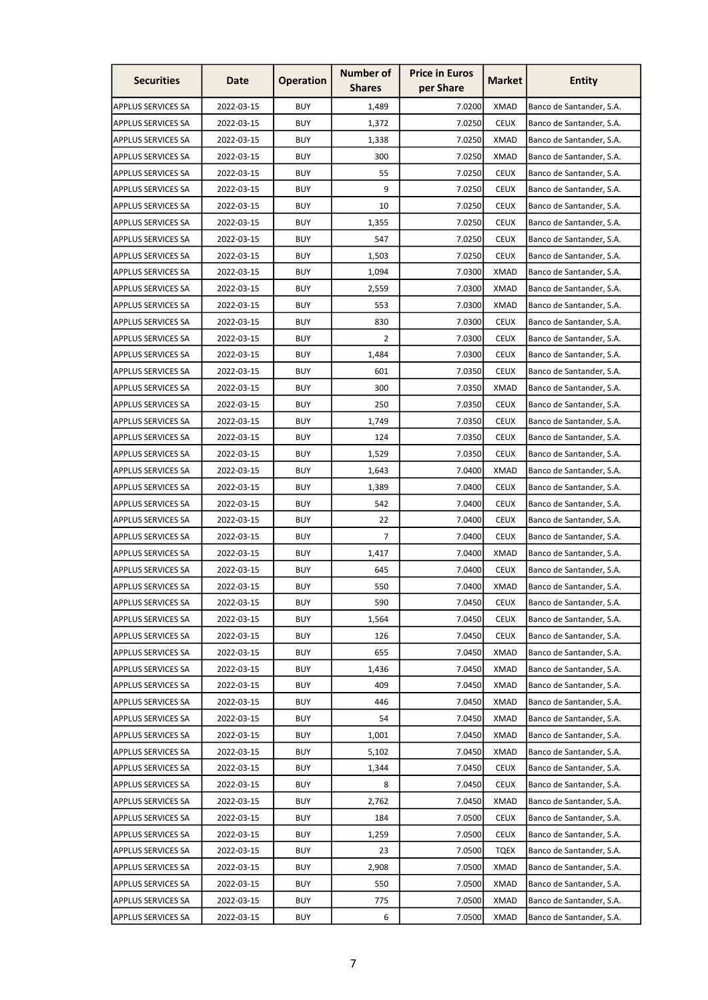| <b>Securities</b>         | Date       | <b>Operation</b> | <b>Number of</b><br><b>Shares</b> | <b>Price in Euros</b><br>per Share | <b>Market</b> | Entity                   |
|---------------------------|------------|------------------|-----------------------------------|------------------------------------|---------------|--------------------------|
| <b>APPLUS SERVICES SA</b> | 2022-03-15 | <b>BUY</b>       | 1,489                             | 7.0200                             | <b>XMAD</b>   | Banco de Santander, S.A. |
| <b>APPLUS SERVICES SA</b> | 2022-03-15 | <b>BUY</b>       | 1,372                             | 7.0250                             | <b>CEUX</b>   | Banco de Santander, S.A. |
| <b>APPLUS SERVICES SA</b> | 2022-03-15 | <b>BUY</b>       | 1,338                             | 7.0250                             | <b>XMAD</b>   | Banco de Santander, S.A. |
| <b>APPLUS SERVICES SA</b> | 2022-03-15 | <b>BUY</b>       | 300                               | 7.0250                             | <b>XMAD</b>   | Banco de Santander, S.A. |
| <b>APPLUS SERVICES SA</b> | 2022-03-15 | <b>BUY</b>       | 55                                | 7.0250                             | <b>CEUX</b>   | Banco de Santander, S.A. |
| <b>APPLUS SERVICES SA</b> | 2022-03-15 | <b>BUY</b>       | 9                                 | 7.0250                             | <b>CEUX</b>   | Banco de Santander, S.A. |
| <b>APPLUS SERVICES SA</b> | 2022-03-15 | <b>BUY</b>       | 10                                | 7.0250                             | <b>CEUX</b>   | Banco de Santander, S.A. |
| <b>APPLUS SERVICES SA</b> | 2022-03-15 | <b>BUY</b>       | 1,355                             | 7.0250                             | <b>CEUX</b>   | Banco de Santander, S.A. |
| <b>APPLUS SERVICES SA</b> | 2022-03-15 | <b>BUY</b>       | 547                               | 7.0250                             | <b>CEUX</b>   | Banco de Santander, S.A. |
| <b>APPLUS SERVICES SA</b> | 2022-03-15 | <b>BUY</b>       | 1,503                             | 7.0250                             | <b>CEUX</b>   | Banco de Santander, S.A. |
| <b>APPLUS SERVICES SA</b> | 2022-03-15 | <b>BUY</b>       | 1,094                             | 7.0300                             | <b>XMAD</b>   | Banco de Santander, S.A. |
| <b>APPLUS SERVICES SA</b> | 2022-03-15 | <b>BUY</b>       | 2,559                             | 7.0300                             | <b>XMAD</b>   | Banco de Santander, S.A. |
| <b>APPLUS SERVICES SA</b> | 2022-03-15 | <b>BUY</b>       | 553                               | 7.0300                             | <b>XMAD</b>   | Banco de Santander, S.A. |
| <b>APPLUS SERVICES SA</b> | 2022-03-15 | <b>BUY</b>       | 830                               | 7.0300                             | <b>CEUX</b>   | Banco de Santander, S.A. |
| <b>APPLUS SERVICES SA</b> | 2022-03-15 | <b>BUY</b>       | 2                                 | 7.0300                             | <b>CEUX</b>   | Banco de Santander, S.A. |
| <b>APPLUS SERVICES SA</b> | 2022-03-15 | <b>BUY</b>       | 1,484                             | 7.0300                             | <b>CEUX</b>   | Banco de Santander, S.A. |
| <b>APPLUS SERVICES SA</b> | 2022-03-15 | <b>BUY</b>       | 601                               | 7.0350                             | <b>CEUX</b>   | Banco de Santander, S.A. |
| <b>APPLUS SERVICES SA</b> | 2022-03-15 | <b>BUY</b>       | 300                               | 7.0350                             | <b>XMAD</b>   | Banco de Santander, S.A. |
| <b>APPLUS SERVICES SA</b> | 2022-03-15 | <b>BUY</b>       | 250                               | 7.0350                             | <b>CEUX</b>   | Banco de Santander, S.A. |
| <b>APPLUS SERVICES SA</b> | 2022-03-15 | <b>BUY</b>       | 1,749                             | 7.0350                             | <b>CEUX</b>   | Banco de Santander, S.A. |
| <b>APPLUS SERVICES SA</b> | 2022-03-15 | <b>BUY</b>       | 124                               | 7.0350                             | <b>CEUX</b>   | Banco de Santander, S.A. |
| <b>APPLUS SERVICES SA</b> | 2022-03-15 | <b>BUY</b>       | 1,529                             | 7.0350                             | <b>CEUX</b>   | Banco de Santander, S.A. |
| <b>APPLUS SERVICES SA</b> | 2022-03-15 | <b>BUY</b>       | 1,643                             | 7.0400                             | <b>XMAD</b>   | Banco de Santander, S.A. |
| <b>APPLUS SERVICES SA</b> | 2022-03-15 | <b>BUY</b>       | 1,389                             | 7.0400                             | <b>CEUX</b>   | Banco de Santander, S.A. |
| <b>APPLUS SERVICES SA</b> | 2022-03-15 | <b>BUY</b>       | 542                               | 7.0400                             | <b>CEUX</b>   | Banco de Santander, S.A. |
| <b>APPLUS SERVICES SA</b> | 2022-03-15 | <b>BUY</b>       | 22                                | 7.0400                             | <b>CEUX</b>   | Banco de Santander, S.A. |
| <b>APPLUS SERVICES SA</b> | 2022-03-15 | <b>BUY</b>       | 7                                 | 7.0400                             | <b>CEUX</b>   | Banco de Santander, S.A. |
| <b>APPLUS SERVICES SA</b> | 2022-03-15 | <b>BUY</b>       | 1,417                             | 7.0400                             | <b>XMAD</b>   | Banco de Santander, S.A. |
| <b>APPLUS SERVICES SA</b> | 2022-03-15 | <b>BUY</b>       | 645                               | 7.0400                             | <b>CEUX</b>   | Banco de Santander, S.A. |
| <b>APPLUS SERVICES SA</b> | 2022-03-15 | <b>BUY</b>       | 550                               | 7.0400                             | <b>XMAD</b>   | Banco de Santander, S.A. |
| APPLUS SERVICES SA        | 2022-03-15 | <b>BUY</b>       | 590                               | 7.0450                             | <b>CEUX</b>   | Banco de Santander, S.A. |
| <b>APPLUS SERVICES SA</b> | 2022-03-15 | <b>BUY</b>       | 1,564                             | 7.0450                             | <b>CEUX</b>   | Banco de Santander, S.A. |
| <b>APPLUS SERVICES SA</b> | 2022-03-15 | <b>BUY</b>       | 126                               | 7.0450                             | <b>CEUX</b>   | Banco de Santander, S.A. |
| <b>APPLUS SERVICES SA</b> | 2022-03-15 | <b>BUY</b>       | 655                               | 7.0450                             | <b>XMAD</b>   | Banco de Santander, S.A. |
| <b>APPLUS SERVICES SA</b> | 2022-03-15 | <b>BUY</b>       | 1,436                             | 7.0450                             | <b>XMAD</b>   | Banco de Santander, S.A. |
| <b>APPLUS SERVICES SA</b> | 2022-03-15 | <b>BUY</b>       | 409                               | 7.0450                             | <b>XMAD</b>   | Banco de Santander, S.A. |
| <b>APPLUS SERVICES SA</b> | 2022-03-15 | <b>BUY</b>       | 446                               | 7.0450                             | <b>XMAD</b>   | Banco de Santander, S.A. |
| <b>APPLUS SERVICES SA</b> | 2022-03-15 | <b>BUY</b>       | 54                                | 7.0450                             | <b>XMAD</b>   | Banco de Santander, S.A. |
| <b>APPLUS SERVICES SA</b> | 2022-03-15 | <b>BUY</b>       | 1,001                             | 7.0450                             | <b>XMAD</b>   | Banco de Santander, S.A. |
| <b>APPLUS SERVICES SA</b> | 2022-03-15 | <b>BUY</b>       | 5,102                             | 7.0450                             | <b>XMAD</b>   | Banco de Santander, S.A. |
| <b>APPLUS SERVICES SA</b> | 2022-03-15 | <b>BUY</b>       | 1,344                             | 7.0450                             | <b>CEUX</b>   | Banco de Santander, S.A. |
| APPLUS SERVICES SA        | 2022-03-15 | <b>BUY</b>       | 8                                 | 7.0450                             | <b>CEUX</b>   | Banco de Santander, S.A. |
| <b>APPLUS SERVICES SA</b> | 2022-03-15 | <b>BUY</b>       | 2,762                             | 7.0450                             | <b>XMAD</b>   | Banco de Santander, S.A. |
| <b>APPLUS SERVICES SA</b> | 2022-03-15 | <b>BUY</b>       | 184                               | 7.0500                             | <b>CEUX</b>   | Banco de Santander, S.A. |
| <b>APPLUS SERVICES SA</b> | 2022-03-15 | <b>BUY</b>       | 1,259                             | 7.0500                             | <b>CEUX</b>   | Banco de Santander, S.A. |
| <b>APPLUS SERVICES SA</b> | 2022-03-15 | <b>BUY</b>       | 23                                | 7.0500                             | <b>TQEX</b>   | Banco de Santander, S.A. |
| <b>APPLUS SERVICES SA</b> | 2022-03-15 | <b>BUY</b>       | 2,908                             | 7.0500                             | <b>XMAD</b>   | Banco de Santander, S.A. |
| <b>APPLUS SERVICES SA</b> | 2022-03-15 | <b>BUY</b>       | 550                               | 7.0500                             | <b>XMAD</b>   | Banco de Santander, S.A. |
| <b>APPLUS SERVICES SA</b> | 2022-03-15 | <b>BUY</b>       | 775                               | 7.0500                             | <b>XMAD</b>   | Banco de Santander, S.A. |
| <b>APPLUS SERVICES SA</b> | 2022-03-15 | <b>BUY</b>       | 6                                 | 7.0500                             | <b>XMAD</b>   | Banco de Santander, S.A. |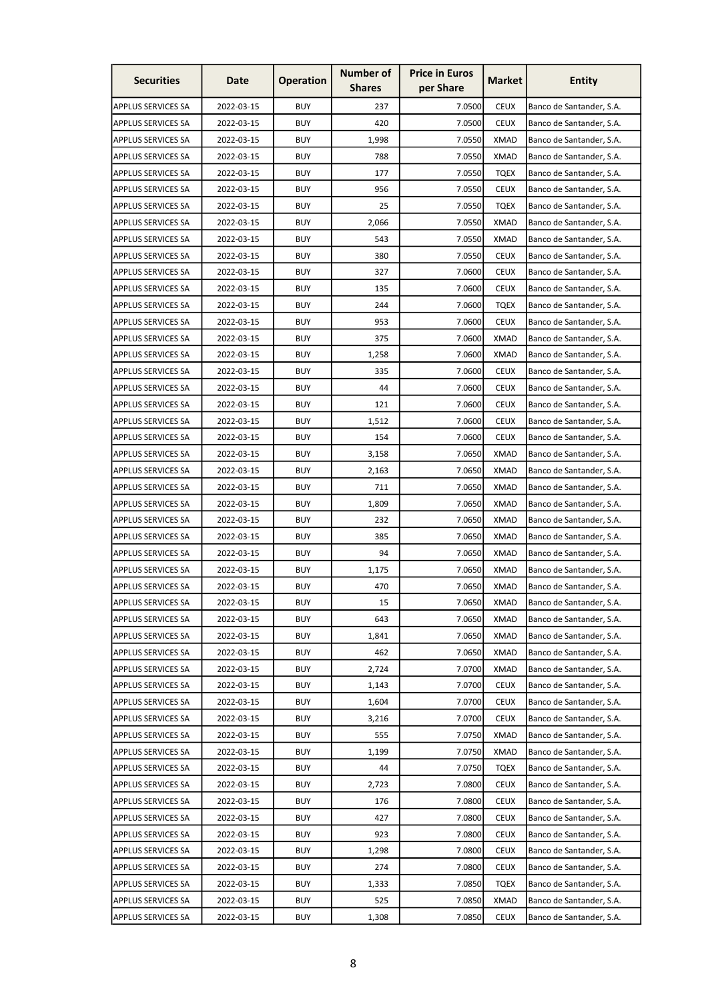| <b>Securities</b>         | Date       | <b>Operation</b> | <b>Number of</b><br><b>Shares</b> | <b>Price in Euros</b><br>per Share | <b>Market</b> | <b>Entity</b>            |
|---------------------------|------------|------------------|-----------------------------------|------------------------------------|---------------|--------------------------|
| APPLUS SERVICES SA        | 2022-03-15 | <b>BUY</b>       | 237                               | 7.0500                             | <b>CEUX</b>   | Banco de Santander, S.A. |
| <b>APPLUS SERVICES SA</b> | 2022-03-15 | <b>BUY</b>       | 420                               | 7.0500                             | <b>CEUX</b>   | Banco de Santander, S.A. |
| <b>APPLUS SERVICES SA</b> | 2022-03-15 | <b>BUY</b>       | 1,998                             | 7.0550                             | <b>XMAD</b>   | Banco de Santander, S.A. |
| APPLUS SERVICES SA        | 2022-03-15 | <b>BUY</b>       | 788                               | 7.0550                             | <b>XMAD</b>   | Banco de Santander, S.A. |
| <b>APPLUS SERVICES SA</b> | 2022-03-15 | <b>BUY</b>       | 177                               | 7.0550                             | <b>TQEX</b>   | Banco de Santander, S.A. |
| <b>APPLUS SERVICES SA</b> | 2022-03-15 | <b>BUY</b>       | 956                               | 7.0550                             | <b>CEUX</b>   | Banco de Santander, S.A. |
| APPLUS SERVICES SA        | 2022-03-15 | <b>BUY</b>       | 25                                | 7.0550                             | TQEX          | Banco de Santander, S.A. |
| <b>APPLUS SERVICES SA</b> | 2022-03-15 | <b>BUY</b>       | 2,066                             | 7.0550                             | <b>XMAD</b>   | Banco de Santander, S.A. |
| <b>APPLUS SERVICES SA</b> | 2022-03-15 | <b>BUY</b>       | 543                               | 7.0550                             | <b>XMAD</b>   | Banco de Santander, S.A. |
| <b>APPLUS SERVICES SA</b> | 2022-03-15 | <b>BUY</b>       | 380                               | 7.0550                             | <b>CEUX</b>   | Banco de Santander, S.A. |
| <b>APPLUS SERVICES SA</b> | 2022-03-15 | <b>BUY</b>       | 327                               | 7.0600                             | <b>CEUX</b>   | Banco de Santander, S.A. |
| <b>APPLUS SERVICES SA</b> | 2022-03-15 | <b>BUY</b>       | 135                               | 7.0600                             | <b>CEUX</b>   | Banco de Santander, S.A. |
| <b>APPLUS SERVICES SA</b> | 2022-03-15 | <b>BUY</b>       | 244                               | 7.0600                             | <b>TQEX</b>   | Banco de Santander, S.A. |
| <b>APPLUS SERVICES SA</b> | 2022-03-15 | <b>BUY</b>       | 953                               | 7.0600                             | <b>CEUX</b>   | Banco de Santander, S.A. |
| <b>APPLUS SERVICES SA</b> | 2022-03-15 | <b>BUY</b>       | 375                               | 7.0600                             | <b>XMAD</b>   | Banco de Santander, S.A. |
| <b>APPLUS SERVICES SA</b> | 2022-03-15 | <b>BUY</b>       | 1,258                             | 7.0600                             | <b>XMAD</b>   | Banco de Santander, S.A. |
| <b>APPLUS SERVICES SA</b> | 2022-03-15 | <b>BUY</b>       | 335                               | 7.0600                             | <b>CEUX</b>   | Banco de Santander, S.A. |
| <b>APPLUS SERVICES SA</b> | 2022-03-15 | <b>BUY</b>       | 44                                | 7.0600                             | <b>CEUX</b>   | Banco de Santander, S.A. |
| <b>APPLUS SERVICES SA</b> | 2022-03-15 | <b>BUY</b>       | 121                               | 7.0600                             | <b>CEUX</b>   | Banco de Santander, S.A. |
| <b>APPLUS SERVICES SA</b> | 2022-03-15 | <b>BUY</b>       | 1,512                             | 7.0600                             | <b>CEUX</b>   | Banco de Santander, S.A. |
| <b>APPLUS SERVICES SA</b> | 2022-03-15 | <b>BUY</b>       | 154                               | 7.0600                             | <b>CEUX</b>   | Banco de Santander, S.A. |
| <b>APPLUS SERVICES SA</b> | 2022-03-15 | <b>BUY</b>       | 3,158                             | 7.0650                             | <b>XMAD</b>   | Banco de Santander, S.A. |
| <b>APPLUS SERVICES SA</b> | 2022-03-15 | <b>BUY</b>       | 2,163                             | 7.0650                             | <b>XMAD</b>   | Banco de Santander, S.A. |
| <b>APPLUS SERVICES SA</b> | 2022-03-15 | <b>BUY</b>       | 711                               | 7.0650                             | <b>XMAD</b>   | Banco de Santander, S.A. |
| <b>APPLUS SERVICES SA</b> | 2022-03-15 | <b>BUY</b>       | 1,809                             | 7.0650                             | <b>XMAD</b>   | Banco de Santander, S.A. |
| <b>APPLUS SERVICES SA</b> | 2022-03-15 | <b>BUY</b>       | 232                               | 7.0650                             | XMAD          | Banco de Santander, S.A. |
| <b>APPLUS SERVICES SA</b> | 2022-03-15 | <b>BUY</b>       | 385                               | 7.0650                             | <b>XMAD</b>   | Banco de Santander, S.A. |
| <b>APPLUS SERVICES SA</b> | 2022-03-15 | <b>BUY</b>       | 94                                | 7.0650                             | <b>XMAD</b>   | Banco de Santander, S.A. |
| APPLUS SERVICES SA        | 2022-03-15 | <b>BUY</b>       | 1,175                             | 7.0650                             | <b>XMAD</b>   | Banco de Santander, S.A. |
| <b>APPLUS SERVICES SA</b> | 2022-03-15 | <b>BUY</b>       | 470                               | 7.0650                             | <b>XMAD</b>   | Banco de Santander, S.A. |
| <b>APPLUS SERVICES SA</b> | 2022-03-15 | <b>BUY</b>       | 15                                | 7.0650                             | <b>XMAD</b>   | Banco de Santander, S.A. |
| <b>APPLUS SERVICES SA</b> | 2022-03-15 | <b>BUY</b>       | 643                               | 7.0650                             | <b>XMAD</b>   | Banco de Santander, S.A. |
| <b>APPLUS SERVICES SA</b> | 2022-03-15 | <b>BUY</b>       | 1,841                             | 7.0650                             | <b>XMAD</b>   | Banco de Santander, S.A. |
| <b>APPLUS SERVICES SA</b> | 2022-03-15 | <b>BUY</b>       | 462                               | 7.0650                             | <b>XMAD</b>   | Banco de Santander, S.A. |
| <b>APPLUS SERVICES SA</b> | 2022-03-15 | <b>BUY</b>       | 2,724                             | 7.0700                             | <b>XMAD</b>   | Banco de Santander, S.A. |
| <b>APPLUS SERVICES SA</b> | 2022-03-15 | <b>BUY</b>       | 1,143                             | 7.0700                             | <b>CEUX</b>   | Banco de Santander, S.A. |
| <b>APPLUS SERVICES SA</b> | 2022-03-15 | <b>BUY</b>       | 1,604                             | 7.0700                             | <b>CEUX</b>   | Banco de Santander, S.A. |
| <b>APPLUS SERVICES SA</b> | 2022-03-15 | <b>BUY</b>       | 3,216                             | 7.0700                             | <b>CEUX</b>   | Banco de Santander, S.A. |
| APPLUS SERVICES SA        | 2022-03-15 | <b>BUY</b>       | 555                               | 7.0750                             | <b>XMAD</b>   | Banco de Santander, S.A. |
| <b>APPLUS SERVICES SA</b> | 2022-03-15 | <b>BUY</b>       | 1,199                             | 7.0750                             | <b>XMAD</b>   | Banco de Santander, S.A. |
| <b>APPLUS SERVICES SA</b> | 2022-03-15 | <b>BUY</b>       | 44                                | 7.0750                             | <b>TQEX</b>   | Banco de Santander, S.A. |
| <b>APPLUS SERVICES SA</b> | 2022-03-15 | <b>BUY</b>       | 2,723                             | 7.0800                             | <b>CEUX</b>   | Banco de Santander, S.A. |
| <b>APPLUS SERVICES SA</b> | 2022-03-15 | <b>BUY</b>       | 176                               | 7.0800                             | <b>CEUX</b>   | Banco de Santander, S.A. |
| <b>APPLUS SERVICES SA</b> | 2022-03-15 | <b>BUY</b>       | 427                               | 7.0800                             | <b>CEUX</b>   | Banco de Santander, S.A. |
| <b>APPLUS SERVICES SA</b> | 2022-03-15 | <b>BUY</b>       | 923                               | 7.0800                             | <b>CEUX</b>   | Banco de Santander, S.A. |
| <b>APPLUS SERVICES SA</b> | 2022-03-15 | <b>BUY</b>       | 1,298                             | 7.0800                             | <b>CEUX</b>   | Banco de Santander, S.A. |
| <b>APPLUS SERVICES SA</b> | 2022-03-15 | <b>BUY</b>       | 274                               | 7.0800                             | <b>CEUX</b>   | Banco de Santander, S.A. |
| APPLUS SERVICES SA        | 2022-03-15 | <b>BUY</b>       | 1,333                             | 7.0850                             | <b>TQEX</b>   | Banco de Santander, S.A. |
| APPLUS SERVICES SA        | 2022-03-15 | <b>BUY</b>       | 525                               | 7.0850                             | <b>XMAD</b>   | Banco de Santander, S.A. |
| APPLUS SERVICES SA        | 2022-03-15 | <b>BUY</b>       | 1,308                             | 7.0850                             | <b>CEUX</b>   | Banco de Santander, S.A. |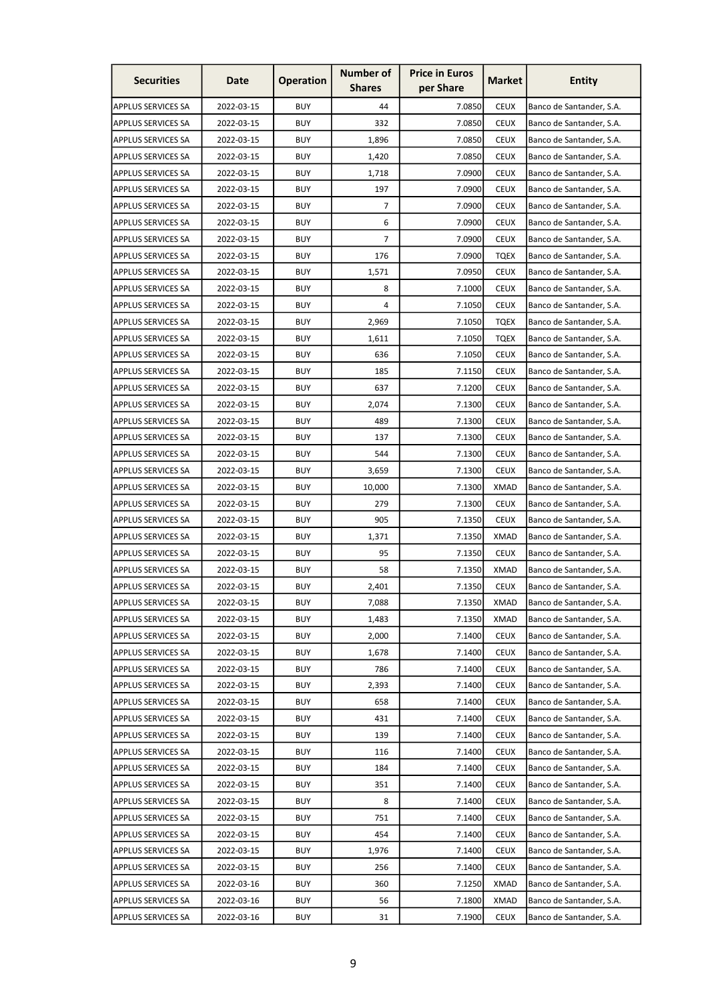| <b>Securities</b>         | Date       | <b>Operation</b> | <b>Number of</b><br><b>Shares</b> | <b>Price in Euros</b><br>per Share | Market      | <b>Entity</b>            |
|---------------------------|------------|------------------|-----------------------------------|------------------------------------|-------------|--------------------------|
| APPLUS SERVICES SA        | 2022-03-15 | <b>BUY</b>       | 44                                | 7.0850                             | <b>CEUX</b> | Banco de Santander, S.A. |
| APPLUS SERVICES SA        | 2022-03-15 | <b>BUY</b>       | 332                               | 7.0850                             | <b>CEUX</b> | Banco de Santander, S.A. |
| APPLUS SERVICES SA        | 2022-03-15 | <b>BUY</b>       | 1,896                             | 7.0850                             | <b>CEUX</b> | Banco de Santander, S.A. |
| APPLUS SERVICES SA        | 2022-03-15 | BUY              | 1,420                             | 7.0850                             | <b>CEUX</b> | Banco de Santander, S.A. |
| APPLUS SERVICES SA        | 2022-03-15 | <b>BUY</b>       | 1,718                             | 7.0900                             | <b>CEUX</b> | Banco de Santander, S.A. |
| APPLUS SERVICES SA        | 2022-03-15 | <b>BUY</b>       | 197                               | 7.0900                             | <b>CEUX</b> | Banco de Santander, S.A. |
| APPLUS SERVICES SA        | 2022-03-15 | BUY              | 7                                 | 7.0900                             | <b>CEUX</b> | Banco de Santander, S.A. |
| <b>APPLUS SERVICES SA</b> | 2022-03-15 | <b>BUY</b>       | 6                                 | 7.0900                             | <b>CEUX</b> | Banco de Santander, S.A. |
| APPLUS SERVICES SA        | 2022-03-15 | <b>BUY</b>       | $\overline{7}$                    | 7.0900                             | <b>CEUX</b> | Banco de Santander, S.A. |
| APPLUS SERVICES SA        | 2022-03-15 | BUY              | 176                               | 7.0900                             | <b>TQEX</b> | Banco de Santander, S.A. |
| APPLUS SERVICES SA        | 2022-03-15 | <b>BUY</b>       | 1,571                             | 7.0950                             | <b>CEUX</b> | Banco de Santander, S.A. |
| APPLUS SERVICES SA        | 2022-03-15 | <b>BUY</b>       | 8                                 | 7.1000                             | <b>CEUX</b> | Banco de Santander, S.A. |
| APPLUS SERVICES SA        | 2022-03-15 | <b>BUY</b>       | 4                                 | 7.1050                             | <b>CEUX</b> | Banco de Santander, S.A. |
| APPLUS SERVICES SA        | 2022-03-15 | <b>BUY</b>       | 2,969                             | 7.1050                             | <b>TQEX</b> | Banco de Santander, S.A. |
| APPLUS SERVICES SA        | 2022-03-15 | <b>BUY</b>       | 1,611                             | 7.1050                             | <b>TQEX</b> | Banco de Santander, S.A. |
| APPLUS SERVICES SA        | 2022-03-15 | <b>BUY</b>       | 636                               | 7.1050                             | <b>CEUX</b> | Banco de Santander, S.A. |
| APPLUS SERVICES SA        | 2022-03-15 | <b>BUY</b>       | 185                               | 7.1150                             | <b>CEUX</b> | Banco de Santander, S.A. |
| APPLUS SERVICES SA        | 2022-03-15 | <b>BUY</b>       | 637                               | 7.1200                             | <b>CEUX</b> | Banco de Santander, S.A. |
| APPLUS SERVICES SA        | 2022-03-15 | <b>BUY</b>       | 2,074                             | 7.1300                             | <b>CEUX</b> | Banco de Santander, S.A. |
| APPLUS SERVICES SA        | 2022-03-15 | <b>BUY</b>       | 489                               | 7.1300                             | <b>CEUX</b> | Banco de Santander, S.A. |
| APPLUS SERVICES SA        | 2022-03-15 | <b>BUY</b>       | 137                               | 7.1300                             | <b>CEUX</b> | Banco de Santander, S.A. |
| APPLUS SERVICES SA        | 2022-03-15 | <b>BUY</b>       | 544                               | 7.1300                             | <b>CEUX</b> | Banco de Santander, S.A. |
| APPLUS SERVICES SA        | 2022-03-15 | <b>BUY</b>       | 3,659                             | 7.1300                             | <b>CEUX</b> | Banco de Santander, S.A. |
| <b>APPLUS SERVICES SA</b> | 2022-03-15 | <b>BUY</b>       | 10,000                            | 7.1300                             | <b>XMAD</b> | Banco de Santander, S.A. |
| APPLUS SERVICES SA        | 2022-03-15 | <b>BUY</b>       | 279                               | 7.1300                             | <b>CEUX</b> | Banco de Santander, S.A. |
| APPLUS SERVICES SA        | 2022-03-15 | BUY              | 905                               | 7.1350                             | <b>CEUX</b> | Banco de Santander, S.A. |
| <b>APPLUS SERVICES SA</b> | 2022-03-15 | <b>BUY</b>       | 1,371                             | 7.1350                             | <b>XMAD</b> | Banco de Santander, S.A. |
| APPLUS SERVICES SA        | 2022-03-15 | <b>BUY</b>       | 95                                | 7.1350                             | <b>CEUX</b> | Banco de Santander, S.A. |
| APPLUS SERVICES SA        | 2022-03-15 | <b>BUY</b>       | 58                                | 7.1350                             | <b>XMAD</b> | Banco de Santander, S.A. |
| APPLUS SERVICES SA        | 2022-03-15 | <b>BUY</b>       | 2,401                             | 7.1350                             | <b>CEUX</b> | Banco de Santander, S.A. |
| APPLUS SERVICES SA        | 2022-03-15 | <b>BUY</b>       | 7,088                             | 7.1350                             | <b>XMAD</b> | Banco de Santander, S.A. |
| APPLUS SERVICES SA        | 2022-03-15 | <b>BUY</b>       | 1,483                             | 7.1350                             | XMAD        | Banco de Santander, S.A. |
| APPLUS SERVICES SA        | 2022-03-15 | <b>BUY</b>       | 2,000                             | 7.1400                             | <b>CEUX</b> | Banco de Santander, S.A. |
| APPLUS SERVICES SA        | 2022-03-15 | <b>BUY</b>       | 1,678                             | 7.1400                             | <b>CEUX</b> | Banco de Santander, S.A. |
| APPLUS SERVICES SA        | 2022-03-15 | <b>BUY</b>       | 786                               | 7.1400                             | <b>CEUX</b> | Banco de Santander, S.A. |
| APPLUS SERVICES SA        | 2022-03-15 | <b>BUY</b>       | 2,393                             | 7.1400                             | <b>CEUX</b> | Banco de Santander, S.A. |
| APPLUS SERVICES SA        | 2022-03-15 | <b>BUY</b>       | 658                               | 7.1400                             | <b>CEUX</b> | Banco de Santander, S.A. |
| APPLUS SERVICES SA        | 2022-03-15 | <b>BUY</b>       | 431                               | 7.1400                             | <b>CEUX</b> | Banco de Santander, S.A. |
| APPLUS SERVICES SA        | 2022-03-15 | <b>BUY</b>       | 139                               | 7.1400                             | <b>CEUX</b> | Banco de Santander, S.A. |
| APPLUS SERVICES SA        | 2022-03-15 | <b>BUY</b>       | 116                               | 7.1400                             | <b>CEUX</b> | Banco de Santander, S.A. |
| APPLUS SERVICES SA        | 2022-03-15 | <b>BUY</b>       | 184                               | 7.1400                             | <b>CEUX</b> | Banco de Santander, S.A. |
| APPLUS SERVICES SA        | 2022-03-15 | <b>BUY</b>       | 351                               | 7.1400                             | <b>CEUX</b> | Banco de Santander, S.A. |
| APPLUS SERVICES SA        | 2022-03-15 | <b>BUY</b>       | 8                                 | 7.1400                             | <b>CEUX</b> | Banco de Santander, S.A. |
| APPLUS SERVICES SA        | 2022-03-15 | <b>BUY</b>       | 751                               | 7.1400                             | <b>CEUX</b> | Banco de Santander, S.A. |
| APPLUS SERVICES SA        | 2022-03-15 | <b>BUY</b>       | 454                               | 7.1400                             | <b>CEUX</b> | Banco de Santander, S.A. |
| APPLUS SERVICES SA        | 2022-03-15 | <b>BUY</b>       | 1,976                             | 7.1400                             | <b>CEUX</b> | Banco de Santander, S.A. |
| APPLUS SERVICES SA        | 2022-03-15 | <b>BUY</b>       | 256                               | 7.1400                             | <b>CEUX</b> | Banco de Santander, S.A. |
| APPLUS SERVICES SA        | 2022-03-16 | <b>BUY</b>       | 360                               | 7.1250                             | <b>XMAD</b> | Banco de Santander, S.A. |
| APPLUS SERVICES SA        | 2022-03-16 | <b>BUY</b>       | 56                                | 7.1800                             | <b>XMAD</b> | Banco de Santander, S.A. |
| APPLUS SERVICES SA        | 2022-03-16 | <b>BUY</b>       | 31                                | 7.1900                             | <b>CEUX</b> | Banco de Santander, S.A. |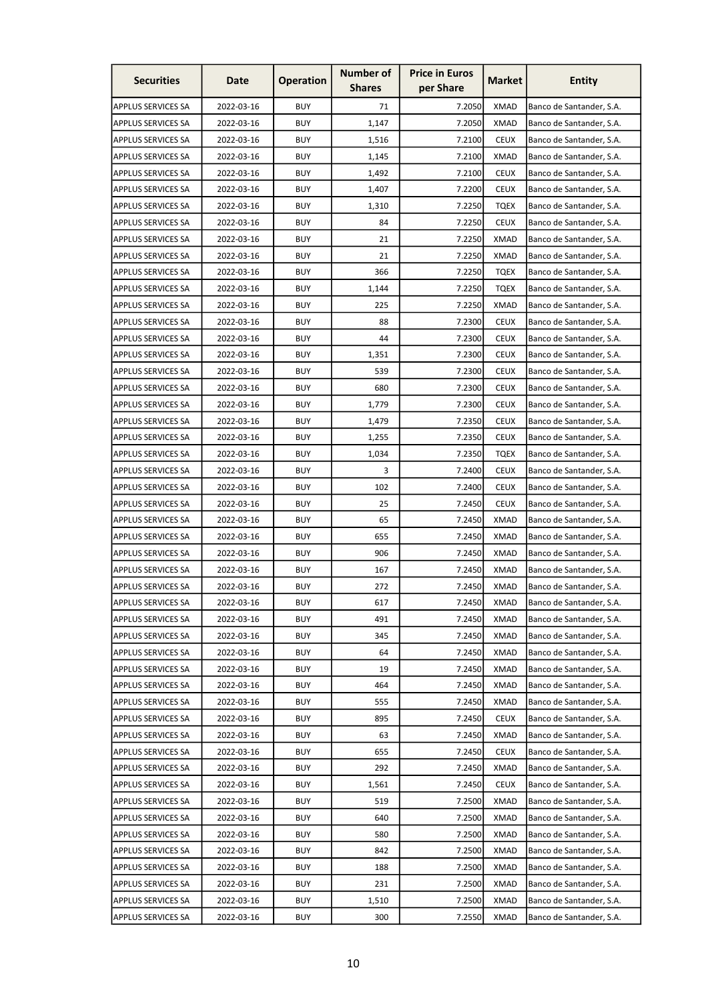| <b>Securities</b>         | Date       | <b>Operation</b> | <b>Number of</b><br><b>Shares</b> | <b>Price in Euros</b><br>per Share | <b>Market</b> | <b>Entity</b>            |
|---------------------------|------------|------------------|-----------------------------------|------------------------------------|---------------|--------------------------|
| <b>APPLUS SERVICES SA</b> | 2022-03-16 | <b>BUY</b>       | 71                                | 7.2050                             | <b>XMAD</b>   | Banco de Santander, S.A. |
| <b>APPLUS SERVICES SA</b> | 2022-03-16 | <b>BUY</b>       | 1,147                             | 7.2050                             | <b>XMAD</b>   | Banco de Santander, S.A. |
| <b>APPLUS SERVICES SA</b> | 2022-03-16 | <b>BUY</b>       | 1,516                             | 7.2100                             | <b>CEUX</b>   | Banco de Santander, S.A. |
| <b>APPLUS SERVICES SA</b> | 2022-03-16 | <b>BUY</b>       | 1,145                             | 7.2100                             | <b>XMAD</b>   | Banco de Santander, S.A. |
| <b>APPLUS SERVICES SA</b> | 2022-03-16 | <b>BUY</b>       | 1,492                             | 7.2100                             | <b>CEUX</b>   | Banco de Santander, S.A. |
| <b>APPLUS SERVICES SA</b> | 2022-03-16 | <b>BUY</b>       | 1,407                             | 7.2200                             | <b>CEUX</b>   | Banco de Santander, S.A. |
| <b>APPLUS SERVICES SA</b> | 2022-03-16 | <b>BUY</b>       | 1,310                             | 7.2250                             | <b>TQEX</b>   | Banco de Santander, S.A. |
| <b>APPLUS SERVICES SA</b> | 2022-03-16 | <b>BUY</b>       | 84                                | 7.2250                             | <b>CEUX</b>   | Banco de Santander, S.A. |
| <b>APPLUS SERVICES SA</b> | 2022-03-16 | <b>BUY</b>       | 21                                | 7.2250                             | <b>XMAD</b>   | Banco de Santander, S.A. |
| <b>APPLUS SERVICES SA</b> | 2022-03-16 | <b>BUY</b>       | 21                                | 7.2250                             | <b>XMAD</b>   | Banco de Santander, S.A. |
| <b>APPLUS SERVICES SA</b> | 2022-03-16 | <b>BUY</b>       | 366                               | 7.2250                             | <b>TQEX</b>   | Banco de Santander, S.A. |
| <b>APPLUS SERVICES SA</b> | 2022-03-16 | <b>BUY</b>       | 1,144                             | 7.2250                             | <b>TQEX</b>   | Banco de Santander, S.A. |
| <b>APPLUS SERVICES SA</b> | 2022-03-16 | <b>BUY</b>       | 225                               | 7.2250                             | <b>XMAD</b>   | Banco de Santander, S.A. |
| <b>APPLUS SERVICES SA</b> | 2022-03-16 | <b>BUY</b>       | 88                                | 7.2300                             | <b>CEUX</b>   | Banco de Santander, S.A. |
| <b>APPLUS SERVICES SA</b> | 2022-03-16 | <b>BUY</b>       | 44                                | 7.2300                             | <b>CEUX</b>   | Banco de Santander, S.A. |
| <b>APPLUS SERVICES SA</b> | 2022-03-16 | <b>BUY</b>       | 1,351                             | 7.2300                             | <b>CEUX</b>   | Banco de Santander, S.A. |
| <b>APPLUS SERVICES SA</b> | 2022-03-16 | <b>BUY</b>       | 539                               | 7.2300                             | <b>CEUX</b>   | Banco de Santander, S.A. |
| <b>APPLUS SERVICES SA</b> | 2022-03-16 | <b>BUY</b>       | 680                               | 7.2300                             | <b>CEUX</b>   | Banco de Santander, S.A. |
| <b>APPLUS SERVICES SA</b> | 2022-03-16 | <b>BUY</b>       | 1,779                             | 7.2300                             | <b>CEUX</b>   | Banco de Santander, S.A. |
| <b>APPLUS SERVICES SA</b> | 2022-03-16 | <b>BUY</b>       | 1,479                             | 7.2350                             | <b>CEUX</b>   | Banco de Santander, S.A. |
| <b>APPLUS SERVICES SA</b> | 2022-03-16 | <b>BUY</b>       | 1,255                             | 7.2350                             | <b>CEUX</b>   | Banco de Santander, S.A. |
| <b>APPLUS SERVICES SA</b> | 2022-03-16 | <b>BUY</b>       | 1,034                             | 7.2350                             | <b>TQEX</b>   | Banco de Santander, S.A. |
| <b>APPLUS SERVICES SA</b> | 2022-03-16 | <b>BUY</b>       | 3                                 | 7.2400                             | <b>CEUX</b>   | Banco de Santander, S.A. |
| <b>APPLUS SERVICES SA</b> | 2022-03-16 | <b>BUY</b>       | 102                               | 7.2400                             | <b>CEUX</b>   | Banco de Santander, S.A. |
| <b>APPLUS SERVICES SA</b> | 2022-03-16 | <b>BUY</b>       | 25                                | 7.2450                             | <b>CEUX</b>   | Banco de Santander, S.A. |
| <b>APPLUS SERVICES SA</b> | 2022-03-16 | <b>BUY</b>       | 65                                | 7.2450                             | XMAD          | Banco de Santander, S.A. |
| <b>APPLUS SERVICES SA</b> | 2022-03-16 | <b>BUY</b>       | 655                               | 7.2450                             | <b>XMAD</b>   | Banco de Santander, S.A. |
| <b>APPLUS SERVICES SA</b> | 2022-03-16 | <b>BUY</b>       | 906                               | 7.2450                             | <b>XMAD</b>   | Banco de Santander, S.A. |
| <b>APPLUS SERVICES SA</b> | 2022-03-16 | <b>BUY</b>       | 167                               | 7.2450                             | <b>XMAD</b>   | Banco de Santander, S.A. |
| <b>APPLUS SERVICES SA</b> | 2022-03-16 | <b>BUY</b>       | 272                               | 7.2450                             | <b>XMAD</b>   | Banco de Santander, S.A. |
| <b>APPLUS SERVICES SA</b> | 2022-03-16 | <b>BUY</b>       | 617                               | 7.2450                             | <b>XMAD</b>   | Banco de Santander, S.A. |
| <b>APPLUS SERVICES SA</b> | 2022-03-16 | <b>BUY</b>       | 491                               | 7.2450                             | <b>XMAD</b>   | Banco de Santander, S.A. |
| <b>APPLUS SERVICES SA</b> | 2022-03-16 | <b>BUY</b>       | 345                               | 7.2450                             | <b>XMAD</b>   | Banco de Santander, S.A. |
| <b>APPLUS SERVICES SA</b> | 2022-03-16 | <b>BUY</b>       | 64                                | 7.2450                             | <b>XMAD</b>   | Banco de Santander, S.A. |
| <b>APPLUS SERVICES SA</b> | 2022-03-16 | <b>BUY</b>       | 19                                | 7.2450                             | <b>XMAD</b>   | Banco de Santander, S.A. |
| <b>APPLUS SERVICES SA</b> | 2022-03-16 | <b>BUY</b>       | 464                               | 7.2450                             | <b>XMAD</b>   | Banco de Santander, S.A. |
| <b>APPLUS SERVICES SA</b> | 2022-03-16 | <b>BUY</b>       | 555                               | 7.2450                             | <b>XMAD</b>   | Banco de Santander, S.A. |
| <b>APPLUS SERVICES SA</b> | 2022-03-16 | <b>BUY</b>       | 895                               | 7.2450                             | <b>CEUX</b>   | Banco de Santander, S.A. |
| <b>APPLUS SERVICES SA</b> | 2022-03-16 | <b>BUY</b>       | 63                                | 7.2450                             | <b>XMAD</b>   | Banco de Santander, S.A. |
| <b>APPLUS SERVICES SA</b> | 2022-03-16 | <b>BUY</b>       | 655                               | 7.2450                             | <b>CEUX</b>   | Banco de Santander, S.A. |
| <b>APPLUS SERVICES SA</b> | 2022-03-16 | <b>BUY</b>       | 292                               | 7.2450                             | <b>XMAD</b>   | Banco de Santander, S.A. |
| <b>APPLUS SERVICES SA</b> | 2022-03-16 | <b>BUY</b>       | 1,561                             | 7.2450                             | <b>CEUX</b>   | Banco de Santander, S.A. |
| <b>APPLUS SERVICES SA</b> | 2022-03-16 | <b>BUY</b>       | 519                               | 7.2500                             | <b>XMAD</b>   | Banco de Santander, S.A. |
| <b>APPLUS SERVICES SA</b> | 2022-03-16 | <b>BUY</b>       | 640                               | 7.2500                             | <b>XMAD</b>   | Banco de Santander, S.A. |
| <b>APPLUS SERVICES SA</b> | 2022-03-16 | <b>BUY</b>       | 580                               | 7.2500                             | <b>XMAD</b>   | Banco de Santander, S.A. |
| <b>APPLUS SERVICES SA</b> | 2022-03-16 | <b>BUY</b>       | 842                               | 7.2500                             | <b>XMAD</b>   | Banco de Santander, S.A. |
| <b>APPLUS SERVICES SA</b> | 2022-03-16 | <b>BUY</b>       | 188                               | 7.2500                             | <b>XMAD</b>   | Banco de Santander, S.A. |
| <b>APPLUS SERVICES SA</b> | 2022-03-16 | <b>BUY</b>       | 231                               | 7.2500                             | <b>XMAD</b>   | Banco de Santander, S.A. |
| <b>APPLUS SERVICES SA</b> | 2022-03-16 | <b>BUY</b>       | 1,510                             | 7.2500                             | <b>XMAD</b>   | Banco de Santander, S.A. |
| <b>APPLUS SERVICES SA</b> | 2022-03-16 | <b>BUY</b>       | 300                               | 7.2550                             | <b>XMAD</b>   | Banco de Santander, S.A. |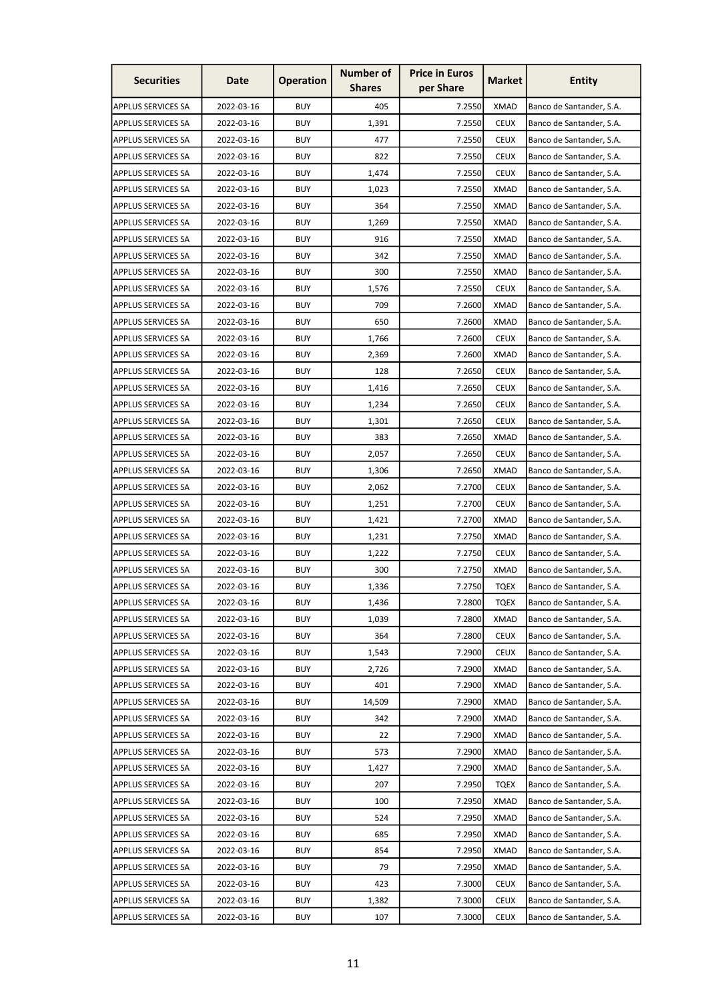| <b>Securities</b>         | Date       | <b>Operation</b> | <b>Number of</b><br><b>Shares</b> | <b>Price in Euros</b><br>per Share | <b>Market</b> | <b>Entity</b>            |
|---------------------------|------------|------------------|-----------------------------------|------------------------------------|---------------|--------------------------|
| <b>APPLUS SERVICES SA</b> | 2022-03-16 | <b>BUY</b>       | 405                               | 7.2550                             | <b>XMAD</b>   | Banco de Santander, S.A. |
| <b>APPLUS SERVICES SA</b> | 2022-03-16 | <b>BUY</b>       | 1,391                             | 7.2550                             | <b>CEUX</b>   | Banco de Santander, S.A. |
| <b>APPLUS SERVICES SA</b> | 2022-03-16 | <b>BUY</b>       | 477                               | 7.2550                             | <b>CEUX</b>   | Banco de Santander, S.A. |
| APPLUS SERVICES SA        | 2022-03-16 | <b>BUY</b>       | 822                               | 7.2550                             | <b>CEUX</b>   | Banco de Santander, S.A. |
| <b>APPLUS SERVICES SA</b> | 2022-03-16 | <b>BUY</b>       | 1,474                             | 7.2550                             | <b>CEUX</b>   | Banco de Santander, S.A. |
| <b>APPLUS SERVICES SA</b> | 2022-03-16 | <b>BUY</b>       | 1,023                             | 7.2550                             | <b>XMAD</b>   | Banco de Santander, S.A. |
| APPLUS SERVICES SA        | 2022-03-16 | <b>BUY</b>       | 364                               | 7.2550                             | XMAD          | Banco de Santander, S.A. |
| <b>APPLUS SERVICES SA</b> | 2022-03-16 | <b>BUY</b>       | 1,269                             | 7.2550                             | <b>XMAD</b>   | Banco de Santander, S.A. |
| <b>APPLUS SERVICES SA</b> | 2022-03-16 | <b>BUY</b>       | 916                               | 7.2550                             | <b>XMAD</b>   | Banco de Santander, S.A. |
| <b>APPLUS SERVICES SA</b> | 2022-03-16 | <b>BUY</b>       | 342                               | 7.2550                             | <b>XMAD</b>   | Banco de Santander, S.A. |
| <b>APPLUS SERVICES SA</b> | 2022-03-16 | <b>BUY</b>       | 300                               | 7.2550                             | <b>XMAD</b>   | Banco de Santander, S.A. |
| <b>APPLUS SERVICES SA</b> | 2022-03-16 | <b>BUY</b>       | 1,576                             | 7.2550                             | <b>CEUX</b>   | Banco de Santander, S.A. |
| <b>APPLUS SERVICES SA</b> | 2022-03-16 | <b>BUY</b>       | 709                               | 7.2600                             | <b>XMAD</b>   | Banco de Santander, S.A. |
| <b>APPLUS SERVICES SA</b> | 2022-03-16 | <b>BUY</b>       | 650                               | 7.2600                             | XMAD          | Banco de Santander, S.A. |
| <b>APPLUS SERVICES SA</b> | 2022-03-16 | <b>BUY</b>       | 1,766                             | 7.2600                             | <b>CEUX</b>   | Banco de Santander, S.A. |
| <b>APPLUS SERVICES SA</b> | 2022-03-16 | <b>BUY</b>       | 2,369                             | 7.2600                             | <b>XMAD</b>   | Banco de Santander, S.A. |
| <b>APPLUS SERVICES SA</b> | 2022-03-16 | <b>BUY</b>       | 128                               | 7.2650                             | <b>CEUX</b>   | Banco de Santander, S.A. |
| <b>APPLUS SERVICES SA</b> | 2022-03-16 | <b>BUY</b>       | 1,416                             | 7.2650                             | <b>CEUX</b>   | Banco de Santander, S.A. |
| <b>APPLUS SERVICES SA</b> | 2022-03-16 | <b>BUY</b>       | 1,234                             | 7.2650                             | <b>CEUX</b>   | Banco de Santander, S.A. |
| <b>APPLUS SERVICES SA</b> | 2022-03-16 | <b>BUY</b>       | 1,301                             | 7.2650                             | <b>CEUX</b>   | Banco de Santander, S.A. |
| <b>APPLUS SERVICES SA</b> | 2022-03-16 | <b>BUY</b>       | 383                               | 7.2650                             | <b>XMAD</b>   | Banco de Santander, S.A. |
| <b>APPLUS SERVICES SA</b> | 2022-03-16 | <b>BUY</b>       | 2,057                             | 7.2650                             | <b>CEUX</b>   | Banco de Santander, S.A. |
| <b>APPLUS SERVICES SA</b> | 2022-03-16 | <b>BUY</b>       | 1,306                             | 7.2650                             | <b>XMAD</b>   | Banco de Santander, S.A. |
| <b>APPLUS SERVICES SA</b> | 2022-03-16 | <b>BUY</b>       | 2,062                             | 7.2700                             | <b>CEUX</b>   | Banco de Santander, S.A. |
| <b>APPLUS SERVICES SA</b> | 2022-03-16 | <b>BUY</b>       | 1,251                             | 7.2700                             | <b>CEUX</b>   | Banco de Santander, S.A. |
| <b>APPLUS SERVICES SA</b> | 2022-03-16 | <b>BUY</b>       | 1,421                             | 7.2700                             | XMAD          | Banco de Santander, S.A. |
| <b>APPLUS SERVICES SA</b> | 2022-03-16 | <b>BUY</b>       | 1,231                             | 7.2750                             | <b>XMAD</b>   | Banco de Santander, S.A. |
| <b>APPLUS SERVICES SA</b> | 2022-03-16 | <b>BUY</b>       | 1,222                             | 7.2750                             | <b>CEUX</b>   | Banco de Santander, S.A. |
| APPLUS SERVICES SA        | 2022-03-16 | <b>BUY</b>       | 300                               | 7.2750                             | <b>XMAD</b>   | Banco de Santander, S.A. |
| <b>APPLUS SERVICES SA</b> | 2022-03-16 | <b>BUY</b>       | 1,336                             | 7.2750                             | <b>TQEX</b>   | Banco de Santander, S.A. |
| <b>APPLUS SERVICES SA</b> | 2022-03-16 | <b>BUY</b>       | 1,436                             | 7.2800                             | <b>TQEX</b>   | Banco de Santander, S.A. |
| <b>APPLUS SERVICES SA</b> | 2022-03-16 | <b>BUY</b>       | 1,039                             | 7.2800                             | XMAD          | Banco de Santander, S.A. |
| <b>APPLUS SERVICES SA</b> | 2022-03-16 | <b>BUY</b>       | 364                               | 7.2800                             | <b>CEUX</b>   | Banco de Santander, S.A. |
| <b>APPLUS SERVICES SA</b> | 2022-03-16 | <b>BUY</b>       | 1,543                             | 7.2900                             | <b>CEUX</b>   | Banco de Santander, S.A. |
| <b>APPLUS SERVICES SA</b> | 2022-03-16 | <b>BUY</b>       | 2,726                             | 7.2900                             | <b>XMAD</b>   | Banco de Santander, S.A. |
| <b>APPLUS SERVICES SA</b> | 2022-03-16 | <b>BUY</b>       | 401                               | 7.2900                             | <b>XMAD</b>   | Banco de Santander, S.A. |
| <b>APPLUS SERVICES SA</b> | 2022-03-16 | <b>BUY</b>       | 14,509                            | 7.2900                             | <b>XMAD</b>   | Banco de Santander, S.A. |
| <b>APPLUS SERVICES SA</b> | 2022-03-16 | <b>BUY</b>       | 342                               | 7.2900                             | <b>XMAD</b>   | Banco de Santander, S.A. |
| APPLUS SERVICES SA        | 2022-03-16 | <b>BUY</b>       | 22                                | 7.2900                             | <b>XMAD</b>   | Banco de Santander, S.A. |
| <b>APPLUS SERVICES SA</b> | 2022-03-16 | <b>BUY</b>       | 573                               | 7.2900                             | <b>XMAD</b>   | Banco de Santander, S.A. |
| <b>APPLUS SERVICES SA</b> | 2022-03-16 | <b>BUY</b>       | 1,427                             | 7.2900                             | <b>XMAD</b>   | Banco de Santander, S.A. |
| <b>APPLUS SERVICES SA</b> | 2022-03-16 | <b>BUY</b>       | 207                               | 7.2950                             | <b>TQEX</b>   | Banco de Santander, S.A. |
| <b>APPLUS SERVICES SA</b> | 2022-03-16 | <b>BUY</b>       | 100                               | 7.2950                             | <b>XMAD</b>   | Banco de Santander, S.A. |
| <b>APPLUS SERVICES SA</b> | 2022-03-16 | <b>BUY</b>       | 524                               | 7.2950                             | <b>XMAD</b>   | Banco de Santander, S.A. |
| <b>APPLUS SERVICES SA</b> | 2022-03-16 | <b>BUY</b>       | 685                               | 7.2950                             | <b>XMAD</b>   | Banco de Santander, S.A. |
| <b>APPLUS SERVICES SA</b> | 2022-03-16 | <b>BUY</b>       | 854                               | 7.2950                             | <b>XMAD</b>   | Banco de Santander, S.A. |
| <b>APPLUS SERVICES SA</b> | 2022-03-16 | <b>BUY</b>       | 79                                | 7.2950                             | <b>XMAD</b>   | Banco de Santander, S.A. |
| APPLUS SERVICES SA        | 2022-03-16 | <b>BUY</b>       | 423                               | 7.3000                             | <b>CEUX</b>   | Banco de Santander, S.A. |
| APPLUS SERVICES SA        | 2022-03-16 | <b>BUY</b>       | 1,382                             | 7.3000                             | <b>CEUX</b>   | Banco de Santander, S.A. |
| <b>APPLUS SERVICES SA</b> | 2022-03-16 | <b>BUY</b>       | 107                               | 7.3000                             | <b>CEUX</b>   | Banco de Santander, S.A. |
|                           |            |                  |                                   |                                    |               |                          |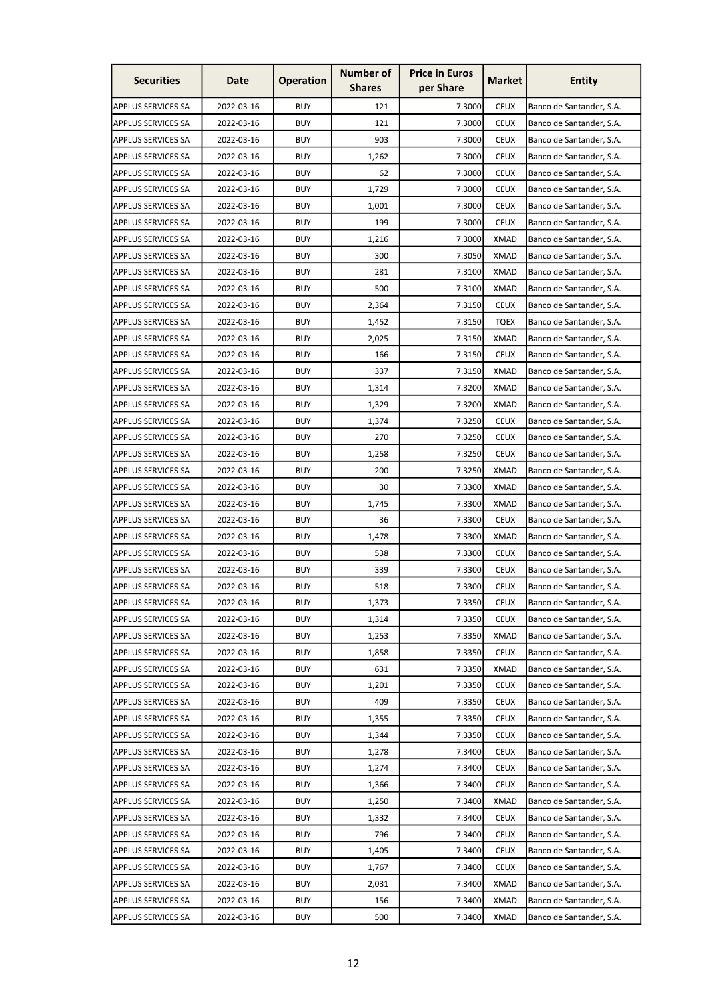| <b>Securities</b>         | Date       | <b>Operation</b> | <b>Number of</b><br><b>Shares</b> | <b>Price in Euros</b><br>per Share | <b>Market</b> | <b>Entity</b>            |
|---------------------------|------------|------------------|-----------------------------------|------------------------------------|---------------|--------------------------|
| <b>APPLUS SERVICES SA</b> | 2022-03-16 | <b>BUY</b>       | 121                               | 7.3000                             | <b>CEUX</b>   | Banco de Santander, S.A. |
| <b>APPLUS SERVICES SA</b> | 2022-03-16 | <b>BUY</b>       | 121                               | 7.3000                             | <b>CEUX</b>   | Banco de Santander, S.A. |
| <b>APPLUS SERVICES SA</b> | 2022-03-16 | <b>BUY</b>       | 903                               | 7.3000                             | <b>CEUX</b>   | Banco de Santander, S.A. |
| <b>APPLUS SERVICES SA</b> | 2022-03-16 | <b>BUY</b>       | 1,262                             | 7.3000                             | <b>CEUX</b>   | Banco de Santander, S.A. |
| <b>APPLUS SERVICES SA</b> | 2022-03-16 | <b>BUY</b>       | 62                                | 7.3000                             | <b>CEUX</b>   | Banco de Santander, S.A. |
| <b>APPLUS SERVICES SA</b> | 2022-03-16 | <b>BUY</b>       | 1,729                             | 7.3000                             | <b>CEUX</b>   | Banco de Santander, S.A. |
| <b>APPLUS SERVICES SA</b> | 2022-03-16 | <b>BUY</b>       | 1,001                             | 7.3000                             | <b>CEUX</b>   | Banco de Santander, S.A. |
| <b>APPLUS SERVICES SA</b> | 2022-03-16 | <b>BUY</b>       | 199                               | 7.3000                             | <b>CEUX</b>   | Banco de Santander, S.A. |
| <b>APPLUS SERVICES SA</b> | 2022-03-16 | <b>BUY</b>       | 1,216                             | 7.3000                             | <b>XMAD</b>   | Banco de Santander, S.A. |
| <b>APPLUS SERVICES SA</b> | 2022-03-16 | <b>BUY</b>       | 300                               | 7.3050                             | <b>XMAD</b>   | Banco de Santander, S.A. |
| <b>APPLUS SERVICES SA</b> | 2022-03-16 | <b>BUY</b>       | 281                               | 7.3100                             | <b>XMAD</b>   | Banco de Santander, S.A. |
| <b>APPLUS SERVICES SA</b> | 2022-03-16 | <b>BUY</b>       | 500                               | 7.3100                             | XMAD          | Banco de Santander, S.A. |
| <b>APPLUS SERVICES SA</b> | 2022-03-16 | <b>BUY</b>       | 2,364                             | 7.3150                             | <b>CEUX</b>   | Banco de Santander, S.A. |
| <b>APPLUS SERVICES SA</b> | 2022-03-16 | <b>BUY</b>       | 1,452                             | 7.3150                             | <b>TQEX</b>   | Banco de Santander, S.A. |
| <b>APPLUS SERVICES SA</b> | 2022-03-16 | <b>BUY</b>       | 2,025                             | 7.3150                             | <b>XMAD</b>   | Banco de Santander, S.A. |
| <b>APPLUS SERVICES SA</b> | 2022-03-16 | <b>BUY</b>       | 166                               | 7.3150                             | <b>CEUX</b>   | Banco de Santander, S.A. |
| <b>APPLUS SERVICES SA</b> | 2022-03-16 | <b>BUY</b>       | 337                               | 7.3150                             | <b>XMAD</b>   | Banco de Santander, S.A. |
| <b>APPLUS SERVICES SA</b> | 2022-03-16 | <b>BUY</b>       | 1,314                             | 7.3200                             | <b>XMAD</b>   | Banco de Santander, S.A. |
| <b>APPLUS SERVICES SA</b> | 2022-03-16 | <b>BUY</b>       | 1,329                             | 7.3200                             | <b>XMAD</b>   | Banco de Santander, S.A. |
| <b>APPLUS SERVICES SA</b> | 2022-03-16 | <b>BUY</b>       | 1,374                             | 7.3250                             | <b>CEUX</b>   | Banco de Santander, S.A. |
| <b>APPLUS SERVICES SA</b> | 2022-03-16 | <b>BUY</b>       | 270                               |                                    | <b>CEUX</b>   |                          |
|                           | 2022-03-16 | <b>BUY</b>       |                                   | 7.3250                             | <b>CEUX</b>   | Banco de Santander, S.A. |
| <b>APPLUS SERVICES SA</b> |            |                  | 1,258                             | 7.3250                             |               | Banco de Santander, S.A. |
| <b>APPLUS SERVICES SA</b> | 2022-03-16 | <b>BUY</b>       | 200                               | 7.3250                             | <b>XMAD</b>   | Banco de Santander, S.A. |
| <b>APPLUS SERVICES SA</b> | 2022-03-16 | <b>BUY</b>       | 30                                | 7.3300                             | <b>XMAD</b>   | Banco de Santander, S.A. |
| <b>APPLUS SERVICES SA</b> | 2022-03-16 | <b>BUY</b>       | 1,745                             | 7.3300                             | <b>XMAD</b>   | Banco de Santander, S.A. |
| <b>APPLUS SERVICES SA</b> | 2022-03-16 | <b>BUY</b>       | 36                                | 7.3300                             | <b>CEUX</b>   | Banco de Santander, S.A. |
| <b>APPLUS SERVICES SA</b> | 2022-03-16 | <b>BUY</b>       | 1,478                             | 7.3300                             | <b>XMAD</b>   | Banco de Santander, S.A. |
| <b>APPLUS SERVICES SA</b> | 2022-03-16 | <b>BUY</b>       | 538                               | 7.3300                             | <b>CEUX</b>   | Banco de Santander, S.A. |
| APPLUS SERVICES SA        | 2022-03-16 | <b>BUY</b>       | 339                               | 7.3300                             | <b>CEUX</b>   | Banco de Santander, S.A. |
| <b>APPLUS SERVICES SA</b> | 2022-03-16 | <b>BUY</b>       | 518                               | 7.3300                             | <b>CEUX</b>   | Banco de Santander, S.A. |
| <b>APPLUS SERVICES SA</b> | 2022-03-16 | <b>BUY</b>       | 1,373                             | 7.3350                             | <b>CEUX</b>   | Banco de Santander, S.A. |
| <b>APPLUS SERVICES SA</b> | 2022-03-16 | <b>BUY</b>       | 1,314                             | 7.3350                             | <b>CEUX</b>   | Banco de Santander, S.A. |
| <b>APPLUS SERVICES SA</b> | 2022-03-16 | <b>BUY</b>       | 1,253                             | 7.3350                             | XMAD          | Banco de Santander, S.A. |
| <b>APPLUS SERVICES SA</b> | 2022-03-16 | <b>BUY</b>       | 1,858                             | 7.3350                             | <b>CEUX</b>   | Banco de Santander, S.A. |
| <b>APPLUS SERVICES SA</b> | 2022-03-16 | <b>BUY</b>       | 631                               | 7.3350                             | <b>XMAD</b>   | Banco de Santander, S.A. |
| <b>APPLUS SERVICES SA</b> | 2022-03-16 | <b>BUY</b>       | 1,201                             | 7.3350                             | <b>CEUX</b>   | Banco de Santander, S.A. |
| <b>APPLUS SERVICES SA</b> | 2022-03-16 | <b>BUY</b>       | 409                               | 7.3350                             | <b>CEUX</b>   | Banco de Santander, S.A. |
| <b>APPLUS SERVICES SA</b> | 2022-03-16 | <b>BUY</b>       | 1,355                             | 7.3350                             | <b>CEUX</b>   | Banco de Santander, S.A. |
| <b>APPLUS SERVICES SA</b> | 2022-03-16 | <b>BUY</b>       | 1,344                             | 7.3350                             | <b>CEUX</b>   | Banco de Santander, S.A. |
| <b>APPLUS SERVICES SA</b> | 2022-03-16 | <b>BUY</b>       | 1,278                             | 7.3400                             | <b>CEUX</b>   | Banco de Santander, S.A. |
| <b>APPLUS SERVICES SA</b> | 2022-03-16 | <b>BUY</b>       | 1,274                             | 7.3400                             | <b>CEUX</b>   | Banco de Santander, S.A. |
| <b>APPLUS SERVICES SA</b> | 2022-03-16 | <b>BUY</b>       | 1,366                             | 7.3400                             | <b>CEUX</b>   | Banco de Santander, S.A. |
| <b>APPLUS SERVICES SA</b> | 2022-03-16 | <b>BUY</b>       | 1,250                             | 7.3400                             | <b>XMAD</b>   | Banco de Santander, S.A. |
| <b>APPLUS SERVICES SA</b> | 2022-03-16 | <b>BUY</b>       | 1,332                             | 7.3400                             | <b>CEUX</b>   | Banco de Santander, S.A. |
| <b>APPLUS SERVICES SA</b> | 2022-03-16 | <b>BUY</b>       | 796                               | 7.3400                             | <b>CEUX</b>   | Banco de Santander, S.A. |
| <b>APPLUS SERVICES SA</b> | 2022-03-16 | <b>BUY</b>       | 1,405                             | 7.3400                             | <b>CEUX</b>   | Banco de Santander, S.A. |
| <b>APPLUS SERVICES SA</b> | 2022-03-16 | <b>BUY</b>       | 1,767                             | 7.3400                             | <b>CEUX</b>   | Banco de Santander, S.A. |
| APPLUS SERVICES SA        | 2022-03-16 | <b>BUY</b>       | 2,031                             | 7.3400                             | <b>XMAD</b>   | Banco de Santander, S.A. |
| APPLUS SERVICES SA        | 2022-03-16 | <b>BUY</b>       | 156                               | 7.3400                             | <b>XMAD</b>   | Banco de Santander, S.A. |
| <b>APPLUS SERVICES SA</b> | 2022-03-16 | <b>BUY</b>       | 500                               | 7.3400                             | <b>XMAD</b>   | Banco de Santander, S.A. |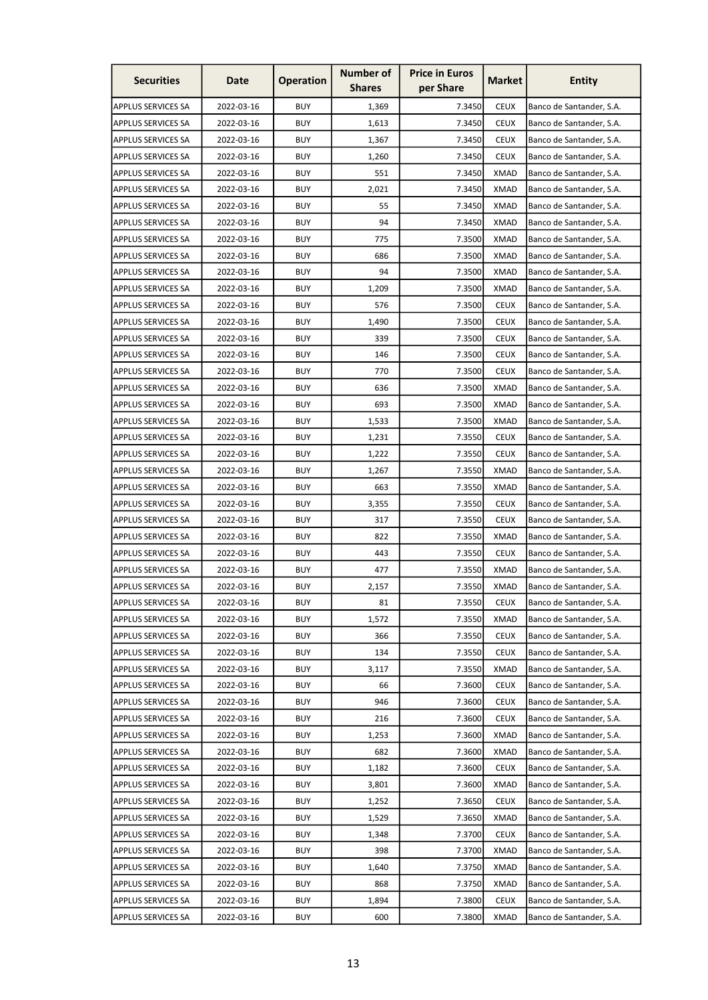| <b>Securities</b>         | Date       | <b>Operation</b> | <b>Number of</b><br><b>Shares</b> | <b>Price in Euros</b><br>per Share | <b>Market</b> | Entity                   |
|---------------------------|------------|------------------|-----------------------------------|------------------------------------|---------------|--------------------------|
| <b>APPLUS SERVICES SA</b> | 2022-03-16 | <b>BUY</b>       | 1,369                             | 7.3450                             | <b>CEUX</b>   | Banco de Santander, S.A. |
| <b>APPLUS SERVICES SA</b> | 2022-03-16 | <b>BUY</b>       | 1,613                             | 7.3450                             | <b>CEUX</b>   | Banco de Santander, S.A. |
| <b>APPLUS SERVICES SA</b> | 2022-03-16 | <b>BUY</b>       | 1,367                             | 7.3450                             | <b>CEUX</b>   | Banco de Santander, S.A. |
| <b>APPLUS SERVICES SA</b> | 2022-03-16 | <b>BUY</b>       | 1,260                             | 7.3450                             | <b>CEUX</b>   | Banco de Santander, S.A. |
| <b>APPLUS SERVICES SA</b> | 2022-03-16 | <b>BUY</b>       | 551                               | 7.3450                             | <b>XMAD</b>   | Banco de Santander, S.A. |
| <b>APPLUS SERVICES SA</b> | 2022-03-16 | <b>BUY</b>       | 2,021                             | 7.3450                             | <b>XMAD</b>   | Banco de Santander, S.A. |
| <b>APPLUS SERVICES SA</b> | 2022-03-16 | <b>BUY</b>       | 55                                | 7.3450                             | XMAD          | Banco de Santander, S.A. |
| <b>APPLUS SERVICES SA</b> | 2022-03-16 | <b>BUY</b>       | 94                                | 7.3450                             | <b>XMAD</b>   | Banco de Santander, S.A. |
| <b>APPLUS SERVICES SA</b> | 2022-03-16 | <b>BUY</b>       | 775                               | 7.3500                             | <b>XMAD</b>   | Banco de Santander, S.A. |
| <b>APPLUS SERVICES SA</b> | 2022-03-16 | <b>BUY</b>       | 686                               | 7.3500                             | <b>XMAD</b>   | Banco de Santander, S.A. |
| <b>APPLUS SERVICES SA</b> | 2022-03-16 | <b>BUY</b>       | 94                                | 7.3500                             | <b>XMAD</b>   | Banco de Santander, S.A. |
| <b>APPLUS SERVICES SA</b> | 2022-03-16 | <b>BUY</b>       | 1,209                             | 7.3500                             | <b>XMAD</b>   | Banco de Santander, S.A. |
| <b>APPLUS SERVICES SA</b> | 2022-03-16 | <b>BUY</b>       | 576                               | 7.3500                             | <b>CEUX</b>   | Banco de Santander, S.A. |
| <b>APPLUS SERVICES SA</b> | 2022-03-16 | <b>BUY</b>       | 1,490                             | 7.3500                             | <b>CEUX</b>   | Banco de Santander, S.A. |
| <b>APPLUS SERVICES SA</b> | 2022-03-16 | <b>BUY</b>       | 339                               | 7.3500                             | <b>CEUX</b>   | Banco de Santander, S.A. |
| <b>APPLUS SERVICES SA</b> | 2022-03-16 | <b>BUY</b>       | 146                               | 7.3500                             | <b>CEUX</b>   | Banco de Santander, S.A. |
| <b>APPLUS SERVICES SA</b> | 2022-03-16 | <b>BUY</b>       | 770                               | 7.3500                             | <b>CEUX</b>   | Banco de Santander, S.A. |
| <b>APPLUS SERVICES SA</b> | 2022-03-16 | <b>BUY</b>       | 636                               | 7.3500                             | <b>XMAD</b>   | Banco de Santander, S.A. |
| <b>APPLUS SERVICES SA</b> | 2022-03-16 | <b>BUY</b>       | 693                               | 7.3500                             | <b>XMAD</b>   | Banco de Santander, S.A. |
| <b>APPLUS SERVICES SA</b> | 2022-03-16 | <b>BUY</b>       | 1,533                             | 7.3500                             | <b>XMAD</b>   | Banco de Santander, S.A. |
| <b>APPLUS SERVICES SA</b> | 2022-03-16 | <b>BUY</b>       | 1,231                             | 7.3550                             | <b>CEUX</b>   | Banco de Santander, S.A. |
| <b>APPLUS SERVICES SA</b> | 2022-03-16 | <b>BUY</b>       | 1,222                             | 7.3550                             | <b>CEUX</b>   | Banco de Santander, S.A. |
| <b>APPLUS SERVICES SA</b> | 2022-03-16 | <b>BUY</b>       | 1,267                             | 7.3550                             | <b>XMAD</b>   | Banco de Santander, S.A. |
| <b>APPLUS SERVICES SA</b> | 2022-03-16 | <b>BUY</b>       | 663                               | 7.3550                             | <b>XMAD</b>   | Banco de Santander, S.A. |
| <b>APPLUS SERVICES SA</b> | 2022-03-16 | <b>BUY</b>       | 3,355                             | 7.3550                             | <b>CEUX</b>   | Banco de Santander, S.A. |
| <b>APPLUS SERVICES SA</b> | 2022-03-16 | <b>BUY</b>       | 317                               | 7.3550                             | <b>CEUX</b>   | Banco de Santander, S.A. |
| <b>APPLUS SERVICES SA</b> | 2022-03-16 | <b>BUY</b>       | 822                               | 7.3550                             | <b>XMAD</b>   | Banco de Santander, S.A. |
| <b>APPLUS SERVICES SA</b> | 2022-03-16 | <b>BUY</b>       | 443                               | 7.3550                             | <b>CEUX</b>   | Banco de Santander, S.A. |
| <b>APPLUS SERVICES SA</b> | 2022-03-16 | <b>BUY</b>       | 477                               | 7.3550                             | <b>XMAD</b>   | Banco de Santander, S.A. |
| <b>APPLUS SERVICES SA</b> | 2022-03-16 | <b>BUY</b>       | 2,157                             | 7.3550                             | <b>XMAD</b>   | Banco de Santander, S.A. |
| <b>APPLUS SERVICES SA</b> | 2022-03-16 | <b>BUY</b>       | 81                                | 7.3550                             | <b>CEUX</b>   | Banco de Santander, S.A. |
| <b>APPLUS SERVICES SA</b> | 2022-03-16 | <b>BUY</b>       | 1,572                             | 7.3550                             | <b>XMAD</b>   | Banco de Santander, S.A. |
| <b>APPLUS SERVICES SA</b> | 2022-03-16 | <b>BUY</b>       | 366                               | 7.3550                             | <b>CEUX</b>   | Banco de Santander, S.A. |
| <b>APPLUS SERVICES SA</b> | 2022-03-16 | <b>BUY</b>       | 134                               | 7.3550                             | <b>CEUX</b>   | Banco de Santander, S.A. |
| <b>APPLUS SERVICES SA</b> | 2022-03-16 | <b>BUY</b>       | 3,117                             | 7.3550                             | <b>XMAD</b>   | Banco de Santander, S.A. |
| <b>APPLUS SERVICES SA</b> | 2022-03-16 | <b>BUY</b>       | 66                                | 7.3600                             | <b>CEUX</b>   | Banco de Santander, S.A. |
| <b>APPLUS SERVICES SA</b> | 2022-03-16 | <b>BUY</b>       | 946                               | 7.3600                             | <b>CEUX</b>   | Banco de Santander, S.A. |
| <b>APPLUS SERVICES SA</b> | 2022-03-16 | <b>BUY</b>       | 216                               | 7.3600                             | <b>CEUX</b>   | Banco de Santander, S.A. |
| <b>APPLUS SERVICES SA</b> | 2022-03-16 | <b>BUY</b>       | 1,253                             | 7.3600                             | <b>XMAD</b>   | Banco de Santander, S.A. |
| <b>APPLUS SERVICES SA</b> | 2022-03-16 | <b>BUY</b>       | 682                               | 7.3600                             | <b>XMAD</b>   | Banco de Santander, S.A. |
| <b>APPLUS SERVICES SA</b> | 2022-03-16 | <b>BUY</b>       | 1,182                             | 7.3600                             | <b>CEUX</b>   | Banco de Santander, S.A. |
| <b>APPLUS SERVICES SA</b> | 2022-03-16 | <b>BUY</b>       | 3,801                             | 7.3600                             | <b>XMAD</b>   | Banco de Santander, S.A. |
| <b>APPLUS SERVICES SA</b> | 2022-03-16 | <b>BUY</b>       | 1,252                             | 7.3650                             | <b>CEUX</b>   | Banco de Santander, S.A. |
| <b>APPLUS SERVICES SA</b> | 2022-03-16 | <b>BUY</b>       | 1,529                             | 7.3650                             | <b>XMAD</b>   | Banco de Santander, S.A. |
| <b>APPLUS SERVICES SA</b> | 2022-03-16 | <b>BUY</b>       | 1,348                             | 7.3700                             | <b>CEUX</b>   | Banco de Santander, S.A. |
| <b>APPLUS SERVICES SA</b> | 2022-03-16 | <b>BUY</b>       | 398                               | 7.3700                             | <b>XMAD</b>   | Banco de Santander, S.A. |
| <b>APPLUS SERVICES SA</b> | 2022-03-16 | <b>BUY</b>       | 1,640                             | 7.3750                             | <b>XMAD</b>   | Banco de Santander, S.A. |
| <b>APPLUS SERVICES SA</b> | 2022-03-16 | <b>BUY</b>       | 868                               | 7.3750                             | <b>XMAD</b>   | Banco de Santander, S.A. |
| <b>APPLUS SERVICES SA</b> | 2022-03-16 | <b>BUY</b>       | 1,894                             | 7.3800                             | <b>CEUX</b>   | Banco de Santander, S.A. |
| <b>APPLUS SERVICES SA</b> | 2022-03-16 | <b>BUY</b>       | 600                               | 7.3800                             | <b>XMAD</b>   | Banco de Santander, S.A. |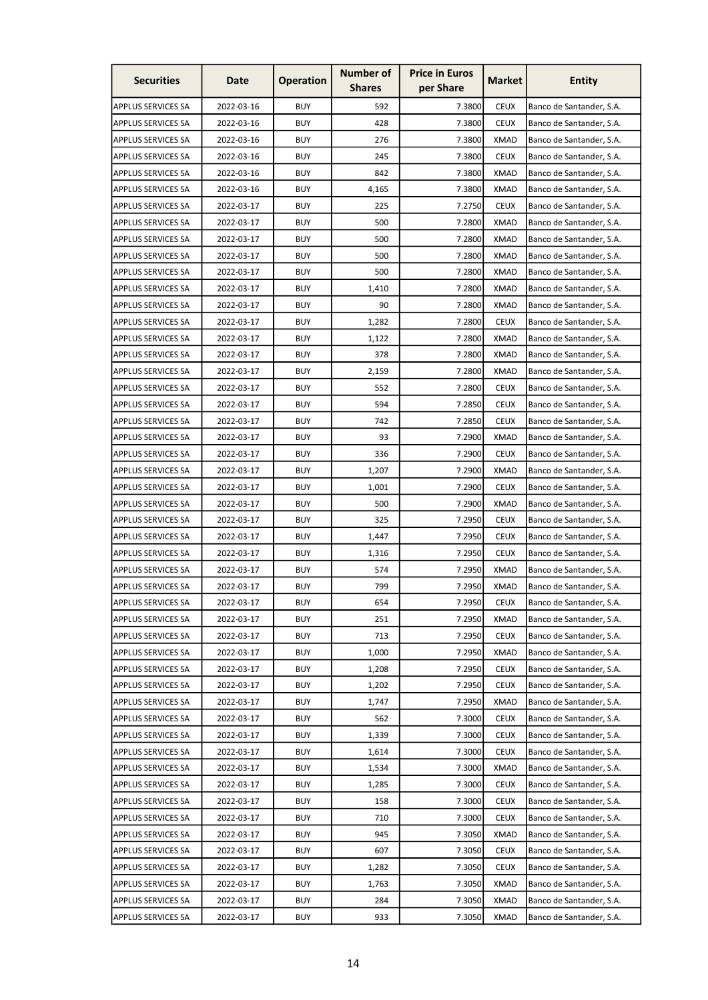| <b>BUY</b><br>592<br>7.3800<br><b>CEUX</b><br><b>APPLUS SERVICES SA</b><br>2022-03-16<br>Banco de Santander, S.A.<br><b>APPLUS SERVICES SA</b><br>2022-03-16<br><b>BUY</b><br>428<br>7.3800<br><b>CEUX</b><br>Banco de Santander, S.A.<br><b>BUY</b><br>276<br>7.3800<br><b>XMAD</b><br><b>APPLUS SERVICES SA</b><br>2022-03-16<br>Banco de Santander, S.A.<br><b>BUY</b><br>245<br>7.3800<br><b>CEUX</b><br><b>APPLUS SERVICES SA</b><br>2022-03-16<br>Banco de Santander, S.A.<br><b>BUY</b><br>842<br>7.3800<br><b>XMAD</b><br><b>APPLUS SERVICES SA</b><br>2022-03-16<br>Banco de Santander, S.A.<br><b>BUY</b><br>7.3800<br><b>XMAD</b><br><b>APPLUS SERVICES SA</b><br>2022-03-16<br>4,165<br>Banco de Santander, S.A.<br><b>BUY</b><br>225<br><b>CEUX</b><br><b>APPLUS SERVICES SA</b><br>2022-03-17<br>7.2750<br>Banco de Santander, S.A.<br><b>BUY</b><br>500<br>7.2800<br><b>XMAD</b><br><b>APPLUS SERVICES SA</b><br>2022-03-17<br>Banco de Santander, S.A.<br>2022-03-17<br><b>BUY</b><br>500<br>7.2800<br><b>XMAD</b><br><b>APPLUS SERVICES SA</b><br>Banco de Santander, S.A.<br>2022-03-17<br><b>BUY</b><br>500<br>7.2800<br><b>XMAD</b><br><b>APPLUS SERVICES SA</b><br>Banco de Santander, S.A.<br><b>BUY</b><br>7.2800<br><b>XMAD</b><br><b>APPLUS SERVICES SA</b><br>2022-03-17<br>500<br>Banco de Santander, S.A.<br><b>BUY</b><br>7.2800<br><b>APPLUS SERVICES SA</b><br>2022-03-17<br>1,410<br>XMAD<br>Banco de Santander, S.A.<br>2022-03-17<br><b>BUY</b><br>90<br>7.2800<br><b>XMAD</b><br><b>APPLUS SERVICES SA</b><br>Banco de Santander, S.A.<br><b>BUY</b><br><b>APPLUS SERVICES SA</b><br>2022-03-17<br>1,282<br>7.2800<br><b>CEUX</b><br>Banco de Santander, S.A.<br><b>BUY</b><br>2022-03-17<br>7.2800<br><b>XMAD</b><br><b>APPLUS SERVICES SA</b><br>1,122<br>Banco de Santander, S.A.<br>2022-03-17<br><b>BUY</b><br>378<br>7.2800<br><b>XMAD</b><br><b>APPLUS SERVICES SA</b><br>Banco de Santander, S.A.<br><b>BUY</b><br>7.2800<br><b>XMAD</b><br><b>APPLUS SERVICES SA</b><br>2022-03-17<br>2,159<br>Banco de Santander, S.A.<br><b>BUY</b><br>7.2800<br><b>CEUX</b><br><b>APPLUS SERVICES SA</b><br>2022-03-17<br>552<br>Banco de Santander, S.A.<br><b>BUY</b><br>594<br><b>CEUX</b><br><b>APPLUS SERVICES SA</b><br>2022-03-17<br>7.2850<br>Banco de Santander, S.A.<br><b>BUY</b><br><b>APPLUS SERVICES SA</b><br>2022-03-17<br>742<br>7.2850<br><b>CEUX</b><br>Banco de Santander, S.A.<br><b>BUY</b><br><b>APPLUS SERVICES SA</b><br>2022-03-17<br>93<br>7.2900<br><b>XMAD</b><br>Banco de Santander, S.A.<br><b>BUY</b><br>7.2900<br><b>CEUX</b><br><b>APPLUS SERVICES SA</b><br>2022-03-17<br>336<br>Banco de Santander, S.A. | <b>Securities</b>         |
|-----------------------------------------------------------------------------------------------------------------------------------------------------------------------------------------------------------------------------------------------------------------------------------------------------------------------------------------------------------------------------------------------------------------------------------------------------------------------------------------------------------------------------------------------------------------------------------------------------------------------------------------------------------------------------------------------------------------------------------------------------------------------------------------------------------------------------------------------------------------------------------------------------------------------------------------------------------------------------------------------------------------------------------------------------------------------------------------------------------------------------------------------------------------------------------------------------------------------------------------------------------------------------------------------------------------------------------------------------------------------------------------------------------------------------------------------------------------------------------------------------------------------------------------------------------------------------------------------------------------------------------------------------------------------------------------------------------------------------------------------------------------------------------------------------------------------------------------------------------------------------------------------------------------------------------------------------------------------------------------------------------------------------------------------------------------------------------------------------------------------------------------------------------------------------------------------------------------------------------------------------------------------------------------------------------------------------------------------------------------------------------------------------------------------------------------------------------------------------------------------------------------------------------------------------------------------------------------------------------------------------------------------------------------------------|---------------------------|
|                                                                                                                                                                                                                                                                                                                                                                                                                                                                                                                                                                                                                                                                                                                                                                                                                                                                                                                                                                                                                                                                                                                                                                                                                                                                                                                                                                                                                                                                                                                                                                                                                                                                                                                                                                                                                                                                                                                                                                                                                                                                                                                                                                                                                                                                                                                                                                                                                                                                                                                                                                                                                                                                             |                           |
|                                                                                                                                                                                                                                                                                                                                                                                                                                                                                                                                                                                                                                                                                                                                                                                                                                                                                                                                                                                                                                                                                                                                                                                                                                                                                                                                                                                                                                                                                                                                                                                                                                                                                                                                                                                                                                                                                                                                                                                                                                                                                                                                                                                                                                                                                                                                                                                                                                                                                                                                                                                                                                                                             |                           |
|                                                                                                                                                                                                                                                                                                                                                                                                                                                                                                                                                                                                                                                                                                                                                                                                                                                                                                                                                                                                                                                                                                                                                                                                                                                                                                                                                                                                                                                                                                                                                                                                                                                                                                                                                                                                                                                                                                                                                                                                                                                                                                                                                                                                                                                                                                                                                                                                                                                                                                                                                                                                                                                                             |                           |
|                                                                                                                                                                                                                                                                                                                                                                                                                                                                                                                                                                                                                                                                                                                                                                                                                                                                                                                                                                                                                                                                                                                                                                                                                                                                                                                                                                                                                                                                                                                                                                                                                                                                                                                                                                                                                                                                                                                                                                                                                                                                                                                                                                                                                                                                                                                                                                                                                                                                                                                                                                                                                                                                             |                           |
|                                                                                                                                                                                                                                                                                                                                                                                                                                                                                                                                                                                                                                                                                                                                                                                                                                                                                                                                                                                                                                                                                                                                                                                                                                                                                                                                                                                                                                                                                                                                                                                                                                                                                                                                                                                                                                                                                                                                                                                                                                                                                                                                                                                                                                                                                                                                                                                                                                                                                                                                                                                                                                                                             |                           |
|                                                                                                                                                                                                                                                                                                                                                                                                                                                                                                                                                                                                                                                                                                                                                                                                                                                                                                                                                                                                                                                                                                                                                                                                                                                                                                                                                                                                                                                                                                                                                                                                                                                                                                                                                                                                                                                                                                                                                                                                                                                                                                                                                                                                                                                                                                                                                                                                                                                                                                                                                                                                                                                                             |                           |
|                                                                                                                                                                                                                                                                                                                                                                                                                                                                                                                                                                                                                                                                                                                                                                                                                                                                                                                                                                                                                                                                                                                                                                                                                                                                                                                                                                                                                                                                                                                                                                                                                                                                                                                                                                                                                                                                                                                                                                                                                                                                                                                                                                                                                                                                                                                                                                                                                                                                                                                                                                                                                                                                             |                           |
|                                                                                                                                                                                                                                                                                                                                                                                                                                                                                                                                                                                                                                                                                                                                                                                                                                                                                                                                                                                                                                                                                                                                                                                                                                                                                                                                                                                                                                                                                                                                                                                                                                                                                                                                                                                                                                                                                                                                                                                                                                                                                                                                                                                                                                                                                                                                                                                                                                                                                                                                                                                                                                                                             |                           |
|                                                                                                                                                                                                                                                                                                                                                                                                                                                                                                                                                                                                                                                                                                                                                                                                                                                                                                                                                                                                                                                                                                                                                                                                                                                                                                                                                                                                                                                                                                                                                                                                                                                                                                                                                                                                                                                                                                                                                                                                                                                                                                                                                                                                                                                                                                                                                                                                                                                                                                                                                                                                                                                                             |                           |
|                                                                                                                                                                                                                                                                                                                                                                                                                                                                                                                                                                                                                                                                                                                                                                                                                                                                                                                                                                                                                                                                                                                                                                                                                                                                                                                                                                                                                                                                                                                                                                                                                                                                                                                                                                                                                                                                                                                                                                                                                                                                                                                                                                                                                                                                                                                                                                                                                                                                                                                                                                                                                                                                             |                           |
|                                                                                                                                                                                                                                                                                                                                                                                                                                                                                                                                                                                                                                                                                                                                                                                                                                                                                                                                                                                                                                                                                                                                                                                                                                                                                                                                                                                                                                                                                                                                                                                                                                                                                                                                                                                                                                                                                                                                                                                                                                                                                                                                                                                                                                                                                                                                                                                                                                                                                                                                                                                                                                                                             |                           |
|                                                                                                                                                                                                                                                                                                                                                                                                                                                                                                                                                                                                                                                                                                                                                                                                                                                                                                                                                                                                                                                                                                                                                                                                                                                                                                                                                                                                                                                                                                                                                                                                                                                                                                                                                                                                                                                                                                                                                                                                                                                                                                                                                                                                                                                                                                                                                                                                                                                                                                                                                                                                                                                                             |                           |
|                                                                                                                                                                                                                                                                                                                                                                                                                                                                                                                                                                                                                                                                                                                                                                                                                                                                                                                                                                                                                                                                                                                                                                                                                                                                                                                                                                                                                                                                                                                                                                                                                                                                                                                                                                                                                                                                                                                                                                                                                                                                                                                                                                                                                                                                                                                                                                                                                                                                                                                                                                                                                                                                             |                           |
|                                                                                                                                                                                                                                                                                                                                                                                                                                                                                                                                                                                                                                                                                                                                                                                                                                                                                                                                                                                                                                                                                                                                                                                                                                                                                                                                                                                                                                                                                                                                                                                                                                                                                                                                                                                                                                                                                                                                                                                                                                                                                                                                                                                                                                                                                                                                                                                                                                                                                                                                                                                                                                                                             |                           |
|                                                                                                                                                                                                                                                                                                                                                                                                                                                                                                                                                                                                                                                                                                                                                                                                                                                                                                                                                                                                                                                                                                                                                                                                                                                                                                                                                                                                                                                                                                                                                                                                                                                                                                                                                                                                                                                                                                                                                                                                                                                                                                                                                                                                                                                                                                                                                                                                                                                                                                                                                                                                                                                                             |                           |
|                                                                                                                                                                                                                                                                                                                                                                                                                                                                                                                                                                                                                                                                                                                                                                                                                                                                                                                                                                                                                                                                                                                                                                                                                                                                                                                                                                                                                                                                                                                                                                                                                                                                                                                                                                                                                                                                                                                                                                                                                                                                                                                                                                                                                                                                                                                                                                                                                                                                                                                                                                                                                                                                             |                           |
|                                                                                                                                                                                                                                                                                                                                                                                                                                                                                                                                                                                                                                                                                                                                                                                                                                                                                                                                                                                                                                                                                                                                                                                                                                                                                                                                                                                                                                                                                                                                                                                                                                                                                                                                                                                                                                                                                                                                                                                                                                                                                                                                                                                                                                                                                                                                                                                                                                                                                                                                                                                                                                                                             |                           |
|                                                                                                                                                                                                                                                                                                                                                                                                                                                                                                                                                                                                                                                                                                                                                                                                                                                                                                                                                                                                                                                                                                                                                                                                                                                                                                                                                                                                                                                                                                                                                                                                                                                                                                                                                                                                                                                                                                                                                                                                                                                                                                                                                                                                                                                                                                                                                                                                                                                                                                                                                                                                                                                                             |                           |
|                                                                                                                                                                                                                                                                                                                                                                                                                                                                                                                                                                                                                                                                                                                                                                                                                                                                                                                                                                                                                                                                                                                                                                                                                                                                                                                                                                                                                                                                                                                                                                                                                                                                                                                                                                                                                                                                                                                                                                                                                                                                                                                                                                                                                                                                                                                                                                                                                                                                                                                                                                                                                                                                             |                           |
|                                                                                                                                                                                                                                                                                                                                                                                                                                                                                                                                                                                                                                                                                                                                                                                                                                                                                                                                                                                                                                                                                                                                                                                                                                                                                                                                                                                                                                                                                                                                                                                                                                                                                                                                                                                                                                                                                                                                                                                                                                                                                                                                                                                                                                                                                                                                                                                                                                                                                                                                                                                                                                                                             |                           |
|                                                                                                                                                                                                                                                                                                                                                                                                                                                                                                                                                                                                                                                                                                                                                                                                                                                                                                                                                                                                                                                                                                                                                                                                                                                                                                                                                                                                                                                                                                                                                                                                                                                                                                                                                                                                                                                                                                                                                                                                                                                                                                                                                                                                                                                                                                                                                                                                                                                                                                                                                                                                                                                                             |                           |
|                                                                                                                                                                                                                                                                                                                                                                                                                                                                                                                                                                                                                                                                                                                                                                                                                                                                                                                                                                                                                                                                                                                                                                                                                                                                                                                                                                                                                                                                                                                                                                                                                                                                                                                                                                                                                                                                                                                                                                                                                                                                                                                                                                                                                                                                                                                                                                                                                                                                                                                                                                                                                                                                             |                           |
| <b>BUY</b><br>1,207<br>7.2900<br><b>XMAD</b><br>2022-03-17<br>Banco de Santander, S.A.                                                                                                                                                                                                                                                                                                                                                                                                                                                                                                                                                                                                                                                                                                                                                                                                                                                                                                                                                                                                                                                                                                                                                                                                                                                                                                                                                                                                                                                                                                                                                                                                                                                                                                                                                                                                                                                                                                                                                                                                                                                                                                                                                                                                                                                                                                                                                                                                                                                                                                                                                                                      | <b>APPLUS SERVICES SA</b> |
| <b>BUY</b><br><b>APPLUS SERVICES SA</b><br>2022-03-17<br>1,001<br>7.2900<br><b>CEUX</b><br>Banco de Santander, S.A.                                                                                                                                                                                                                                                                                                                                                                                                                                                                                                                                                                                                                                                                                                                                                                                                                                                                                                                                                                                                                                                                                                                                                                                                                                                                                                                                                                                                                                                                                                                                                                                                                                                                                                                                                                                                                                                                                                                                                                                                                                                                                                                                                                                                                                                                                                                                                                                                                                                                                                                                                         |                           |
| <b>BUY</b><br>500<br>7.2900<br><b>XMAD</b><br><b>APPLUS SERVICES SA</b><br>2022-03-17<br>Banco de Santander, S.A.                                                                                                                                                                                                                                                                                                                                                                                                                                                                                                                                                                                                                                                                                                                                                                                                                                                                                                                                                                                                                                                                                                                                                                                                                                                                                                                                                                                                                                                                                                                                                                                                                                                                                                                                                                                                                                                                                                                                                                                                                                                                                                                                                                                                                                                                                                                                                                                                                                                                                                                                                           |                           |
| <b>BUY</b><br>7.2950<br><b>APPLUS SERVICES SA</b><br>2022-03-17<br>325<br><b>CEUX</b><br>Banco de Santander, S.A.                                                                                                                                                                                                                                                                                                                                                                                                                                                                                                                                                                                                                                                                                                                                                                                                                                                                                                                                                                                                                                                                                                                                                                                                                                                                                                                                                                                                                                                                                                                                                                                                                                                                                                                                                                                                                                                                                                                                                                                                                                                                                                                                                                                                                                                                                                                                                                                                                                                                                                                                                           |                           |
| <b>APPLUS SERVICES SA</b><br>2022-03-17<br><b>BUY</b><br>1,447<br>7.2950<br><b>CEUX</b><br>Banco de Santander, S.A.                                                                                                                                                                                                                                                                                                                                                                                                                                                                                                                                                                                                                                                                                                                                                                                                                                                                                                                                                                                                                                                                                                                                                                                                                                                                                                                                                                                                                                                                                                                                                                                                                                                                                                                                                                                                                                                                                                                                                                                                                                                                                                                                                                                                                                                                                                                                                                                                                                                                                                                                                         |                           |
| <b>BUY</b><br>7.2950<br><b>CEUX</b><br><b>APPLUS SERVICES SA</b><br>2022-03-17<br>1,316<br>Banco de Santander, S.A.                                                                                                                                                                                                                                                                                                                                                                                                                                                                                                                                                                                                                                                                                                                                                                                                                                                                                                                                                                                                                                                                                                                                                                                                                                                                                                                                                                                                                                                                                                                                                                                                                                                                                                                                                                                                                                                                                                                                                                                                                                                                                                                                                                                                                                                                                                                                                                                                                                                                                                                                                         |                           |
| <b>BUY</b><br>574<br>7.2950<br><b>XMAD</b><br>APPLUS SERVICES SA<br>2022-03-17<br>Banco de Santander, S.A.                                                                                                                                                                                                                                                                                                                                                                                                                                                                                                                                                                                                                                                                                                                                                                                                                                                                                                                                                                                                                                                                                                                                                                                                                                                                                                                                                                                                                                                                                                                                                                                                                                                                                                                                                                                                                                                                                                                                                                                                                                                                                                                                                                                                                                                                                                                                                                                                                                                                                                                                                                  |                           |
| <b>APPLUS SERVICES SA</b><br>2022-03-17<br><b>BUY</b><br>799<br>7.2950<br><b>XMAD</b><br>Banco de Santander, S.A.                                                                                                                                                                                                                                                                                                                                                                                                                                                                                                                                                                                                                                                                                                                                                                                                                                                                                                                                                                                                                                                                                                                                                                                                                                                                                                                                                                                                                                                                                                                                                                                                                                                                                                                                                                                                                                                                                                                                                                                                                                                                                                                                                                                                                                                                                                                                                                                                                                                                                                                                                           |                           |
| <b>BUY</b><br>7.2950<br><b>APPLUS SERVICES SA</b><br>2022-03-17<br>654<br><b>CEUX</b><br>Banco de Santander, S.A.                                                                                                                                                                                                                                                                                                                                                                                                                                                                                                                                                                                                                                                                                                                                                                                                                                                                                                                                                                                                                                                                                                                                                                                                                                                                                                                                                                                                                                                                                                                                                                                                                                                                                                                                                                                                                                                                                                                                                                                                                                                                                                                                                                                                                                                                                                                                                                                                                                                                                                                                                           |                           |
| <b>APPLUS SERVICES SA</b><br>2022-03-17<br><b>BUY</b><br>251<br>7.2950<br><b>XMAD</b><br>Banco de Santander, S.A.                                                                                                                                                                                                                                                                                                                                                                                                                                                                                                                                                                                                                                                                                                                                                                                                                                                                                                                                                                                                                                                                                                                                                                                                                                                                                                                                                                                                                                                                                                                                                                                                                                                                                                                                                                                                                                                                                                                                                                                                                                                                                                                                                                                                                                                                                                                                                                                                                                                                                                                                                           |                           |
| <b>BUY</b><br>2022-03-17<br>713<br>7.2950<br><b>CEUX</b><br>Banco de Santander, S.A.<br><b>APPLUS SERVICES SA</b>                                                                                                                                                                                                                                                                                                                                                                                                                                                                                                                                                                                                                                                                                                                                                                                                                                                                                                                                                                                                                                                                                                                                                                                                                                                                                                                                                                                                                                                                                                                                                                                                                                                                                                                                                                                                                                                                                                                                                                                                                                                                                                                                                                                                                                                                                                                                                                                                                                                                                                                                                           |                           |
| <b>BUY</b><br>1,000<br>7.2950<br><b>XMAD</b><br><b>APPLUS SERVICES SA</b><br>2022-03-17<br>Banco de Santander, S.A.                                                                                                                                                                                                                                                                                                                                                                                                                                                                                                                                                                                                                                                                                                                                                                                                                                                                                                                                                                                                                                                                                                                                                                                                                                                                                                                                                                                                                                                                                                                                                                                                                                                                                                                                                                                                                                                                                                                                                                                                                                                                                                                                                                                                                                                                                                                                                                                                                                                                                                                                                         |                           |
| <b>APPLUS SERVICES SA</b><br>2022-03-17<br><b>BUY</b><br>1,208<br>7.2950<br><b>CEUX</b><br>Banco de Santander, S.A.                                                                                                                                                                                                                                                                                                                                                                                                                                                                                                                                                                                                                                                                                                                                                                                                                                                                                                                                                                                                                                                                                                                                                                                                                                                                                                                                                                                                                                                                                                                                                                                                                                                                                                                                                                                                                                                                                                                                                                                                                                                                                                                                                                                                                                                                                                                                                                                                                                                                                                                                                         |                           |
| <b>APPLUS SERVICES SA</b><br>2022-03-17<br><b>BUY</b><br>1,202<br>7.2950<br><b>CEUX</b><br>Banco de Santander, S.A.                                                                                                                                                                                                                                                                                                                                                                                                                                                                                                                                                                                                                                                                                                                                                                                                                                                                                                                                                                                                                                                                                                                                                                                                                                                                                                                                                                                                                                                                                                                                                                                                                                                                                                                                                                                                                                                                                                                                                                                                                                                                                                                                                                                                                                                                                                                                                                                                                                                                                                                                                         |                           |
| <b>BUY</b><br><b>APPLUS SERVICES SA</b><br>2022-03-17<br>1,747<br>7.2950<br><b>XMAD</b><br>Banco de Santander, S.A.                                                                                                                                                                                                                                                                                                                                                                                                                                                                                                                                                                                                                                                                                                                                                                                                                                                                                                                                                                                                                                                                                                                                                                                                                                                                                                                                                                                                                                                                                                                                                                                                                                                                                                                                                                                                                                                                                                                                                                                                                                                                                                                                                                                                                                                                                                                                                                                                                                                                                                                                                         |                           |
| <b>BUY</b><br><b>APPLUS SERVICES SA</b><br>2022-03-17<br>562<br>7.3000<br><b>CEUX</b><br>Banco de Santander, S.A.                                                                                                                                                                                                                                                                                                                                                                                                                                                                                                                                                                                                                                                                                                                                                                                                                                                                                                                                                                                                                                                                                                                                                                                                                                                                                                                                                                                                                                                                                                                                                                                                                                                                                                                                                                                                                                                                                                                                                                                                                                                                                                                                                                                                                                                                                                                                                                                                                                                                                                                                                           |                           |
| <b>APPLUS SERVICES SA</b><br>2022-03-17<br><b>BUY</b><br>1,339<br>7.3000<br><b>CEUX</b><br>Banco de Santander, S.A.                                                                                                                                                                                                                                                                                                                                                                                                                                                                                                                                                                                                                                                                                                                                                                                                                                                                                                                                                                                                                                                                                                                                                                                                                                                                                                                                                                                                                                                                                                                                                                                                                                                                                                                                                                                                                                                                                                                                                                                                                                                                                                                                                                                                                                                                                                                                                                                                                                                                                                                                                         |                           |
| <b>APPLUS SERVICES SA</b><br>2022-03-17<br><b>BUY</b><br>1,614<br>7.3000<br><b>CEUX</b><br>Banco de Santander, S.A.                                                                                                                                                                                                                                                                                                                                                                                                                                                                                                                                                                                                                                                                                                                                                                                                                                                                                                                                                                                                                                                                                                                                                                                                                                                                                                                                                                                                                                                                                                                                                                                                                                                                                                                                                                                                                                                                                                                                                                                                                                                                                                                                                                                                                                                                                                                                                                                                                                                                                                                                                         |                           |
| <b>APPLUS SERVICES SA</b><br>2022-03-17<br><b>BUY</b><br>1,534<br>7.3000<br><b>XMAD</b><br>Banco de Santander, S.A.                                                                                                                                                                                                                                                                                                                                                                                                                                                                                                                                                                                                                                                                                                                                                                                                                                                                                                                                                                                                                                                                                                                                                                                                                                                                                                                                                                                                                                                                                                                                                                                                                                                                                                                                                                                                                                                                                                                                                                                                                                                                                                                                                                                                                                                                                                                                                                                                                                                                                                                                                         |                           |
| <b>APPLUS SERVICES SA</b><br>2022-03-17<br><b>BUY</b><br>7.3000<br><b>CEUX</b><br>1,285<br>Banco de Santander, S.A.                                                                                                                                                                                                                                                                                                                                                                                                                                                                                                                                                                                                                                                                                                                                                                                                                                                                                                                                                                                                                                                                                                                                                                                                                                                                                                                                                                                                                                                                                                                                                                                                                                                                                                                                                                                                                                                                                                                                                                                                                                                                                                                                                                                                                                                                                                                                                                                                                                                                                                                                                         |                           |
| <b>BUY</b><br><b>APPLUS SERVICES SA</b><br>2022-03-17<br>158<br>7.3000<br><b>CEUX</b><br>Banco de Santander, S.A.                                                                                                                                                                                                                                                                                                                                                                                                                                                                                                                                                                                                                                                                                                                                                                                                                                                                                                                                                                                                                                                                                                                                                                                                                                                                                                                                                                                                                                                                                                                                                                                                                                                                                                                                                                                                                                                                                                                                                                                                                                                                                                                                                                                                                                                                                                                                                                                                                                                                                                                                                           |                           |
| <b>APPLUS SERVICES SA</b><br>2022-03-17<br><b>BUY</b><br>710<br>7.3000<br><b>CEUX</b><br>Banco de Santander, S.A.                                                                                                                                                                                                                                                                                                                                                                                                                                                                                                                                                                                                                                                                                                                                                                                                                                                                                                                                                                                                                                                                                                                                                                                                                                                                                                                                                                                                                                                                                                                                                                                                                                                                                                                                                                                                                                                                                                                                                                                                                                                                                                                                                                                                                                                                                                                                                                                                                                                                                                                                                           |                           |
| <b>APPLUS SERVICES SA</b><br>2022-03-17<br><b>BUY</b><br>945<br>7.3050<br><b>XMAD</b><br>Banco de Santander, S.A.                                                                                                                                                                                                                                                                                                                                                                                                                                                                                                                                                                                                                                                                                                                                                                                                                                                                                                                                                                                                                                                                                                                                                                                                                                                                                                                                                                                                                                                                                                                                                                                                                                                                                                                                                                                                                                                                                                                                                                                                                                                                                                                                                                                                                                                                                                                                                                                                                                                                                                                                                           |                           |
| <b>BUY</b><br><b>APPLUS SERVICES SA</b><br>2022-03-17<br>607<br>7.3050<br><b>CEUX</b><br>Banco de Santander, S.A.                                                                                                                                                                                                                                                                                                                                                                                                                                                                                                                                                                                                                                                                                                                                                                                                                                                                                                                                                                                                                                                                                                                                                                                                                                                                                                                                                                                                                                                                                                                                                                                                                                                                                                                                                                                                                                                                                                                                                                                                                                                                                                                                                                                                                                                                                                                                                                                                                                                                                                                                                           |                           |
| <b>BUY</b><br>2022-03-17<br>7.3050<br><b>CEUX</b><br><b>APPLUS SERVICES SA</b><br>1,282<br>Banco de Santander, S.A.                                                                                                                                                                                                                                                                                                                                                                                                                                                                                                                                                                                                                                                                                                                                                                                                                                                                                                                                                                                                                                                                                                                                                                                                                                                                                                                                                                                                                                                                                                                                                                                                                                                                                                                                                                                                                                                                                                                                                                                                                                                                                                                                                                                                                                                                                                                                                                                                                                                                                                                                                         |                           |
| APPLUS SERVICES SA<br><b>BUY</b><br>7.3050<br><b>XMAD</b><br>2022-03-17<br>1,763<br>Banco de Santander, S.A.                                                                                                                                                                                                                                                                                                                                                                                                                                                                                                                                                                                                                                                                                                                                                                                                                                                                                                                                                                                                                                                                                                                                                                                                                                                                                                                                                                                                                                                                                                                                                                                                                                                                                                                                                                                                                                                                                                                                                                                                                                                                                                                                                                                                                                                                                                                                                                                                                                                                                                                                                                |                           |
| APPLUS SERVICES SA<br><b>BUY</b><br>2022-03-17<br>284<br>7.3050<br><b>XMAD</b><br>Banco de Santander, S.A.                                                                                                                                                                                                                                                                                                                                                                                                                                                                                                                                                                                                                                                                                                                                                                                                                                                                                                                                                                                                                                                                                                                                                                                                                                                                                                                                                                                                                                                                                                                                                                                                                                                                                                                                                                                                                                                                                                                                                                                                                                                                                                                                                                                                                                                                                                                                                                                                                                                                                                                                                                  |                           |
| <b>BUY</b><br>APPLUS SERVICES SA<br>2022-03-17<br>933<br><b>XMAD</b><br>7.3050<br>Banco de Santander, S.A.                                                                                                                                                                                                                                                                                                                                                                                                                                                                                                                                                                                                                                                                                                                                                                                                                                                                                                                                                                                                                                                                                                                                                                                                                                                                                                                                                                                                                                                                                                                                                                                                                                                                                                                                                                                                                                                                                                                                                                                                                                                                                                                                                                                                                                                                                                                                                                                                                                                                                                                                                                  |                           |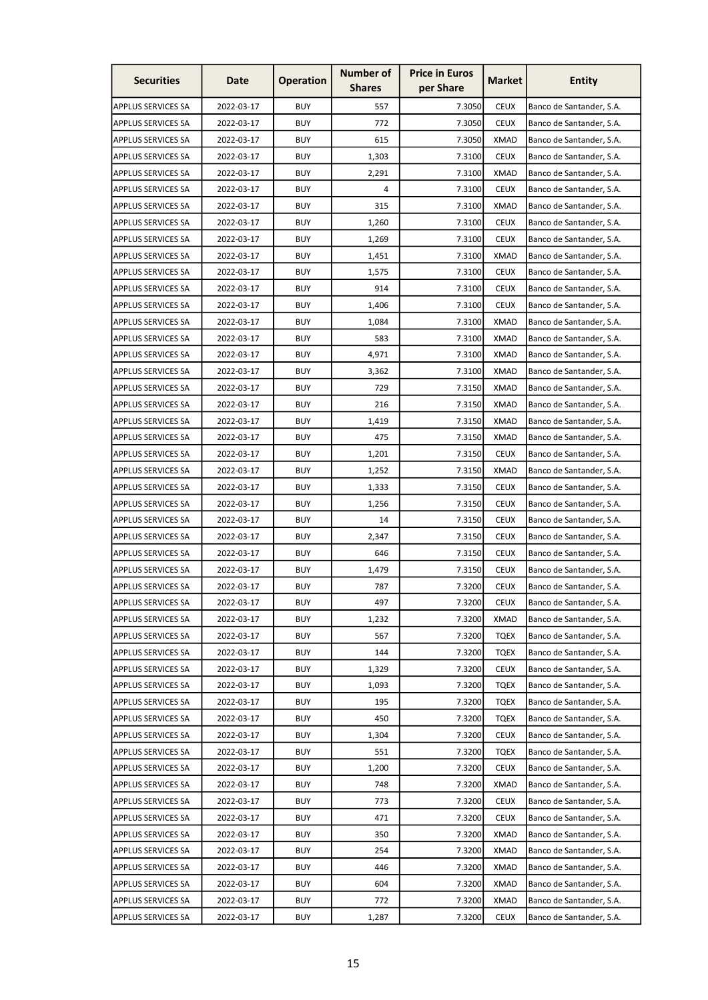| <b>Securities</b>         | Date       | <b>Operation</b> | <b>Number of</b><br><b>Shares</b> | <b>Price in Euros</b><br>per Share | <b>Market</b> | <b>Entity</b>            |
|---------------------------|------------|------------------|-----------------------------------|------------------------------------|---------------|--------------------------|
| <b>APPLUS SERVICES SA</b> | 2022-03-17 | <b>BUY</b>       | 557                               | 7.3050                             | <b>CEUX</b>   | Banco de Santander, S.A. |
| <b>APPLUS SERVICES SA</b> | 2022-03-17 | <b>BUY</b>       | 772                               | 7.3050                             | <b>CEUX</b>   | Banco de Santander, S.A. |
| <b>APPLUS SERVICES SA</b> | 2022-03-17 | <b>BUY</b>       | 615                               | 7.3050                             | <b>XMAD</b>   | Banco de Santander, S.A. |
| <b>APPLUS SERVICES SA</b> | 2022-03-17 | <b>BUY</b>       | 1,303                             | 7.3100                             | <b>CEUX</b>   | Banco de Santander, S.A. |
| <b>APPLUS SERVICES SA</b> | 2022-03-17 | <b>BUY</b>       | 2,291                             | 7.3100                             | <b>XMAD</b>   | Banco de Santander, S.A. |
| <b>APPLUS SERVICES SA</b> | 2022-03-17 | <b>BUY</b>       | 4                                 | 7.3100                             | <b>CEUX</b>   | Banco de Santander, S.A. |
| <b>APPLUS SERVICES SA</b> | 2022-03-17 | <b>BUY</b>       | 315                               | 7.3100                             | XMAD          | Banco de Santander, S.A. |
| <b>APPLUS SERVICES SA</b> | 2022-03-17 | <b>BUY</b>       | 1,260                             | 7.3100                             | <b>CEUX</b>   | Banco de Santander, S.A. |
| <b>APPLUS SERVICES SA</b> | 2022-03-17 | <b>BUY</b>       | 1,269                             | 7.3100                             | <b>CEUX</b>   | Banco de Santander, S.A. |
| <b>APPLUS SERVICES SA</b> | 2022-03-17 | <b>BUY</b>       | 1,451                             | 7.3100                             | <b>XMAD</b>   | Banco de Santander, S.A. |
| <b>APPLUS SERVICES SA</b> | 2022-03-17 | <b>BUY</b>       | 1,575                             | 7.3100                             | <b>CEUX</b>   | Banco de Santander, S.A. |
| <b>APPLUS SERVICES SA</b> | 2022-03-17 | <b>BUY</b>       | 914                               | 7.3100                             | <b>CEUX</b>   | Banco de Santander, S.A. |
| <b>APPLUS SERVICES SA</b> | 2022-03-17 | <b>BUY</b>       | 1,406                             | 7.3100                             | <b>CEUX</b>   | Banco de Santander, S.A. |
| <b>APPLUS SERVICES SA</b> | 2022-03-17 | <b>BUY</b>       | 1,084                             | 7.3100                             | XMAD          | Banco de Santander, S.A. |
| <b>APPLUS SERVICES SA</b> | 2022-03-17 | <b>BUY</b>       | 583                               | 7.3100                             | <b>XMAD</b>   | Banco de Santander, S.A. |
| <b>APPLUS SERVICES SA</b> | 2022-03-17 | <b>BUY</b>       | 4,971                             | 7.3100                             | <b>XMAD</b>   | Banco de Santander, S.A. |
| <b>APPLUS SERVICES SA</b> | 2022-03-17 | <b>BUY</b>       | 3,362                             | 7.3100                             | <b>XMAD</b>   | Banco de Santander, S.A. |
| <b>APPLUS SERVICES SA</b> | 2022-03-17 | <b>BUY</b>       | 729                               | 7.3150                             | <b>XMAD</b>   | Banco de Santander, S.A. |
| <b>APPLUS SERVICES SA</b> | 2022-03-17 | <b>BUY</b>       | 216                               | 7.3150                             | XMAD          | Banco de Santander, S.A. |
| <b>APPLUS SERVICES SA</b> | 2022-03-17 | <b>BUY</b>       | 1,419                             | 7.3150                             | XMAD          | Banco de Santander, S.A. |
| <b>APPLUS SERVICES SA</b> | 2022-03-17 | <b>BUY</b>       | 475                               | 7.3150                             | <b>XMAD</b>   | Banco de Santander, S.A. |
| <b>APPLUS SERVICES SA</b> | 2022-03-17 | <b>BUY</b>       | 1,201                             | 7.3150                             | <b>CEUX</b>   | Banco de Santander, S.A. |
| <b>APPLUS SERVICES SA</b> | 2022-03-17 | <b>BUY</b>       | 1,252                             | 7.3150                             | <b>XMAD</b>   | Banco de Santander, S.A. |
| <b>APPLUS SERVICES SA</b> | 2022-03-17 | <b>BUY</b>       | 1,333                             | 7.3150                             | <b>CEUX</b>   | Banco de Santander, S.A. |
| <b>APPLUS SERVICES SA</b> | 2022-03-17 | <b>BUY</b>       | 1,256                             | 7.3150                             | <b>CEUX</b>   | Banco de Santander, S.A. |
| <b>APPLUS SERVICES SA</b> | 2022-03-17 | <b>BUY</b>       | 14                                | 7.3150                             | <b>CEUX</b>   | Banco de Santander, S.A. |
| <b>APPLUS SERVICES SA</b> | 2022-03-17 | <b>BUY</b>       | 2,347                             | 7.3150                             | <b>CEUX</b>   | Banco de Santander, S.A. |
| <b>APPLUS SERVICES SA</b> | 2022-03-17 | <b>BUY</b>       | 646                               | 7.3150                             | <b>CEUX</b>   | Banco de Santander, S.A. |
| APPLUS SERVICES SA        | 2022-03-17 | <b>BUY</b>       | 1,479                             | 7.3150                             | <b>CEUX</b>   | Banco de Santander, S.A. |
| <b>APPLUS SERVICES SA</b> | 2022-03-17 | <b>BUY</b>       | 787                               | 7.3200                             | <b>CEUX</b>   | Banco de Santander, S.A. |
| <b>APPLUS SERVICES SA</b> | 2022-03-17 | <b>BUY</b>       | 497                               | 7.3200                             | <b>CEUX</b>   | Banco de Santander, S.A. |
| <b>APPLUS SERVICES SA</b> | 2022-03-17 | <b>BUY</b>       | 1,232                             | 7.3200                             | XMAD          | Banco de Santander, S.A. |
| <b>APPLUS SERVICES SA</b> | 2022-03-17 | <b>BUY</b>       | 567                               | 7.3200                             | <b>TQEX</b>   | Banco de Santander, S.A. |
| <b>APPLUS SERVICES SA</b> | 2022-03-17 | <b>BUY</b>       | 144                               | 7.3200                             | <b>TQEX</b>   | Banco de Santander, S.A. |
| <b>APPLUS SERVICES SA</b> | 2022-03-17 | <b>BUY</b>       | 1,329                             | 7.3200                             | <b>CEUX</b>   | Banco de Santander, S.A. |
| <b>APPLUS SERVICES SA</b> | 2022-03-17 | <b>BUY</b>       | 1,093                             | 7.3200                             | <b>TQEX</b>   | Banco de Santander, S.A. |
| <b>APPLUS SERVICES SA</b> | 2022-03-17 | <b>BUY</b>       | 195                               | 7.3200                             | <b>TQEX</b>   | Banco de Santander, S.A. |
| <b>APPLUS SERVICES SA</b> | 2022-03-17 | <b>BUY</b>       | 450                               | 7.3200                             | <b>TQEX</b>   | Banco de Santander, S.A. |
| <b>APPLUS SERVICES SA</b> | 2022-03-17 | <b>BUY</b>       | 1,304                             | 7.3200                             | <b>CEUX</b>   | Banco de Santander, S.A. |
| <b>APPLUS SERVICES SA</b> | 2022-03-17 | <b>BUY</b>       | 551                               | 7.3200                             | <b>TQEX</b>   | Banco de Santander, S.A. |
| <b>APPLUS SERVICES SA</b> | 2022-03-17 | <b>BUY</b>       | 1,200                             | 7.3200                             | <b>CEUX</b>   | Banco de Santander, S.A. |
| <b>APPLUS SERVICES SA</b> | 2022-03-17 | <b>BUY</b>       | 748                               | 7.3200                             | <b>XMAD</b>   | Banco de Santander, S.A. |
| <b>APPLUS SERVICES SA</b> | 2022-03-17 | <b>BUY</b>       | 773                               | 7.3200                             | <b>CEUX</b>   | Banco de Santander, S.A. |
| <b>APPLUS SERVICES SA</b> | 2022-03-17 | <b>BUY</b>       | 471                               | 7.3200                             | <b>CEUX</b>   | Banco de Santander, S.A. |
| <b>APPLUS SERVICES SA</b> | 2022-03-17 | <b>BUY</b>       | 350                               | 7.3200                             | <b>XMAD</b>   | Banco de Santander, S.A. |
| <b>APPLUS SERVICES SA</b> | 2022-03-17 | <b>BUY</b>       | 254                               | 7.3200                             | <b>XMAD</b>   | Banco de Santander, S.A. |
| <b>APPLUS SERVICES SA</b> | 2022-03-17 | <b>BUY</b>       | 446                               | 7.3200                             | <b>XMAD</b>   | Banco de Santander, S.A. |
| APPLUS SERVICES SA        | 2022-03-17 | <b>BUY</b>       | 604                               | 7.3200                             | <b>XMAD</b>   | Banco de Santander, S.A. |
| APPLUS SERVICES SA        | 2022-03-17 | <b>BUY</b>       | 772                               | 7.3200                             | <b>XMAD</b>   | Banco de Santander, S.A. |
| APPLUS SERVICES SA        | 2022-03-17 | <b>BUY</b>       | 1,287                             | 7.3200                             | <b>CEUX</b>   | Banco de Santander, S.A. |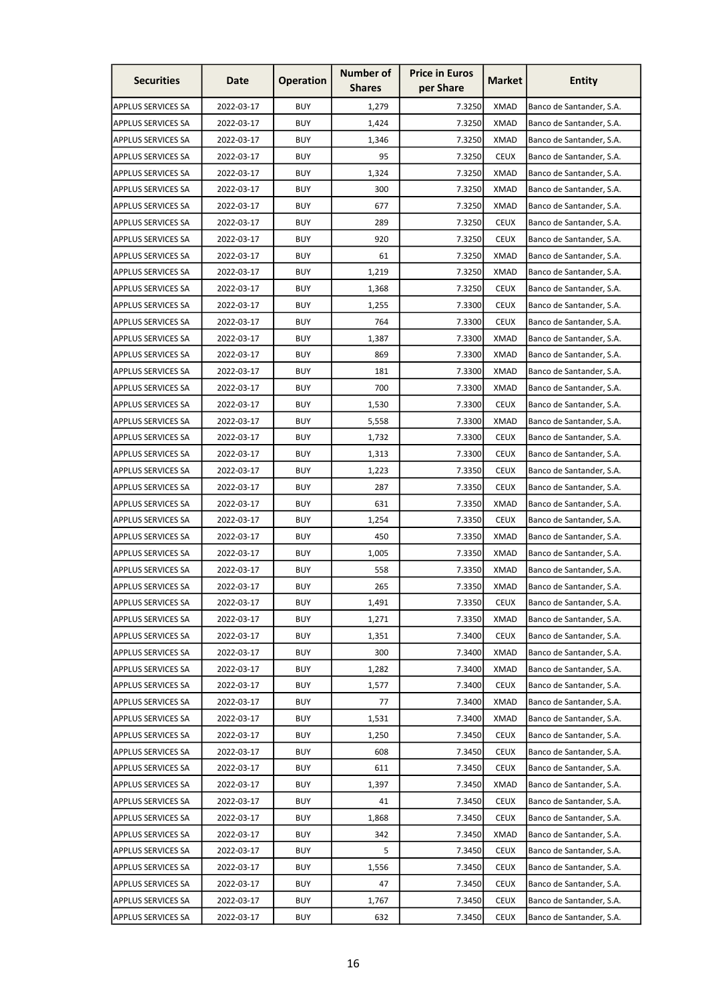| <b>Securities</b>         | Date       | <b>Operation</b> | <b>Number of</b><br><b>Shares</b> | <b>Price in Euros</b><br>per Share | <b>Market</b> | <b>Entity</b>            |
|---------------------------|------------|------------------|-----------------------------------|------------------------------------|---------------|--------------------------|
| <b>APPLUS SERVICES SA</b> | 2022-03-17 | <b>BUY</b>       | 1,279                             | 7.3250                             | <b>XMAD</b>   | Banco de Santander, S.A. |
| <b>APPLUS SERVICES SA</b> | 2022-03-17 | <b>BUY</b>       | 1,424                             | 7.3250                             | <b>XMAD</b>   | Banco de Santander, S.A. |
| <b>APPLUS SERVICES SA</b> | 2022-03-17 | <b>BUY</b>       | 1,346                             | 7.3250                             | <b>XMAD</b>   | Banco de Santander, S.A. |
| <b>APPLUS SERVICES SA</b> | 2022-03-17 | <b>BUY</b>       | 95                                | 7.3250                             | <b>CEUX</b>   | Banco de Santander, S.A. |
| <b>APPLUS SERVICES SA</b> | 2022-03-17 | <b>BUY</b>       | 1,324                             | 7.3250                             | <b>XMAD</b>   | Banco de Santander, S.A. |
| <b>APPLUS SERVICES SA</b> | 2022-03-17 | <b>BUY</b>       | 300                               | 7.3250                             | <b>XMAD</b>   | Banco de Santander, S.A. |
| <b>APPLUS SERVICES SA</b> | 2022-03-17 | <b>BUY</b>       | 677                               | 7.3250                             | XMAD          | Banco de Santander, S.A. |
| <b>APPLUS SERVICES SA</b> | 2022-03-17 | <b>BUY</b>       | 289                               | 7.3250                             | <b>CEUX</b>   | Banco de Santander, S.A. |
| <b>APPLUS SERVICES SA</b> | 2022-03-17 | <b>BUY</b>       | 920                               | 7.3250                             | <b>CEUX</b>   | Banco de Santander, S.A. |
| <b>APPLUS SERVICES SA</b> | 2022-03-17 | <b>BUY</b>       | 61                                | 7.3250                             | <b>XMAD</b>   | Banco de Santander, S.A. |
| <b>APPLUS SERVICES SA</b> | 2022-03-17 | <b>BUY</b>       | 1,219                             | 7.3250                             | <b>XMAD</b>   | Banco de Santander, S.A. |
| <b>APPLUS SERVICES SA</b> | 2022-03-17 | <b>BUY</b>       | 1,368                             | 7.3250                             | <b>CEUX</b>   | Banco de Santander, S.A. |
| <b>APPLUS SERVICES SA</b> | 2022-03-17 | <b>BUY</b>       | 1,255                             | 7.3300                             | <b>CEUX</b>   | Banco de Santander, S.A. |
| <b>APPLUS SERVICES SA</b> | 2022-03-17 | <b>BUY</b>       | 764                               | 7.3300                             | <b>CEUX</b>   | Banco de Santander, S.A. |
| <b>APPLUS SERVICES SA</b> | 2022-03-17 | <b>BUY</b>       | 1,387                             | 7.3300                             | <b>XMAD</b>   | Banco de Santander, S.A. |
| <b>APPLUS SERVICES SA</b> | 2022-03-17 | <b>BUY</b>       | 869                               | 7.3300                             | <b>XMAD</b>   | Banco de Santander, S.A. |
| <b>APPLUS SERVICES SA</b> | 2022-03-17 | <b>BUY</b>       | 181                               | 7.3300                             | <b>XMAD</b>   | Banco de Santander, S.A. |
| <b>APPLUS SERVICES SA</b> | 2022-03-17 | <b>BUY</b>       | 700                               | 7.3300                             | <b>XMAD</b>   | Banco de Santander, S.A. |
| <b>APPLUS SERVICES SA</b> | 2022-03-17 | <b>BUY</b>       | 1,530                             | 7.3300                             | <b>CEUX</b>   | Banco de Santander, S.A. |
| <b>APPLUS SERVICES SA</b> | 2022-03-17 | <b>BUY</b>       | 5,558                             | 7.3300                             | <b>XMAD</b>   | Banco de Santander, S.A. |
| <b>APPLUS SERVICES SA</b> | 2022-03-17 | <b>BUY</b>       | 1,732                             | 7.3300                             | <b>CEUX</b>   | Banco de Santander, S.A. |
| <b>APPLUS SERVICES SA</b> | 2022-03-17 | <b>BUY</b>       | 1,313                             | 7.3300                             | <b>CEUX</b>   | Banco de Santander, S.A. |
| <b>APPLUS SERVICES SA</b> | 2022-03-17 | <b>BUY</b>       | 1,223                             | 7.3350                             | <b>CEUX</b>   | Banco de Santander, S.A. |
| <b>APPLUS SERVICES SA</b> | 2022-03-17 | <b>BUY</b>       | 287                               | 7.3350                             | <b>CEUX</b>   | Banco de Santander, S.A. |
| <b>APPLUS SERVICES SA</b> | 2022-03-17 | <b>BUY</b>       | 631                               | 7.3350                             | <b>XMAD</b>   | Banco de Santander, S.A. |
| <b>APPLUS SERVICES SA</b> | 2022-03-17 | <b>BUY</b>       | 1,254                             | 7.3350                             | <b>CEUX</b>   | Banco de Santander, S.A. |
| <b>APPLUS SERVICES SA</b> | 2022-03-17 | <b>BUY</b>       | 450                               | 7.3350                             | <b>XMAD</b>   | Banco de Santander, S.A. |
| <b>APPLUS SERVICES SA</b> | 2022-03-17 | <b>BUY</b>       | 1,005                             | 7.3350                             | <b>XMAD</b>   | Banco de Santander, S.A. |
| <b>APPLUS SERVICES SA</b> | 2022-03-17 | <b>BUY</b>       | 558                               | 7.3350                             | <b>XMAD</b>   | Banco de Santander, S.A. |
| <b>APPLUS SERVICES SA</b> | 2022-03-17 | <b>BUY</b>       | 265                               | 7.3350                             | <b>XMAD</b>   | Banco de Santander, S.A. |
| <b>APPLUS SERVICES SA</b> | 2022-03-17 | <b>BUY</b>       | 1,491                             | 7.3350                             | <b>CEUX</b>   | Banco de Santander, S.A. |
| <b>APPLUS SERVICES SA</b> | 2022-03-17 | <b>BUY</b>       | 1,271                             | 7.3350                             | XMAD          | Banco de Santander, S.A. |
| <b>APPLUS SERVICES SA</b> | 2022-03-17 | <b>BUY</b>       | 1,351                             | 7.3400                             | <b>CEUX</b>   | Banco de Santander, S.A. |
| <b>APPLUS SERVICES SA</b> | 2022-03-17 | <b>BUY</b>       | 300                               | 7.3400                             | <b>XMAD</b>   | Banco de Santander, S.A. |
| <b>APPLUS SERVICES SA</b> | 2022-03-17 | <b>BUY</b>       | 1,282                             | 7.3400                             | <b>XMAD</b>   | Banco de Santander, S.A. |
| <b>APPLUS SERVICES SA</b> | 2022-03-17 | <b>BUY</b>       | 1,577                             | 7.3400                             | <b>CEUX</b>   | Banco de Santander, S.A. |
| <b>APPLUS SERVICES SA</b> | 2022-03-17 | <b>BUY</b>       | 77                                | 7.3400                             | <b>XMAD</b>   | Banco de Santander, S.A. |
| <b>APPLUS SERVICES SA</b> | 2022-03-17 | <b>BUY</b>       | 1,531                             | 7.3400                             | <b>XMAD</b>   | Banco de Santander, S.A. |
| <b>APPLUS SERVICES SA</b> | 2022-03-17 | <b>BUY</b>       | 1,250                             | 7.3450                             | <b>CEUX</b>   | Banco de Santander, S.A. |
| <b>APPLUS SERVICES SA</b> | 2022-03-17 | <b>BUY</b>       | 608                               | 7.3450                             | <b>CEUX</b>   | Banco de Santander, S.A. |
| <b>APPLUS SERVICES SA</b> | 2022-03-17 | <b>BUY</b>       | 611                               | 7.3450                             | <b>CEUX</b>   | Banco de Santander, S.A. |
| APPLUS SERVICES SA        | 2022-03-17 | <b>BUY</b>       | 1,397                             | 7.3450                             | <b>XMAD</b>   | Banco de Santander, S.A. |
| <b>APPLUS SERVICES SA</b> | 2022-03-17 | <b>BUY</b>       | 41                                | 7.3450                             | <b>CEUX</b>   | Banco de Santander, S.A. |
| <b>APPLUS SERVICES SA</b> | 2022-03-17 | <b>BUY</b>       | 1,868                             | 7.3450                             | <b>CEUX</b>   | Banco de Santander, S.A. |
| <b>APPLUS SERVICES SA</b> | 2022-03-17 | <b>BUY</b>       | 342                               | 7.3450                             | <b>XMAD</b>   | Banco de Santander, S.A. |
| <b>APPLUS SERVICES SA</b> | 2022-03-17 | <b>BUY</b>       | 5                                 | 7.3450                             | <b>CEUX</b>   | Banco de Santander, S.A. |
| <b>APPLUS SERVICES SA</b> | 2022-03-17 | <b>BUY</b>       | 1,556                             | 7.3450                             | <b>CEUX</b>   | Banco de Santander, S.A. |
| <b>APPLUS SERVICES SA</b> | 2022-03-17 | <b>BUY</b>       | 47                                | 7.3450                             | <b>CEUX</b>   | Banco de Santander, S.A. |
| <b>APPLUS SERVICES SA</b> | 2022-03-17 | <b>BUY</b>       | 1,767                             | 7.3450                             | <b>CEUX</b>   | Banco de Santander, S.A. |
| <b>APPLUS SERVICES SA</b> | 2022-03-17 | <b>BUY</b>       | 632                               | 7.3450                             | <b>CEUX</b>   | Banco de Santander, S.A. |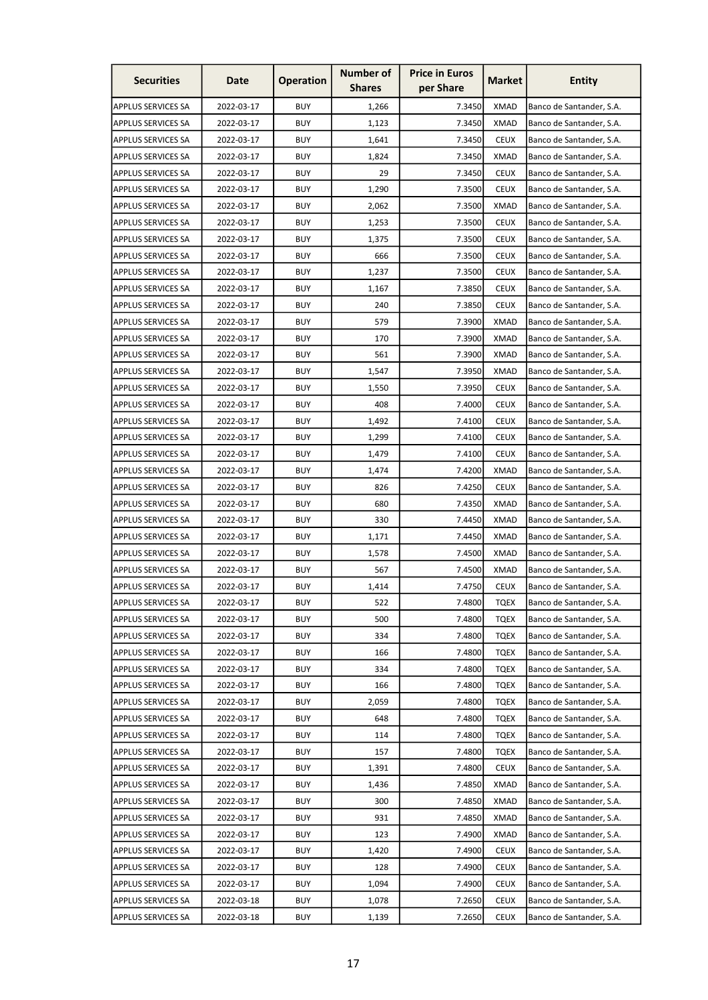| <b>Number of</b><br><b>Price in Euros</b><br><b>Securities</b><br><b>Operation</b><br><b>Market</b><br>Date<br>per Share<br><b>Shares</b> | <b>Entity</b>            |
|-------------------------------------------------------------------------------------------------------------------------------------------|--------------------------|
| 2022-03-17<br><b>BUY</b><br>1,266<br>7.3450<br><b>XMAD</b><br><b>APPLUS SERVICES SA</b>                                                   | Banco de Santander, S.A. |
| <b>APPLUS SERVICES SA</b><br>2022-03-17<br><b>BUY</b><br>1,123<br>7.3450<br><b>XMAD</b>                                                   | Banco de Santander, S.A. |
| <b>BUY</b><br>7.3450<br><b>CEUX</b><br><b>APPLUS SERVICES SA</b><br>2022-03-17<br>1,641                                                   | Banco de Santander, S.A. |
| <b>BUY</b><br>7.3450<br><b>XMAD</b><br>APPLUS SERVICES SA<br>2022-03-17<br>1,824                                                          | Banco de Santander, S.A. |
| <b>BUY</b><br>29<br>7.3450<br><b>CEUX</b><br><b>APPLUS SERVICES SA</b><br>2022-03-17                                                      | Banco de Santander, S.A. |
| <b>BUY</b><br>1,290<br>7.3500<br><b>CEUX</b><br><b>APPLUS SERVICES SA</b><br>2022-03-17                                                   | Banco de Santander, S.A. |
| <b>BUY</b><br><b>APPLUS SERVICES SA</b><br>2022-03-17<br>2,062<br>7.3500<br>XMAD                                                          | Banco de Santander, S.A. |
| <b>BUY</b><br>1,253<br>7.3500<br><b>CEUX</b><br><b>APPLUS SERVICES SA</b><br>2022-03-17                                                   | Banco de Santander, S.A. |
| 2022-03-17<br><b>BUY</b><br>7.3500<br><b>CEUX</b><br><b>APPLUS SERVICES SA</b><br>1,375                                                   | Banco de Santander, S.A. |
| 2022-03-17<br><b>BUY</b><br>666<br>7.3500<br><b>CEUX</b><br><b>APPLUS SERVICES SA</b>                                                     | Banco de Santander, S.A. |
| <b>BUY</b><br><b>CEUX</b><br><b>APPLUS SERVICES SA</b><br>2022-03-17<br>1,237<br>7.3500                                                   | Banco de Santander, S.A. |
| <b>BUY</b><br>7.3850<br><b>CEUX</b><br><b>APPLUS SERVICES SA</b><br>2022-03-17<br>1,167                                                   | Banco de Santander, S.A. |
| 2022-03-17<br><b>BUY</b><br>240<br>7.3850<br><b>CEUX</b><br><b>APPLUS SERVICES SA</b>                                                     | Banco de Santander, S.A. |
| <b>BUY</b><br>579<br>7.3900<br><b>APPLUS SERVICES SA</b><br>2022-03-17<br>XMAD                                                            | Banco de Santander, S.A. |
| <b>BUY</b><br>2022-03-17<br>170<br>7.3900<br><b>XMAD</b><br><b>APPLUS SERVICES SA</b>                                                     | Banco de Santander, S.A. |
| 2022-03-17<br><b>BUY</b><br>561<br>7.3900<br><b>XMAD</b><br><b>APPLUS SERVICES SA</b>                                                     | Banco de Santander, S.A. |
| <b>BUY</b><br>1,547<br>7.3950<br><b>XMAD</b><br><b>APPLUS SERVICES SA</b><br>2022-03-17                                                   | Banco de Santander, S.A. |
| <b>BUY</b><br>1,550<br>7.3950<br><b>CEUX</b><br><b>APPLUS SERVICES SA</b><br>2022-03-17                                                   | Banco de Santander, S.A. |
| <b>BUY</b><br>408<br>7.4000<br><b>CEUX</b><br><b>APPLUS SERVICES SA</b><br>2022-03-17                                                     | Banco de Santander, S.A. |
| <b>BUY</b><br><b>APPLUS SERVICES SA</b><br>2022-03-17<br>1,492<br>7.4100<br><b>CEUX</b>                                                   | Banco de Santander, S.A. |
| <b>BUY</b><br><b>APPLUS SERVICES SA</b><br>2022-03-17<br>1,299<br>7.4100<br><b>CEUX</b>                                                   | Banco de Santander, S.A. |
| <b>BUY</b><br><b>CEUX</b><br><b>APPLUS SERVICES SA</b><br>2022-03-17<br>1,479<br>7.4100                                                   | Banco de Santander, S.A. |
| <b>BUY</b><br>7.4200<br><b>XMAD</b><br><b>APPLUS SERVICES SA</b><br>2022-03-17<br>1,474                                                   | Banco de Santander, S.A. |
| <b>BUY</b><br><b>APPLUS SERVICES SA</b><br>2022-03-17<br>826<br>7.4250<br><b>CEUX</b>                                                     | Banco de Santander, S.A. |
| <b>BUY</b><br>680<br><b>XMAD</b><br><b>APPLUS SERVICES SA</b><br>2022-03-17<br>7.4350                                                     | Banco de Santander, S.A. |
| <b>BUY</b><br><b>APPLUS SERVICES SA</b><br>2022-03-17<br>330<br>7.4450<br>XMAD                                                            | Banco de Santander, S.A. |
| <b>APPLUS SERVICES SA</b><br>2022-03-17<br><b>BUY</b><br>1,171<br>7.4450<br><b>XMAD</b>                                                   | Banco de Santander, S.A. |
| <b>BUY</b><br>7.4500<br><b>XMAD</b><br><b>APPLUS SERVICES SA</b><br>2022-03-17<br>1,578                                                   | Banco de Santander, S.A. |
| <b>BUY</b><br>7.4500<br><b>XMAD</b><br>APPLUS SERVICES SA<br>2022-03-17<br>567                                                            | Banco de Santander, S.A. |
| <b>APPLUS SERVICES SA</b><br>2022-03-17<br><b>BUY</b><br>1,414<br>7.4750<br><b>CEUX</b>                                                   | Banco de Santander, S.A. |
| <b>BUY</b><br>7.4800<br><b>APPLUS SERVICES SA</b><br>2022-03-17<br>522<br><b>TQEX</b>                                                     | Banco de Santander, S.A. |
| 7.4800<br><b>APPLUS SERVICES SA</b><br>2022-03-17<br><b>BUY</b><br>500<br><b>TQEX</b>                                                     | Banco de Santander, S.A. |
| 2022-03-17<br><b>BUY</b><br>334<br>7.4800<br><b>TQEX</b><br><b>APPLUS SERVICES SA</b>                                                     | Banco de Santander, S.A. |
| <b>BUY</b><br>7.4800<br><b>APPLUS SERVICES SA</b><br>2022-03-17<br>166<br><b>TQEX</b>                                                     | Banco de Santander, S.A. |
| <b>APPLUS SERVICES SA</b><br>2022-03-17<br><b>BUY</b><br>334<br>7.4800<br><b>TQEX</b>                                                     | Banco de Santander, S.A. |
| <b>APPLUS SERVICES SA</b><br>2022-03-17<br><b>BUY</b><br>7.4800<br><b>TQEX</b><br>166                                                     | Banco de Santander, S.A. |
| <b>BUY</b><br><b>APPLUS SERVICES SA</b><br>2022-03-17<br>2,059<br>7.4800<br><b>TQEX</b>                                                   | Banco de Santander, S.A. |
| <b>BUY</b><br><b>TQEX</b><br><b>APPLUS SERVICES SA</b><br>2022-03-17<br>648<br>7.4800                                                     | Banco de Santander, S.A. |
| <b>APPLUS SERVICES SA</b><br>2022-03-17<br><b>BUY</b><br>7.4800<br><b>TQEX</b><br>114                                                     | Banco de Santander, S.A. |
| <b>APPLUS SERVICES SA</b><br>2022-03-17<br><b>BUY</b><br>7.4800<br><b>TQEX</b><br>157                                                     | Banco de Santander, S.A. |
| <b>APPLUS SERVICES SA</b><br>2022-03-17<br><b>BUY</b><br>1,391<br>7.4800<br><b>CEUX</b>                                                   | Banco de Santander, S.A. |
| <b>APPLUS SERVICES SA</b><br>2022-03-17<br><b>BUY</b><br>7.4850<br><b>XMAD</b><br>1,436                                                   | Banco de Santander, S.A. |
| <b>BUY</b><br><b>APPLUS SERVICES SA</b><br>2022-03-17<br>300<br>7.4850<br><b>XMAD</b>                                                     | Banco de Santander, S.A. |
| <b>APPLUS SERVICES SA</b><br>2022-03-17<br><b>BUY</b><br>931<br>7.4850<br><b>XMAD</b>                                                     | Banco de Santander, S.A. |
| <b>APPLUS SERVICES SA</b><br>2022-03-17<br><b>BUY</b><br>7.4900<br><b>XMAD</b><br>123                                                     | Banco de Santander, S.A. |
| <b>BUY</b><br><b>APPLUS SERVICES SA</b><br>2022-03-17<br>1,420<br>7.4900<br><b>CEUX</b>                                                   | Banco de Santander, S.A. |
| <b>BUY</b><br>2022-03-17<br>7.4900<br><b>CEUX</b><br><b>APPLUS SERVICES SA</b><br>128                                                     | Banco de Santander, S.A. |
| APPLUS SERVICES SA<br><b>BUY</b><br>7.4900<br><b>CEUX</b><br>2022-03-17<br>1,094                                                          | Banco de Santander, S.A. |
| <b>BUY</b><br>APPLUS SERVICES SA<br>2022-03-18<br>1,078<br>7.2650<br><b>CEUX</b>                                                          | Banco de Santander, S.A. |
| <b>BUY</b><br>APPLUS SERVICES SA<br>2022-03-18<br><b>CEUX</b><br>1,139<br>7.2650                                                          | Banco de Santander, S.A. |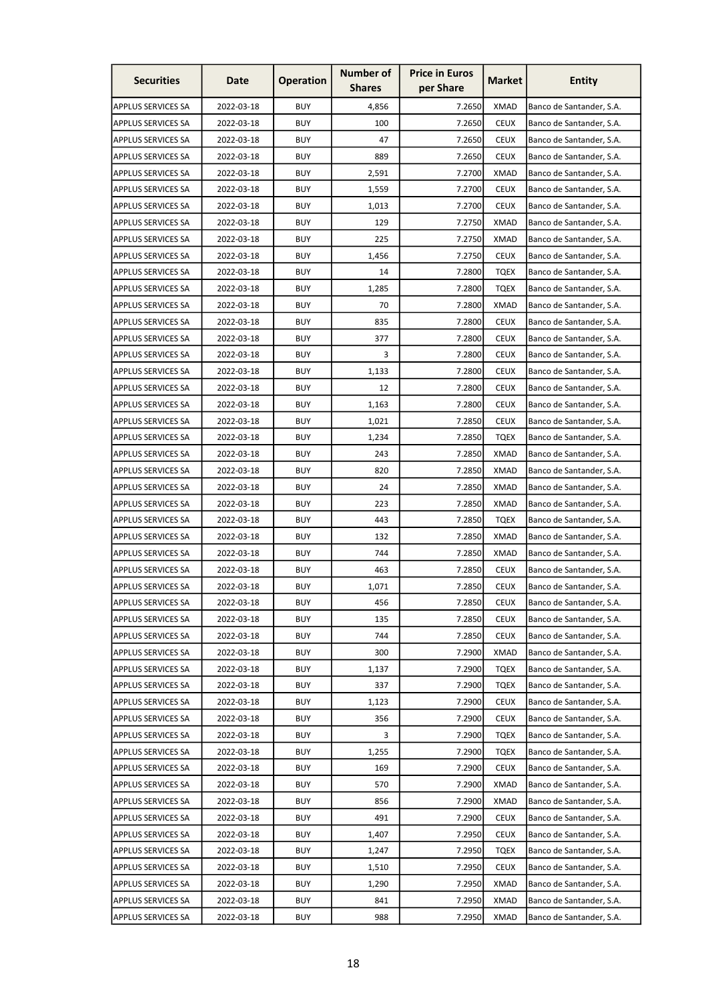| <b>Securities</b>         | Date       | <b>Operation</b> | <b>Number of</b><br><b>Shares</b> | <b>Price in Euros</b><br>per Share | <b>Market</b> | <b>Entity</b>            |
|---------------------------|------------|------------------|-----------------------------------|------------------------------------|---------------|--------------------------|
| <b>APPLUS SERVICES SA</b> | 2022-03-18 | <b>BUY</b>       | 4,856                             | 7.2650                             | <b>XMAD</b>   | Banco de Santander, S.A. |
| <b>APPLUS SERVICES SA</b> | 2022-03-18 | <b>BUY</b>       | 100                               | 7.2650                             | <b>CEUX</b>   | Banco de Santander, S.A. |
| <b>APPLUS SERVICES SA</b> | 2022-03-18 | <b>BUY</b>       | 47                                | 7.2650                             | <b>CEUX</b>   | Banco de Santander, S.A. |
| <b>APPLUS SERVICES SA</b> | 2022-03-18 | <b>BUY</b>       | 889                               | 7.2650                             | <b>CEUX</b>   | Banco de Santander, S.A. |
| <b>APPLUS SERVICES SA</b> | 2022-03-18 | <b>BUY</b>       | 2,591                             | 7.2700                             | <b>XMAD</b>   | Banco de Santander, S.A. |
| <b>APPLUS SERVICES SA</b> | 2022-03-18 | <b>BUY</b>       | 1,559                             | 7.2700                             | <b>CEUX</b>   | Banco de Santander, S.A. |
| <b>APPLUS SERVICES SA</b> | 2022-03-18 | <b>BUY</b>       | 1,013                             | 7.2700                             | <b>CEUX</b>   | Banco de Santander, S.A. |
| <b>APPLUS SERVICES SA</b> | 2022-03-18 | <b>BUY</b>       | 129                               | 7.2750                             | <b>XMAD</b>   | Banco de Santander, S.A. |
| <b>APPLUS SERVICES SA</b> | 2022-03-18 | <b>BUY</b>       | 225                               | 7.2750                             | <b>XMAD</b>   | Banco de Santander, S.A. |
| <b>APPLUS SERVICES SA</b> | 2022-03-18 | <b>BUY</b>       | 1,456                             | 7.2750                             | <b>CEUX</b>   | Banco de Santander, S.A. |
| <b>APPLUS SERVICES SA</b> | 2022-03-18 | <b>BUY</b>       | 14                                | 7.2800                             | <b>TQEX</b>   | Banco de Santander, S.A. |
| <b>APPLUS SERVICES SA</b> | 2022-03-18 | <b>BUY</b>       | 1,285                             | 7.2800                             | <b>TQEX</b>   | Banco de Santander, S.A. |
| <b>APPLUS SERVICES SA</b> | 2022-03-18 | <b>BUY</b>       | 70                                | 7.2800                             | <b>XMAD</b>   | Banco de Santander, S.A. |
| <b>APPLUS SERVICES SA</b> | 2022-03-18 | <b>BUY</b>       | 835                               | 7.2800                             | <b>CEUX</b>   | Banco de Santander, S.A. |
| <b>APPLUS SERVICES SA</b> | 2022-03-18 | <b>BUY</b>       | 377                               | 7.2800                             | <b>CEUX</b>   | Banco de Santander, S.A. |
| <b>APPLUS SERVICES SA</b> | 2022-03-18 | <b>BUY</b>       | 3                                 | 7.2800                             | <b>CEUX</b>   | Banco de Santander, S.A. |
| <b>APPLUS SERVICES SA</b> | 2022-03-18 | <b>BUY</b>       | 1,133                             | 7.2800                             | <b>CEUX</b>   | Banco de Santander, S.A. |
| <b>APPLUS SERVICES SA</b> | 2022-03-18 | <b>BUY</b>       | 12                                | 7.2800                             | <b>CEUX</b>   | Banco de Santander, S.A. |
| <b>APPLUS SERVICES SA</b> | 2022-03-18 | <b>BUY</b>       | 1,163                             | 7.2800                             | <b>CEUX</b>   | Banco de Santander, S.A. |
| <b>APPLUS SERVICES SA</b> | 2022-03-18 | <b>BUY</b>       | 1,021                             | 7.2850                             | <b>CEUX</b>   | Banco de Santander, S.A. |
| <b>APPLUS SERVICES SA</b> | 2022-03-18 | <b>BUY</b>       | 1,234                             | 7.2850                             | <b>TQEX</b>   | Banco de Santander, S.A. |
| <b>APPLUS SERVICES SA</b> | 2022-03-18 | <b>BUY</b>       | 243                               | 7.2850                             | <b>XMAD</b>   | Banco de Santander, S.A. |
| <b>APPLUS SERVICES SA</b> | 2022-03-18 | <b>BUY</b>       | 820                               | 7.2850                             | <b>XMAD</b>   | Banco de Santander, S.A. |
| <b>APPLUS SERVICES SA</b> | 2022-03-18 | <b>BUY</b>       | 24                                | 7.2850                             | <b>XMAD</b>   | Banco de Santander, S.A. |
| <b>APPLUS SERVICES SA</b> | 2022-03-18 | <b>BUY</b>       | 223                               | 7.2850                             | <b>XMAD</b>   | Banco de Santander, S.A. |
| <b>APPLUS SERVICES SA</b> | 2022-03-18 | <b>BUY</b>       | 443                               | 7.2850                             | <b>TQEX</b>   | Banco de Santander, S.A. |
| <b>APPLUS SERVICES SA</b> | 2022-03-18 | <b>BUY</b>       | 132                               | 7.2850                             | <b>XMAD</b>   | Banco de Santander, S.A. |
| <b>APPLUS SERVICES SA</b> | 2022-03-18 | <b>BUY</b>       | 744                               | 7.2850                             | <b>XMAD</b>   | Banco de Santander, S.A. |
| APPLUS SERVICES SA        | 2022-03-18 | <b>BUY</b>       | 463                               | 7.2850                             | <b>CEUX</b>   | Banco de Santander, S.A. |
| <b>APPLUS SERVICES SA</b> | 2022-03-18 | <b>BUY</b>       | 1,071                             | 7.2850                             | <b>CEUX</b>   | Banco de Santander, S.A. |
| <b>APPLUS SERVICES SA</b> | 2022-03-18 | <b>BUY</b>       | 456                               | 7.2850                             | <b>CEUX</b>   | Banco de Santander, S.A. |
| <b>APPLUS SERVICES SA</b> | 2022-03-18 | <b>BUY</b>       | 135                               | 7.2850                             | <b>CEUX</b>   | Banco de Santander, S.A. |
| <b>APPLUS SERVICES SA</b> | 2022-03-18 | <b>BUY</b>       | 744                               | 7.2850                             | <b>CEUX</b>   | Banco de Santander, S.A. |
| <b>APPLUS SERVICES SA</b> | 2022-03-18 | <b>BUY</b>       | 300                               | 7.2900                             | <b>XMAD</b>   | Banco de Santander, S.A. |
| <b>APPLUS SERVICES SA</b> | 2022-03-18 | <b>BUY</b>       | 1,137                             | 7.2900                             | <b>TQEX</b>   | Banco de Santander, S.A. |
| <b>APPLUS SERVICES SA</b> | 2022-03-18 | <b>BUY</b>       | 337                               | 7.2900                             | <b>TQEX</b>   | Banco de Santander, S.A. |
| <b>APPLUS SERVICES SA</b> | 2022-03-18 | <b>BUY</b>       | 1,123                             | 7.2900                             | <b>CEUX</b>   | Banco de Santander, S.A. |
| <b>APPLUS SERVICES SA</b> | 2022-03-18 | <b>BUY</b>       | 356                               | 7.2900                             | <b>CEUX</b>   | Banco de Santander, S.A. |
| <b>APPLUS SERVICES SA</b> | 2022-03-18 | <b>BUY</b>       | 3                                 | 7.2900                             | <b>TQEX</b>   | Banco de Santander, S.A. |
| <b>APPLUS SERVICES SA</b> | 2022-03-18 | <b>BUY</b>       | 1,255                             | 7.2900                             | <b>TQEX</b>   | Banco de Santander, S.A. |
| <b>APPLUS SERVICES SA</b> | 2022-03-18 | <b>BUY</b>       | 169                               | 7.2900                             | <b>CEUX</b>   | Banco de Santander, S.A. |
| <b>APPLUS SERVICES SA</b> | 2022-03-18 | <b>BUY</b>       | 570                               | 7.2900                             | <b>XMAD</b>   | Banco de Santander, S.A. |
| <b>APPLUS SERVICES SA</b> | 2022-03-18 | <b>BUY</b>       | 856                               | 7.2900                             | <b>XMAD</b>   | Banco de Santander, S.A. |
| <b>APPLUS SERVICES SA</b> | 2022-03-18 | <b>BUY</b>       | 491                               | 7.2900                             | <b>CEUX</b>   | Banco de Santander, S.A. |
| <b>APPLUS SERVICES SA</b> | 2022-03-18 | <b>BUY</b>       | 1,407                             | 7.2950                             | <b>CEUX</b>   | Banco de Santander, S.A. |
| <b>APPLUS SERVICES SA</b> | 2022-03-18 | <b>BUY</b>       | 1,247                             | 7.2950                             | <b>TQEX</b>   | Banco de Santander, S.A. |
| <b>APPLUS SERVICES SA</b> | 2022-03-18 | <b>BUY</b>       | 1,510                             | 7.2950                             | <b>CEUX</b>   | Banco de Santander, S.A. |
| APPLUS SERVICES SA        | 2022-03-18 | <b>BUY</b>       | 1,290                             | 7.2950                             | <b>XMAD</b>   | Banco de Santander, S.A. |
| APPLUS SERVICES SA        | 2022-03-18 | <b>BUY</b>       | 841                               | 7.2950                             | <b>XMAD</b>   | Banco de Santander, S.A. |
| <b>APPLUS SERVICES SA</b> | 2022-03-18 | <b>BUY</b>       | 988                               | 7.2950                             | <b>XMAD</b>   | Banco de Santander, S.A. |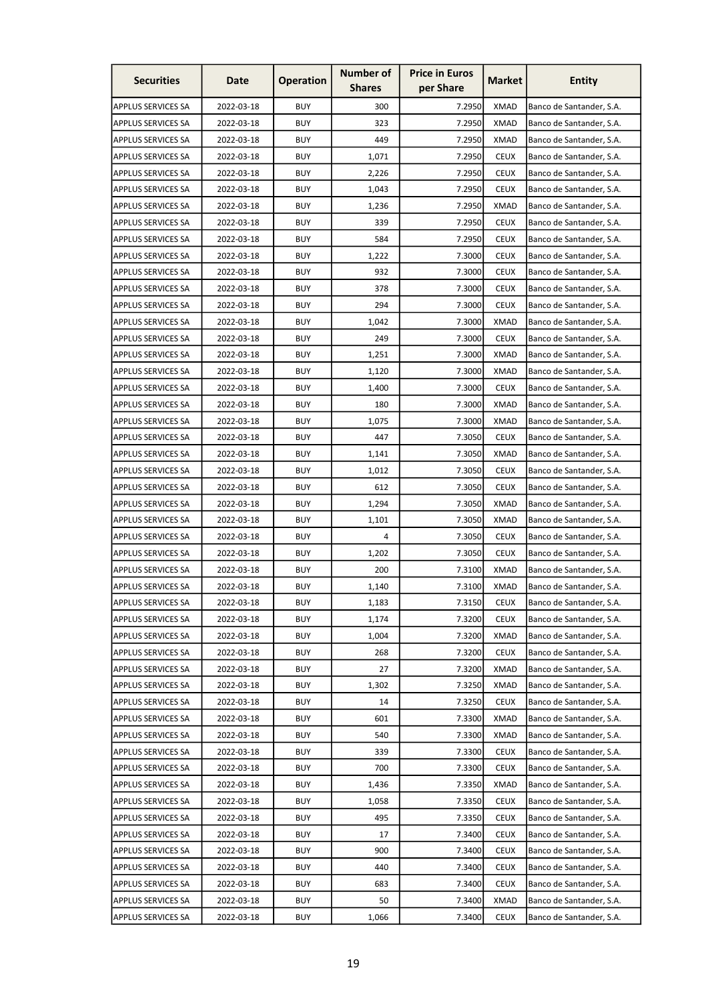| <b>Securities</b>         | Date       | <b>Operation</b> | <b>Number of</b><br><b>Shares</b> | <b>Price in Euros</b><br>per Share | <b>Market</b> | <b>Entity</b>            |
|---------------------------|------------|------------------|-----------------------------------|------------------------------------|---------------|--------------------------|
| <b>APPLUS SERVICES SA</b> | 2022-03-18 | <b>BUY</b>       | 300                               | 7.2950                             | <b>XMAD</b>   | Banco de Santander, S.A. |
| <b>APPLUS SERVICES SA</b> | 2022-03-18 | <b>BUY</b>       | 323                               | 7.2950                             | <b>XMAD</b>   | Banco de Santander, S.A. |
| <b>APPLUS SERVICES SA</b> | 2022-03-18 | <b>BUY</b>       | 449                               | 7.2950                             | <b>XMAD</b>   | Banco de Santander, S.A. |
| <b>APPLUS SERVICES SA</b> | 2022-03-18 | <b>BUY</b>       | 1,071                             | 7.2950                             | <b>CEUX</b>   | Banco de Santander, S.A. |
| <b>APPLUS SERVICES SA</b> | 2022-03-18 | <b>BUY</b>       | 2,226                             | 7.2950                             | <b>CEUX</b>   | Banco de Santander, S.A. |
| <b>APPLUS SERVICES SA</b> | 2022-03-18 | <b>BUY</b>       | 1,043                             | 7.2950                             | <b>CEUX</b>   | Banco de Santander, S.A. |
| <b>APPLUS SERVICES SA</b> | 2022-03-18 | <b>BUY</b>       | 1,236                             | 7.2950                             | <b>XMAD</b>   | Banco de Santander, S.A. |
| <b>APPLUS SERVICES SA</b> | 2022-03-18 | <b>BUY</b>       | 339                               | 7.2950                             | <b>CEUX</b>   | Banco de Santander, S.A. |
| <b>APPLUS SERVICES SA</b> | 2022-03-18 | <b>BUY</b>       | 584                               | 7.2950                             | <b>CEUX</b>   | Banco de Santander, S.A. |
| <b>APPLUS SERVICES SA</b> | 2022-03-18 | <b>BUY</b>       | 1,222                             | 7.3000                             | <b>CEUX</b>   | Banco de Santander, S.A. |
| <b>APPLUS SERVICES SA</b> | 2022-03-18 | <b>BUY</b>       | 932                               | 7.3000                             | <b>CEUX</b>   | Banco de Santander, S.A. |
| <b>APPLUS SERVICES SA</b> | 2022-03-18 | <b>BUY</b>       | 378                               | 7.3000                             | <b>CEUX</b>   | Banco de Santander, S.A. |
| <b>APPLUS SERVICES SA</b> | 2022-03-18 | <b>BUY</b>       | 294                               | 7.3000                             | <b>CEUX</b>   | Banco de Santander, S.A. |
| <b>APPLUS SERVICES SA</b> | 2022-03-18 | <b>BUY</b>       | 1,042                             | 7.3000                             | <b>XMAD</b>   | Banco de Santander, S.A. |
| <b>APPLUS SERVICES SA</b> | 2022-03-18 | <b>BUY</b>       | 249                               | 7.3000                             | <b>CEUX</b>   | Banco de Santander, S.A. |
| <b>APPLUS SERVICES SA</b> | 2022-03-18 | <b>BUY</b>       | 1,251                             | 7.3000                             | <b>XMAD</b>   | Banco de Santander, S.A. |
| <b>APPLUS SERVICES SA</b> | 2022-03-18 | <b>BUY</b>       | 1,120                             | 7.3000                             | <b>XMAD</b>   | Banco de Santander, S.A. |
| <b>APPLUS SERVICES SA</b> | 2022-03-18 | <b>BUY</b>       | 1,400                             | 7.3000                             | <b>CEUX</b>   | Banco de Santander, S.A. |
| <b>APPLUS SERVICES SA</b> | 2022-03-18 | <b>BUY</b>       | 180                               | 7.3000                             | <b>XMAD</b>   | Banco de Santander, S.A. |
| <b>APPLUS SERVICES SA</b> | 2022-03-18 | <b>BUY</b>       | 1,075                             | 7.3000                             | <b>XMAD</b>   | Banco de Santander, S.A. |
| <b>APPLUS SERVICES SA</b> | 2022-03-18 | <b>BUY</b>       | 447                               | 7.3050                             | <b>CEUX</b>   | Banco de Santander, S.A. |
| <b>APPLUS SERVICES SA</b> | 2022-03-18 | <b>BUY</b>       | 1,141                             | 7.3050                             | <b>XMAD</b>   | Banco de Santander, S.A. |
| <b>APPLUS SERVICES SA</b> | 2022-03-18 | <b>BUY</b>       | 1,012                             | 7.3050                             | <b>CEUX</b>   | Banco de Santander, S.A. |
| <b>APPLUS SERVICES SA</b> | 2022-03-18 | <b>BUY</b>       | 612                               | 7.3050                             | <b>CEUX</b>   | Banco de Santander, S.A. |
| <b>APPLUS SERVICES SA</b> | 2022-03-18 | <b>BUY</b>       | 1,294                             | 7.3050                             | <b>XMAD</b>   | Banco de Santander, S.A. |
| <b>APPLUS SERVICES SA</b> | 2022-03-18 | <b>BUY</b>       | 1,101                             | 7.3050                             | <b>XMAD</b>   | Banco de Santander, S.A. |
| <b>APPLUS SERVICES SA</b> | 2022-03-18 | <b>BUY</b>       | 4                                 | 7.3050                             | <b>CEUX</b>   | Banco de Santander, S.A. |
| <b>APPLUS SERVICES SA</b> | 2022-03-18 | <b>BUY</b>       | 1,202                             | 7.3050                             | <b>CEUX</b>   | Banco de Santander, S.A. |
| <b>APPLUS SERVICES SA</b> | 2022-03-18 | <b>BUY</b>       | 200                               | 7.3100                             | <b>XMAD</b>   | Banco de Santander, S.A. |
| <b>APPLUS SERVICES SA</b> | 2022-03-18 | <b>BUY</b>       | 1,140                             | 7.3100                             | <b>XMAD</b>   | Banco de Santander, S.A. |
| <b>APPLUS SERVICES SA</b> | 2022-03-18 | <b>BUY</b>       | 1,183                             | 7.3150                             | <b>CEUX</b>   | Banco de Santander, S.A. |
| <b>APPLUS SERVICES SA</b> | 2022-03-18 | <b>BUY</b>       | 1,174                             | 7.3200                             | <b>CEUX</b>   | Banco de Santander, S.A. |
| <b>APPLUS SERVICES SA</b> | 2022-03-18 | <b>BUY</b>       | 1,004                             | 7.3200                             | <b>XMAD</b>   | Banco de Santander, S.A. |
| <b>APPLUS SERVICES SA</b> | 2022-03-18 | <b>BUY</b>       | 268                               | 7.3200                             | <b>CEUX</b>   | Banco de Santander, S.A. |
| <b>APPLUS SERVICES SA</b> | 2022-03-18 | <b>BUY</b>       | 27                                | 7.3200                             | <b>XMAD</b>   | Banco de Santander, S.A. |
| <b>APPLUS SERVICES SA</b> | 2022-03-18 | <b>BUY</b>       | 1,302                             | 7.3250                             | <b>XMAD</b>   | Banco de Santander, S.A. |
| <b>APPLUS SERVICES SA</b> | 2022-03-18 | <b>BUY</b>       | 14                                | 7.3250                             | <b>CEUX</b>   | Banco de Santander, S.A. |
| <b>APPLUS SERVICES SA</b> | 2022-03-18 | <b>BUY</b>       | 601                               | 7.3300                             | <b>XMAD</b>   | Banco de Santander, S.A. |
| <b>APPLUS SERVICES SA</b> | 2022-03-18 | <b>BUY</b>       | 540                               | 7.3300                             | <b>XMAD</b>   | Banco de Santander, S.A. |
| <b>APPLUS SERVICES SA</b> | 2022-03-18 | <b>BUY</b>       | 339                               | 7.3300                             | <b>CEUX</b>   | Banco de Santander, S.A. |
| <b>APPLUS SERVICES SA</b> | 2022-03-18 | <b>BUY</b>       | 700                               | 7.3300                             | <b>CEUX</b>   | Banco de Santander, S.A. |
| <b>APPLUS SERVICES SA</b> | 2022-03-18 | <b>BUY</b>       | 1,436                             | 7.3350                             | <b>XMAD</b>   | Banco de Santander, S.A. |
| <b>APPLUS SERVICES SA</b> | 2022-03-18 | <b>BUY</b>       | 1,058                             | 7.3350                             | <b>CEUX</b>   | Banco de Santander, S.A. |
| <b>APPLUS SERVICES SA</b> | 2022-03-18 | <b>BUY</b>       | 495                               | 7.3350                             | <b>CEUX</b>   | Banco de Santander, S.A. |
| <b>APPLUS SERVICES SA</b> | 2022-03-18 | <b>BUY</b>       | 17                                | 7.3400                             | <b>CEUX</b>   | Banco de Santander, S.A. |
| <b>APPLUS SERVICES SA</b> | 2022-03-18 | <b>BUY</b>       | 900                               | 7.3400                             | <b>CEUX</b>   | Banco de Santander, S.A. |
| <b>APPLUS SERVICES SA</b> | 2022-03-18 | <b>BUY</b>       | 440                               | 7.3400                             | <b>CEUX</b>   | Banco de Santander, S.A. |
| <b>APPLUS SERVICES SA</b> | 2022-03-18 | <b>BUY</b>       | 683                               | 7.3400                             | <b>CEUX</b>   | Banco de Santander, S.A. |
| <b>APPLUS SERVICES SA</b> | 2022-03-18 | <b>BUY</b>       | 50                                | 7.3400                             | <b>XMAD</b>   | Banco de Santander, S.A. |
| <b>APPLUS SERVICES SA</b> | 2022-03-18 | <b>BUY</b>       | 1,066                             | 7.3400                             | <b>CEUX</b>   | Banco de Santander, S.A. |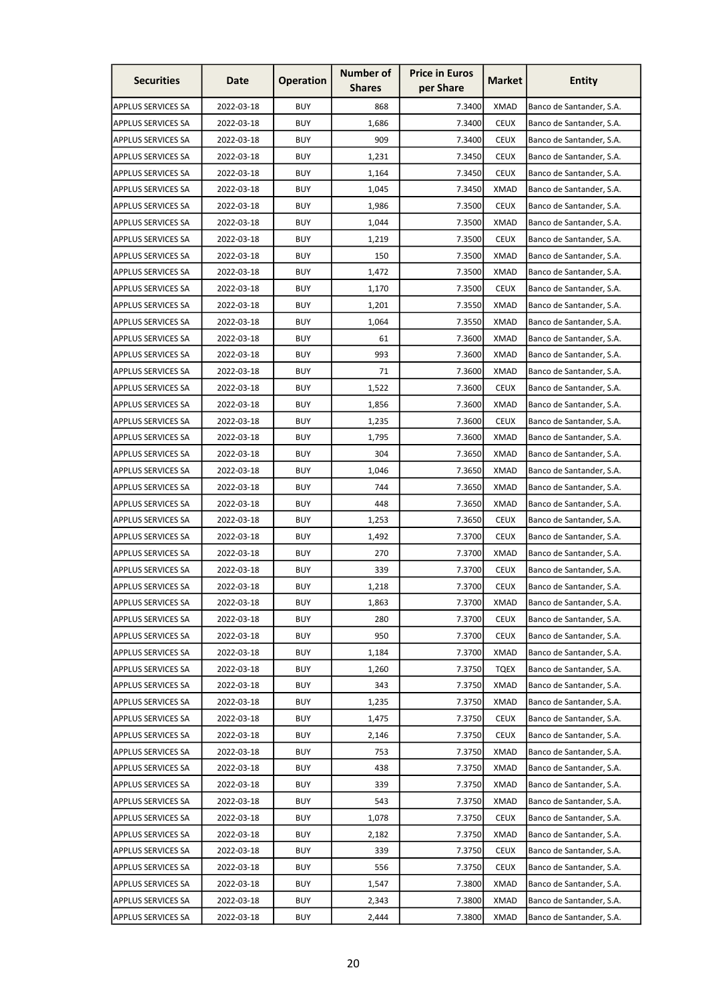| <b>Securities</b>         | Date       | <b>Operation</b> | <b>Number of</b><br><b>Shares</b> | <b>Price in Euros</b><br>per Share | Market      | <b>Entity</b>            |
|---------------------------|------------|------------------|-----------------------------------|------------------------------------|-------------|--------------------------|
| APPLUS SERVICES SA        | 2022-03-18 | <b>BUY</b>       | 868                               | 7.3400                             | <b>XMAD</b> | Banco de Santander, S.A. |
| <b>APPLUS SERVICES SA</b> | 2022-03-18 | <b>BUY</b>       | 1,686                             | 7.3400                             | <b>CEUX</b> | Banco de Santander, S.A. |
| <b>APPLUS SERVICES SA</b> | 2022-03-18 | <b>BUY</b>       | 909                               | 7.3400                             | <b>CEUX</b> | Banco de Santander, S.A. |
| APPLUS SERVICES SA        | 2022-03-18 | BUY              | 1,231                             | 7.3450                             | <b>CEUX</b> | Banco de Santander, S.A. |
| APPLUS SERVICES SA        | 2022-03-18 | <b>BUY</b>       | 1,164                             | 7.3450                             | <b>CEUX</b> | Banco de Santander, S.A. |
| APPLUS SERVICES SA        | 2022-03-18 | <b>BUY</b>       | 1,045                             | 7.3450                             | <b>XMAD</b> | Banco de Santander, S.A. |
| APPLUS SERVICES SA        | 2022-03-18 | <b>BUY</b>       | 1,986                             | 7.3500                             | <b>CEUX</b> | Banco de Santander, S.A. |
| APPLUS SERVICES SA        | 2022-03-18 | <b>BUY</b>       | 1,044                             | 7.3500                             | <b>XMAD</b> | Banco de Santander, S.A. |
| APPLUS SERVICES SA        | 2022-03-18 | <b>BUY</b>       | 1,219                             | 7.3500                             | <b>CEUX</b> | Banco de Santander, S.A. |
| APPLUS SERVICES SA        | 2022-03-18 | BUY              | 150                               | 7.3500                             | <b>XMAD</b> | Banco de Santander, S.A. |
| APPLUS SERVICES SA        | 2022-03-18 | <b>BUY</b>       | 1,472                             | 7.3500                             | <b>XMAD</b> | Banco de Santander, S.A. |
| APPLUS SERVICES SA        | 2022-03-18 | <b>BUY</b>       | 1,170                             | 7.3500                             | <b>CEUX</b> | Banco de Santander, S.A. |
| APPLUS SERVICES SA        | 2022-03-18 | <b>BUY</b>       | 1,201                             | 7.3550                             | XMAD        | Banco de Santander, S.A. |
| APPLUS SERVICES SA        | 2022-03-18 | <b>BUY</b>       | 1,064                             | 7.3550                             | <b>XMAD</b> | Banco de Santander, S.A. |
| APPLUS SERVICES SA        | 2022-03-18 | <b>BUY</b>       | 61                                | 7.3600                             | <b>XMAD</b> | Banco de Santander, S.A. |
| APPLUS SERVICES SA        | 2022-03-18 | <b>BUY</b>       | 993                               | 7.3600                             | <b>XMAD</b> | Banco de Santander, S.A. |
| APPLUS SERVICES SA        | 2022-03-18 | <b>BUY</b>       | 71                                | 7.3600                             | <b>XMAD</b> | Banco de Santander, S.A. |
| APPLUS SERVICES SA        | 2022-03-18 | <b>BUY</b>       | 1,522                             | 7.3600                             | <b>CEUX</b> | Banco de Santander, S.A. |
| <b>APPLUS SERVICES SA</b> | 2022-03-18 | <b>BUY</b>       | 1,856                             | 7.3600                             | <b>XMAD</b> | Banco de Santander, S.A. |
| APPLUS SERVICES SA        | 2022-03-18 | <b>BUY</b>       | 1,235                             | 7.3600                             | <b>CEUX</b> | Banco de Santander, S.A. |
| APPLUS SERVICES SA        | 2022-03-18 | <b>BUY</b>       | 1,795                             | 7.3600                             | <b>XMAD</b> | Banco de Santander, S.A. |
| APPLUS SERVICES SA        | 2022-03-18 | <b>BUY</b>       | 304                               | 7.3650                             | <b>XMAD</b> | Banco de Santander, S.A. |
| APPLUS SERVICES SA        | 2022-03-18 | <b>BUY</b>       | 1,046                             | 7.3650                             | <b>XMAD</b> | Banco de Santander, S.A. |
| <b>APPLUS SERVICES SA</b> | 2022-03-18 | <b>BUY</b>       | 744                               | 7.3650                             | <b>XMAD</b> | Banco de Santander, S.A. |
| APPLUS SERVICES SA        | 2022-03-18 | <b>BUY</b>       | 448                               | 7.3650                             | XMAD        | Banco de Santander, S.A. |
| APPLUS SERVICES SA        | 2022-03-18 | <b>BUY</b>       | 1,253                             | 7.3650                             | <b>CEUX</b> | Banco de Santander, S.A. |
| <b>APPLUS SERVICES SA</b> | 2022-03-18 | <b>BUY</b>       | 1,492                             | 7.3700                             | <b>CEUX</b> | Banco de Santander, S.A. |
| APPLUS SERVICES SA        | 2022-03-18 | <b>BUY</b>       | 270                               | 7.3700                             | <b>XMAD</b> | Banco de Santander, S.A. |
| APPLUS SERVICES SA        | 2022-03-18 | <b>BUY</b>       | 339                               | 7.3700                             | <b>CEUX</b> | Banco de Santander, S.A. |
| APPLUS SERVICES SA        | 2022-03-18 | <b>BUY</b>       | 1,218                             | 7.3700                             | <b>CEUX</b> | Banco de Santander, S.A. |
| APPLUS SERVICES SA        | 2022-03-18 | <b>BUY</b>       | 1,863                             | 7.3700                             | <b>XMAD</b> | Banco de Santander, S.A. |
| APPLUS SERVICES SA        | 2022-03-18 | <b>BUY</b>       | 280                               | 7.3700                             | <b>CEUX</b> | Banco de Santander, S.A. |
| APPLUS SERVICES SA        | 2022-03-18 | <b>BUY</b>       | 950                               | 7.3700                             | <b>CEUX</b> | Banco de Santander, S.A. |
| APPLUS SERVICES SA        | 2022-03-18 | <b>BUY</b>       | 1,184                             | 7.3700                             | <b>XMAD</b> | Banco de Santander, S.A. |
| APPLUS SERVICES SA        | 2022-03-18 | <b>BUY</b>       | 1,260                             | 7.3750                             | <b>TQEX</b> | Banco de Santander, S.A. |
| <b>APPLUS SERVICES SA</b> | 2022-03-18 | <b>BUY</b>       | 343                               | 7.3750                             | <b>XMAD</b> | Banco de Santander, S.A. |
| APPLUS SERVICES SA        | 2022-03-18 | <b>BUY</b>       | 1,235                             | 7.3750                             | <b>XMAD</b> | Banco de Santander, S.A. |
| <b>APPLUS SERVICES SA</b> | 2022-03-18 | <b>BUY</b>       | 1,475                             | 7.3750                             | <b>CEUX</b> | Banco de Santander, S.A. |
| APPLUS SERVICES SA        | 2022-03-18 | <b>BUY</b>       | 2,146                             | 7.3750                             | <b>CEUX</b> | Banco de Santander, S.A. |
| APPLUS SERVICES SA        | 2022-03-18 | <b>BUY</b>       | 753                               | 7.3750                             | <b>XMAD</b> | Banco de Santander, S.A. |
| APPLUS SERVICES SA        | 2022-03-18 | <b>BUY</b>       | 438                               | 7.3750                             | XMAD        | Banco de Santander, S.A. |
| APPLUS SERVICES SA        | 2022-03-18 | <b>BUY</b>       | 339                               | 7.3750                             | <b>XMAD</b> | Banco de Santander, S.A. |
| APPLUS SERVICES SA        | 2022-03-18 | <b>BUY</b>       | 543                               | 7.3750                             | <b>XMAD</b> | Banco de Santander, S.A. |
| APPLUS SERVICES SA        | 2022-03-18 | <b>BUY</b>       | 1,078                             | 7.3750                             | <b>CEUX</b> | Banco de Santander, S.A. |
| APPLUS SERVICES SA        | 2022-03-18 | <b>BUY</b>       | 2,182                             | 7.3750                             | <b>XMAD</b> | Banco de Santander, S.A. |
| APPLUS SERVICES SA        | 2022-03-18 | <b>BUY</b>       | 339                               | 7.3750                             | <b>CEUX</b> | Banco de Santander, S.A. |
| APPLUS SERVICES SA        | 2022-03-18 | <b>BUY</b>       | 556                               | 7.3750                             | <b>CEUX</b> | Banco de Santander, S.A. |
| APPLUS SERVICES SA        | 2022-03-18 | <b>BUY</b>       | 1,547                             | 7.3800                             | <b>XMAD</b> | Banco de Santander, S.A. |
| APPLUS SERVICES SA        | 2022-03-18 | <b>BUY</b>       | 2,343                             | 7.3800                             | <b>XMAD</b> | Banco de Santander, S.A. |
| APPLUS SERVICES SA        | 2022-03-18 | <b>BUY</b>       | 2,444                             | 7.3800                             | <b>XMAD</b> | Banco de Santander, S.A. |